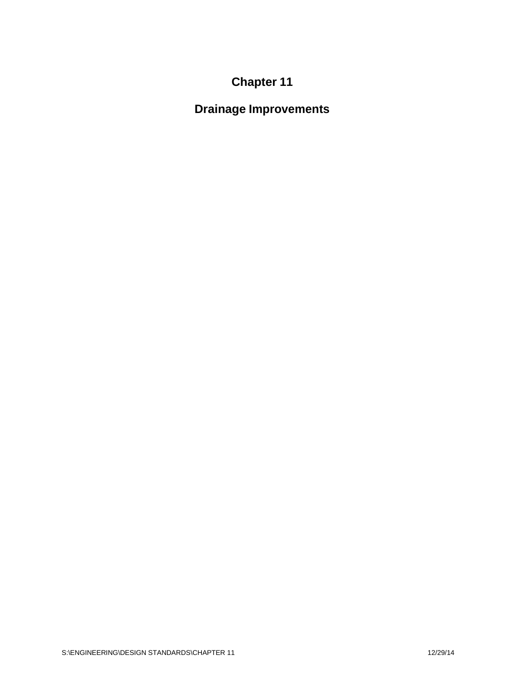# **Chapter 11**

**Drainage Improvements**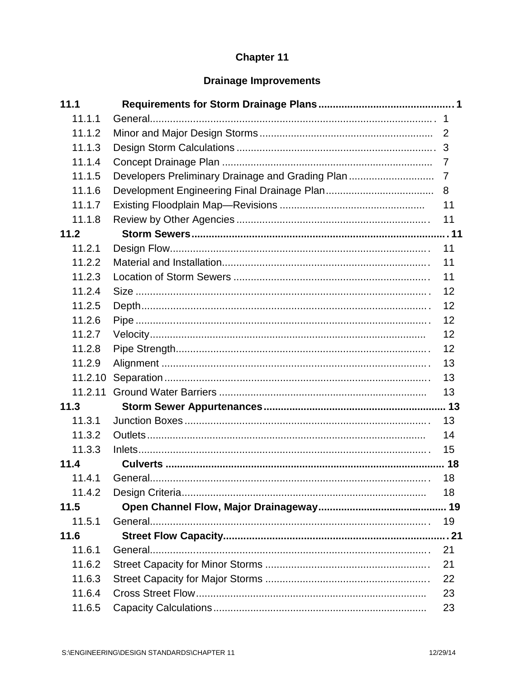# Chapter 11

# **Drainage Improvements**

| 11.1    |                                                  |                |
|---------|--------------------------------------------------|----------------|
| 11.1.1  |                                                  |                |
| 11.1.2  |                                                  |                |
| 11.1.3  |                                                  |                |
| 11.1.4  |                                                  | $\overline{7}$ |
| 11.1.5  | Developers Preliminary Drainage and Grading Plan | 7              |
| 11.1.6  |                                                  | 8              |
| 11.1.7  |                                                  | 11             |
| 11.1.8  |                                                  | 11             |
| 11.2    |                                                  |                |
| 11.2.1  |                                                  | 11             |
| 11.2.2  |                                                  | 11             |
| 11.2.3  |                                                  | 11             |
| 11.2.4  |                                                  | 12             |
| 11.2.5  |                                                  | 12             |
| 11.2.6  |                                                  | 12             |
| 11.2.7  |                                                  | 12             |
| 11.2.8  |                                                  | 12             |
| 11.2.9  |                                                  | 13             |
| 11.2.10 |                                                  | 13             |
| 11.2.11 |                                                  | 13             |
| 11.3    |                                                  |                |
| 11.3.1  |                                                  | 13             |
| 11.3.2  |                                                  | 14             |
| 11.3.3  |                                                  | 15             |
| 11.4    |                                                  |                |
|         |                                                  | 18             |
| 11.4.2  |                                                  | 18             |
| 11.5    |                                                  |                |
| 11.5.1  |                                                  | 19             |
| 11.6    |                                                  |                |
| 11.6.1  |                                                  | 21             |
| 11.6.2  |                                                  | 21             |
| 11.6.3  |                                                  | 22             |
| 11.6.4  |                                                  | 23             |
| 11.6.5  |                                                  | 23             |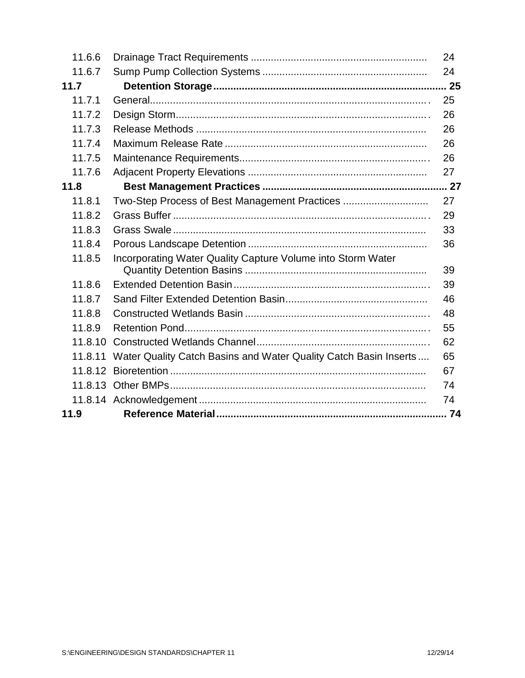| 11.6.6  |                                                                          | 24 |
|---------|--------------------------------------------------------------------------|----|
| 11.6.7  |                                                                          | 24 |
| 11.7    |                                                                          |    |
| 11.7.1  |                                                                          | 25 |
| 11.7.2  |                                                                          | 26 |
| 11.7.3  |                                                                          | 26 |
| 11.7.4  |                                                                          | 26 |
| 11.7.5  |                                                                          | 26 |
| 11.7.6  |                                                                          | 27 |
| 11.8    |                                                                          |    |
| 11.8.1  | Two-Step Process of Best Management Practices                            | 27 |
| 11.8.2  |                                                                          | 29 |
| 11.8.3  |                                                                          | 33 |
| 11.8.4  |                                                                          | 36 |
| 11.8.5  | Incorporating Water Quality Capture Volume into Storm Water              | 39 |
| 11.8.6  |                                                                          | 39 |
| 11.8.7  |                                                                          | 46 |
| 11.8.8  |                                                                          | 48 |
| 11.8.9  |                                                                          | 55 |
| 11.8.10 |                                                                          | 62 |
|         | 11.8.11 Water Quality Catch Basins and Water Quality Catch Basin Inserts | 65 |
|         |                                                                          | 67 |
|         |                                                                          | 74 |
|         |                                                                          | 74 |
| 11.9    |                                                                          |    |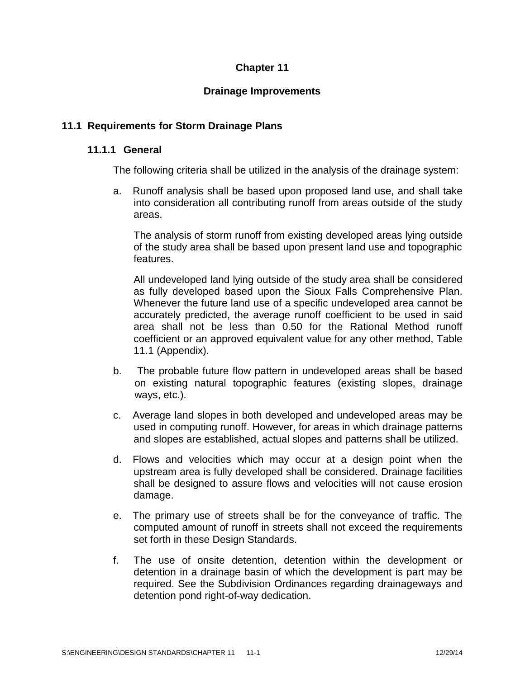# **Chapter 11**

# **Drainage Improvements**

# **11.1 Requirements for Storm Drainage Plans**

### **11.1.1 General**

The following criteria shall be utilized in the analysis of the drainage system:

a. Runoff analysis shall be based upon proposed land use, and shall take into consideration all contributing runoff from areas outside of the study areas.

The analysis of storm runoff from existing developed areas lying outside of the study area shall be based upon present land use and topographic features.

All undeveloped land lying outside of the study area shall be considered as fully developed based upon the Sioux Falls Comprehensive Plan. Whenever the future land use of a specific undeveloped area cannot be accurately predicted, the average runoff coefficient to be used in said area shall not be less than 0.50 for the Rational Method runoff coefficient or an approved equivalent value for any other method, Table 11.1 (Appendix).

- b. The probable future flow pattern in undeveloped areas shall be based on existing natural topographic features (existing slopes, drainage ways, etc.).
- c. Average land slopes in both developed and undeveloped areas may be used in computing runoff. However, for areas in which drainage patterns and slopes are established, actual slopes and patterns shall be utilized.
- d. Flows and velocities which may occur at a design point when the upstream area is fully developed shall be considered. Drainage facilities shall be designed to assure flows and velocities will not cause erosion damage.
- e. The primary use of streets shall be for the conveyance of traffic. The computed amount of runoff in streets shall not exceed the requirements set forth in these Design Standards.
- f. The use of onsite detention, detention within the development or detention in a drainage basin of which the development is part may be required. See the Subdivision Ordinances regarding drainageways and detention pond right-of-way dedication.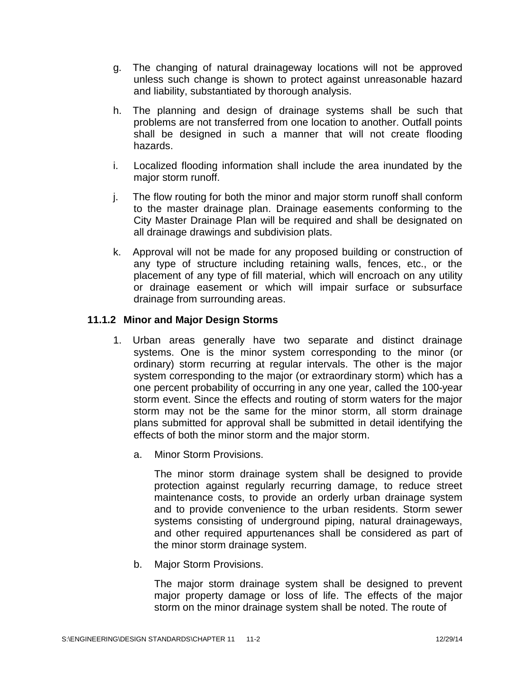- g. The changing of natural drainageway locations will not be approved unless such change is shown to protect against unreasonable hazard and liability, substantiated by thorough analysis.
- h. The planning and design of drainage systems shall be such that problems are not transferred from one location to another. Outfall points shall be designed in such a manner that will not create flooding hazards.
- i. Localized flooding information shall include the area inundated by the major storm runoff.
- j. The flow routing for both the minor and major storm runoff shall conform to the master drainage plan. Drainage easements conforming to the City Master Drainage Plan will be required and shall be designated on all drainage drawings and subdivision plats.
- k. Approval will not be made for any proposed building or construction of any type of structure including retaining walls, fences, etc., or the placement of any type of fill material, which will encroach on any utility or drainage easement or which will impair surface or subsurface drainage from surrounding areas.

# **11.1.2 Minor and Major Design Storms**

- 1. Urban areas generally have two separate and distinct drainage systems. One is the minor system corresponding to the minor (or ordinary) storm recurring at regular intervals. The other is the major system corresponding to the major (or extraordinary storm) which has a one percent probability of occurring in any one year, called the 100-year storm event. Since the effects and routing of storm waters for the major storm may not be the same for the minor storm, all storm drainage plans submitted for approval shall be submitted in detail identifying the effects of both the minor storm and the major storm.
	- a. Minor Storm Provisions.

The minor storm drainage system shall be designed to provide protection against regularly recurring damage, to reduce street maintenance costs, to provide an orderly urban drainage system and to provide convenience to the urban residents. Storm sewer systems consisting of underground piping, natural drainageways, and other required appurtenances shall be considered as part of the minor storm drainage system.

b. Major Storm Provisions.

The major storm drainage system shall be designed to prevent major property damage or loss of life. The effects of the major storm on the minor drainage system shall be noted. The route of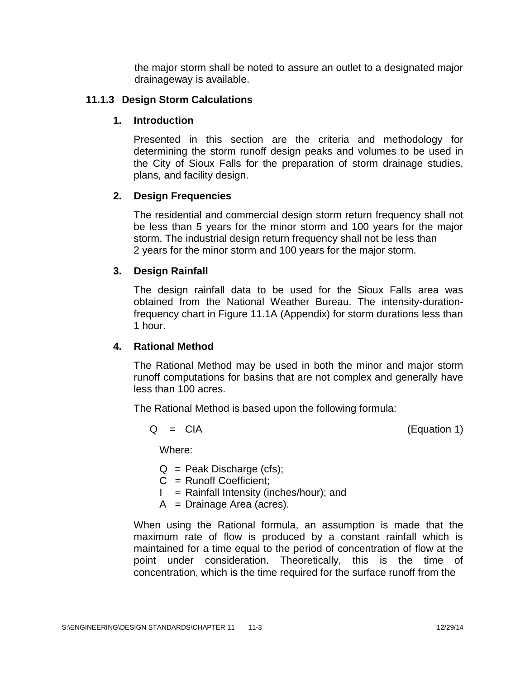the major storm shall be noted to assure an outlet to a designated major drainageway is available.

### **11.1.3 Design Storm Calculations**

### **1. Introduction**

Presented in this section are the criteria and methodology for determining the storm runoff design peaks and volumes to be used in the City of Sioux Falls for the preparation of storm drainage studies, plans, and facility design.

# **2. Design Frequencies**

The residential and commercial design storm return frequency shall not be less than 5 years for the minor storm and 100 years for the major storm. The industrial design return frequency shall not be less than 2 years for the minor storm and 100 years for the major storm.

### **3. Design Rainfall**

The design rainfall data to be used for the Sioux Falls area was obtained from the National Weather Bureau. The intensity-durationfrequency chart in Figure 11.1A (Appendix) for storm durations less than 1 hour.

#### **4. Rational Method**

The Rational Method may be used in both the minor and major storm runoff computations for basins that are not complex and generally have less than 100 acres.

The Rational Method is based upon the following formula:

$$
Q = CIA
$$

 $(Equation 1)$ 

Where:

- $Q =$  Peak Discharge (cfs);
- C = Runoff Coefficient;
- $I =$  Rainfall Intensity (inches/hour); and
- $A = D$ rainage Area (acres).

When using the Rational formula, an assumption is made that the maximum rate of flow is produced by a constant rainfall which is maintained for a time equal to the period of concentration of flow at the point under consideration. Theoretically, this is the time of concentration, which is the time required for the surface runoff from the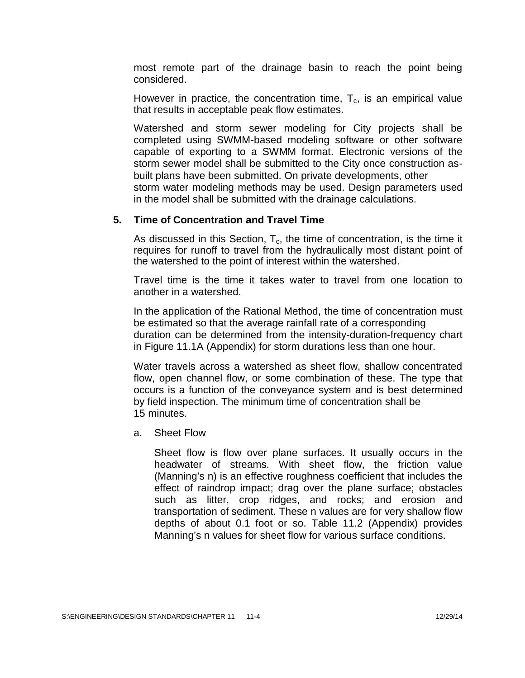most remote part of the drainage basin to reach the point being considered.

However in practice, the concentration time,  $T_c$ , is an empirical value that results in acceptable peak flow estimates.

Watershed and storm sewer modeling for City projects shall be completed using SWMM-based modeling software or other software capable of exporting to a SWMM format. Electronic versions of the storm sewer model shall be submitted to the City once construction as built plans have been submitted. On private developments, other storm water modeling methods may be used. Design parameters used in the model shall be submitted with the drainage calculations.

#### **5. Time of Concentration and Travel Time**

As discussed in this Section,  $T_c$ , the time of concentration, is the time it requires for runoff to travel from the hydraulically most distant point of the watershed to the point of interest within the watershed.

Travel time is the time it takes water to travel from one location to another in a watershed.

In the application of the Rational Method, the time of concentration must be estimated so that the average rainfall rate of a corresponding duration can be determined from the intensity-duration-frequency chart in Figure 11.1A (Appendix) for storm durations less than one hour.

Water travels across a watershed as sheet flow, shallow concentrated flow, open channel flow, or some combination of these. The type that occurs is a function of the conveyance system andis best determined by field inspection. The minimum time of concentration shall be 15 minutes.

a. Sheet Flow

Sheet flow is flow over plane surfaces. It usually occurs in the headwater of streams. With sheet flow, the friction value (Manning's n) is an effective roughness coefficient that includes the effect of raindrop impact; drag over the plane surface; obstacles such as litter, crop ridges, and rocks; and erosion and transportation of sediment. These n values are for very shallow flow depths of about 0.1 foot or so. Table 11.2 (Appendix) provides Manning's n values for sheet flow for various surface conditions.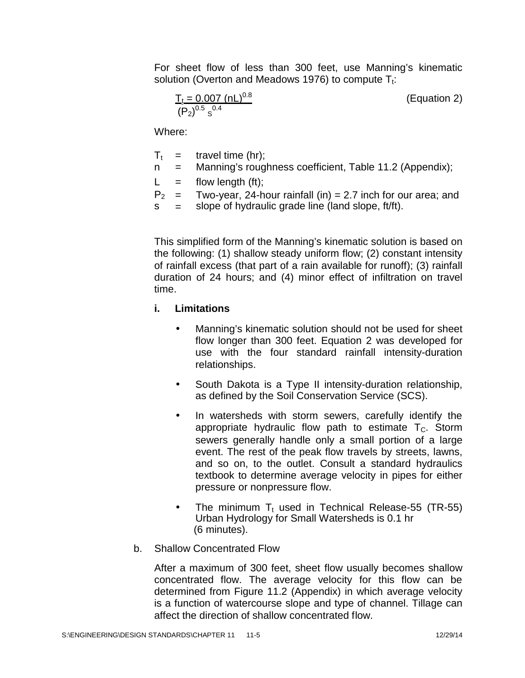For sheet flow of less than 300 feet, use Manning's kinematic solution (Overton and Meadows 1976) to compute  $T_t$ :

$$
\frac{T_t = 0.007 \text{ (nL)}^{0.8}}{(P_2)^{0.5} \text{ s}^{0.4}}
$$
 (Equation 2)

Where:

 $T_t =$ travel time (hr);

- T<sub>t</sub> = travel time (hr);<br>n = Manning's roughness coefficient, Table 11.2 (Appendix);
- $L =$  flow length (ft);

 $P_2 =$  $=$  Two-year, 24-hour rainfall (in)  $=$  2.7 inch for our area; and  $=$  slope of hydraulic grade line (land slope. ft/ft).

P<sub>2</sub> = Two-year, 24-hour rainfall (in) = 2.7 inch for our ar<br>s slope of hydraulic grade line (land slope, ft/ft).

This simplified form of the Manning's kinematic solution is based on the following: (1) shallow steady uniform flow; (2) constant intensity of rainfall excess (that part of a rain available for runoff); (3) rainfall duration of 24 hours; and (4) minor effect of infiltration on travel time.

# **i. Limitations**

- Manning's kinematic solution should not be used for sheet flow longer than 300 feet. Equation 2 was developed for use with the four standard rainfall intensity-duration relationships.
- South Dakota is a Type II intensity-duration relationship, as defined by the Soil Conservation Service (SCS).
- In watersheds with storm sewers, carefully identify the appropriate hydraulic flow path to estimate  $T_c$ . Storm sewers generally handle only a small portion of a large event. The rest of the peak flow travels by streets, lawns, and so on, to the outlet. Consult a standard hydraulics textbook to determine average velocity in pipes for either pressure or nonpressure flow.
- The minimum  $T_t$  used in Technical Release-55 (TR-55) Urban Hydrology for Small Watersheds is 0.1 hr (6 minutes).
- b. Shallow Concentrated Flow

After a maximum of 300 feet, sheet flow usually becomes shallow concentrated flow. The average velocity for this flow can be determined from Figure 11.2 (Appendix) in which average velocity is a function of watercourse slope and type of channel. Tillage can affect the direction of shallow concentrated flow.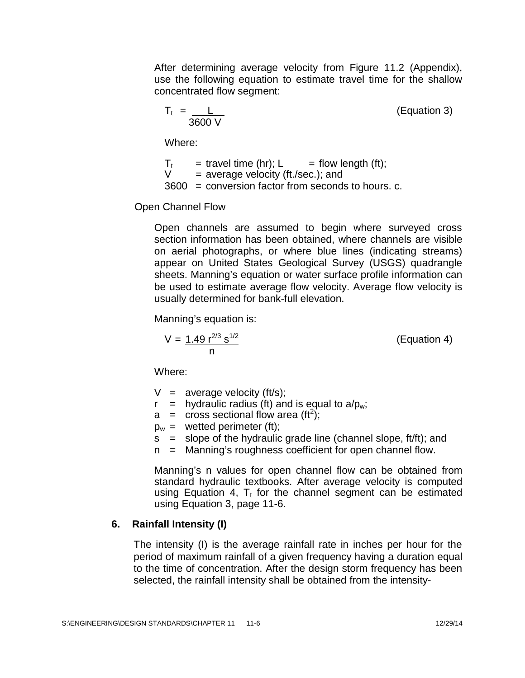After determining average velocity from Figure 11.2 (Appendix), use the following equation to estimate travel time for the shallow concentrated flow segment:

$$
T_t = \frac{L}{3600 \text{ V}} \tag{Equation 3}
$$

Where:

 $T_t$  = travel time (hr); L = flow length (ft);<br>V = average velocity (ft./sec.); and  $=$  average velocity (ft./sec.); and 3600 = conversion factor from seconds to hours. c.

Open Channel Flow

Open channels are assumed to begin where surveyed cross section information has been obtained, where channels are visible on aerial photographs, or where blue lines (indicating streams) appear on United States Geological Survey (USGS) quadrangle sheets. Manning's equation or water surface profile information can be used to estimate average flow velocity. Average flow velocity is usually determined for bank-full elevation.

Manning's equation is:

$$
V = \frac{1.49 \, r^{2/3} \, s^{1/2}}{n}
$$
 (Equation 4)

Where:

- $V =$  average velocity (ft/s);
- $r =$  hydraulic radius (ft) and is equal to  $a/b_w$ ;
- $a =$  cross sectional flow area (ft<sup>2</sup>);
- $p_w =$  wetted perimeter (ft);
- $s =$  slope of the hydraulic grade line (channel slope, ft/ft); and
- n = Manning's roughness coefficient for open channel flow.

Manning's n values for open channel flow can be obtained from standard hydraulic textbooks. After average velocity is computed using Equation 4,  $T_t$  for the channel segment can be estimated using Equation 3, page 11-6.

# **6. Rainfall Intensity (I)**

The intensity (I) is the average rainfall rate in inches per hour for the period of maximum rainfall of a given frequency having a duration equal to the time of concentration. After the design storm frequency has been selected, the rainfall intensity shall be obtained from the intensity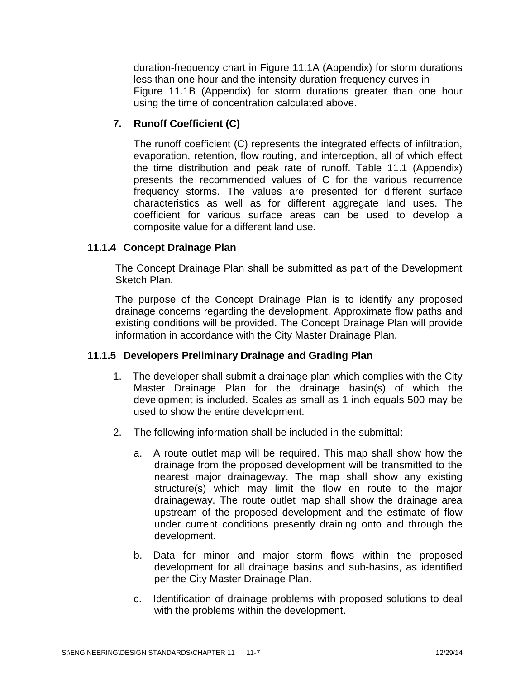duration-frequency chart in Figure 11.1A (Appendix) for storm durations less than one hour and the intensity-duration-frequency curves in Figure 11.1B (Appendix) for storm durations greater than one hour using the time of concentration calculated above.

# **7. Runoff Coefficient (C)**

The runoff coefficient (C) represents the integrated effects of infiltration, evaporation, retention, flow routing, and interception, all of which effect the time distribution and peak rate of runoff. Table 11.1 (Appendix) presents the recommended values of C for the various recurrence frequency storms. The values are presented for different surface characteristics as well as for different aggregate land uses. The coefficient for various surface areas can be used to develop a composite value for a different land use.

# **11.1.4 Concept Drainage Plan**

The Concept Drainage Plan shall be submitted as part of the Development Sketch Plan.

The purpose of the Concept Drainage Plan is to identify any proposed drainage concerns regarding the development. Approximate flow paths and existing conditions will be provided. The Concept Drainage Plan will provide information in accordance with the City Master Drainage Plan.

# **11.1.5 Developers Preliminary Drainage and Grading Plan**

- 1. The developer shall submit a drainage plan which complies with the City Master Drainage Plan for the drainage basin(s) of which the development is included. Scales as small as 1 inch equals 500 may be used to show the entire development.
- 2. The following information shall be included in the submittal:
	- a. A route outlet map will be required. This map shall show how the drainage from the proposed development will be transmitted to the nearest major drainageway. The map shall show any existing structure(s) which may limit the flow en route to the major drainageway. The route outlet map shall show the drainage area upstream of the proposed development and the estimate of flow under current conditions presently draining onto and through the development.
	- b. Data for minor and major storm flows within the proposed development for all drainage basins and sub-basins, as identified per the City Master Drainage Plan.
	- c. Identification of drainage problems with proposed solutions to deal with the problems within the development.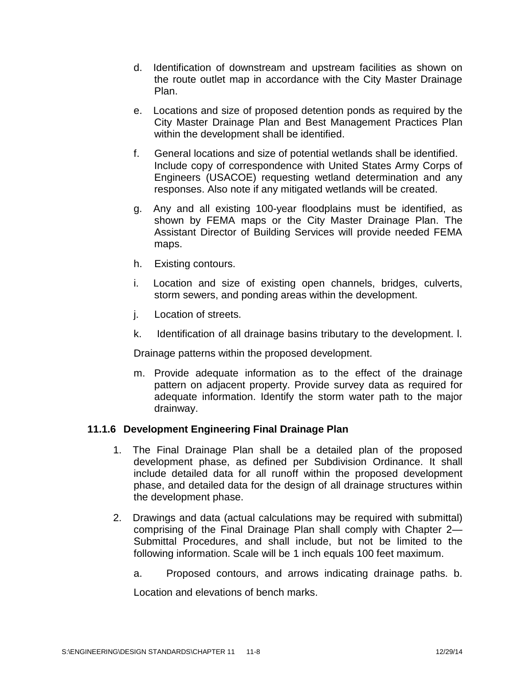- d. Identification of downstream and upstream facilities as shown on the route outlet map in accordance with the City Master Drainage Plan.
- e. Locations and size of proposed detention ponds as required by the City Master Drainage Plan and Best Management Practices Plan within the development shall be identified.
- f. General locations and size of potential wetlands shall be identified. Include copy of correspondence with United States Army Corps of Engineers (USACOE) requesting wetland determination and any responses. Also note if any mitigated wetlands will be created.
- g. Any and all existing 100-year floodplains must be identified, as shown by FEMA maps or the City Master Drainage Plan. The Assistant Director of Building Services will provide needed FEMA maps.
- h. Existing contours.
- i. Location and size of existing open channels, bridges, culverts, storm sewers, and ponding areas within the development.
- j. Location of streets.
- k. Identification of all drainage basins tributary to the development. l.

Drainage patterns within the proposed development.

m. Provide adequate information as to the effect of the drainage pattern on adjacent property. Provide survey data as required for adequate information. Identify the storm water path to the major drainway.

# **11.1.6 Development Engineering Final Drainage Plan**

- 1. The Final Drainage Plan shall be a detailed plan of the proposed development phase, as defined per Subdivision Ordinance. It shall include detailed data for all runoff within the proposed development phase, and detailed data for the design of all drainage structures within the development phase.
- 2. Drawings and data (actual calculations may be required with submittal) comprising of the Final Drainage Plan shall comply with Chapter 2— Submittal Procedures, and shall include, but not be limited to the following information. Scale will be 1 inch equals 100 feet maximum.
	- a. Proposed contours, and arrows indicating drainage paths. b.

Location and elevations of bench marks.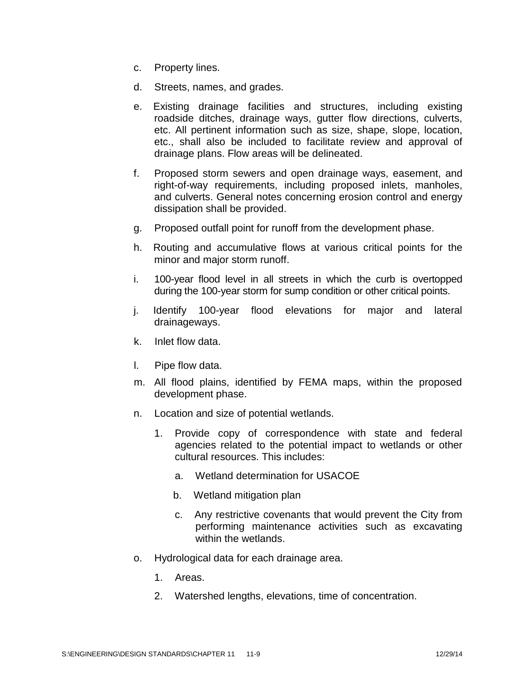- c. Property lines.
- d. Streets, names, and grades.
- e. Existing drainage facilities and structures, including existing roadside ditches, drainage ways, gutter flow directions, culverts, etc. All pertinent information such as size, shape, slope, location, etc., shall also be included to facilitate review and approval of drainage plans. Flow areas will be delineated.
- f. Proposed storm sewers and open drainage ways, easement, and right-of-way requirements, including proposed inlets, manholes, and culverts. General notes concerning erosion control and energy dissipation shall be provided.
- g. Proposed outfall point for runoff from the development phase.
- h. Routing and accumulative flows at various critical points for the minor and major storm runoff.
- i. 100-year flood level in all streets in which the curb is overtopped during the 100-year storm for sump condition or other critical points.
- j. Identify 100-year flood elevations for major and lateral drainageways.
- k. Inlet flow data.
- l. Pipe flow data.
- m. All flood plains, identified by FEMA maps, within the proposed development phase.
- n. Location and size of potential wetlands.
	- 1. Provide copy of correspondence with state and federal agencies related to the potential impact to wetlands or other cultural resources. This includes:
		- a. Wetland determination for USACOE
		- b. Wetland mitigation plan
		- c. Any restrictive covenants that would prevent the City from performing maintenance activities such as excavating within the wetlands.
- o. Hydrological data for each drainage area.
	- 1. Areas.
	- 2. Watershed lengths, elevations, time of concentration.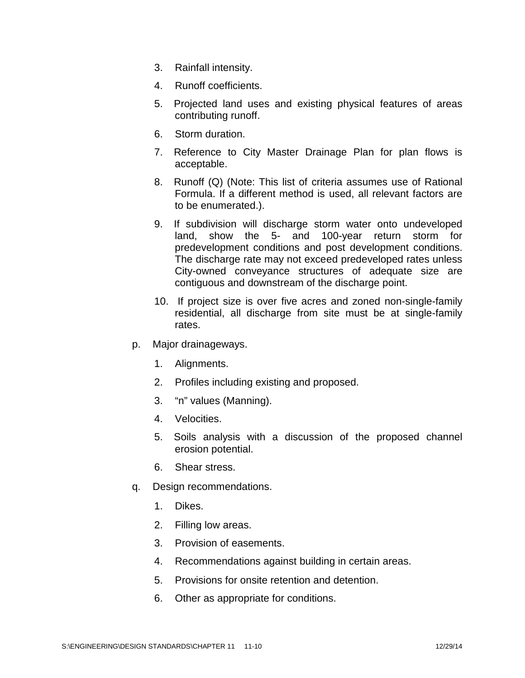- 3. Rainfall intensity.
- 4. Runoff coefficients.
- 5. Projected land uses and existing physical features of areas contributing runoff.
- 6. Storm duration.
- 7. Reference to City Master Drainage Plan for plan flows is acceptable.
- 8. Runoff (Q) (Note: This list of criteria assumes use of Rational Formula. If a different method is used, all relevant factors are to be enumerated.).
- 9. If subdivision will discharge storm water onto undeveloped land, show the 5- and 100-year return storm for predevelopment conditions and post development conditions. The discharge rate may not exceed predeveloped rates unless City-owned conveyance structures of adequate size are contiguous and downstream of the discharge point.
- 10. If project size is over five acres and zoned non-single-family residential, all discharge from site must be at single-family rates.
- p. Major drainageways.
	- 1. Alignments.
	- 2. Profiles including existing and proposed.
	- 3. "n" values (Manning).
	- 4. Velocities.
	- 5. Soils analysis with a discussion of the proposed channel erosion potential.
	- 6. Shear stress.
- q. Design recommendations.
	- 1. Dikes.
	- 2. Filling low areas.
	- 3. Provision of easements.
	- 4. Recommendations against building in certain areas.
	- 5. Provisions for onsite retention and detention.
	- 6. Other as appropriate for conditions.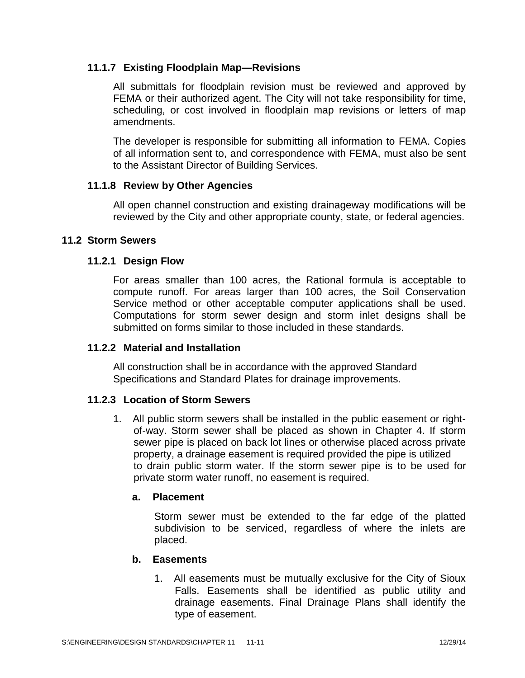# **11.1.7 Existing Floodplain Map—Revisions**

All submittals for floodplain revision must be reviewed and approved by FEMA or their authorized agent. The City will not take responsibility for time, scheduling, or cost involved in floodplain map revisions or letters of map amendments.

The developer is responsible for submitting all information to FEMA. Copies of all information sent to, and correspondence with FEMA, must also be sent to the Assistant Director of Building Services.

### **11.1.8 Review by Other Agencies**

All open channel construction and existing drainageway modifications will be reviewed by the City and other appropriate county, state, or federal agencies.

#### **11.2 Storm Sewers**

#### **11.2.1 Design Flow**

For areas smaller than 100 acres, the Rational formula is acceptable to compute runoff. For areas larger than 100 acres, the Soil Conservation Service method or other acceptable computer applications shall be used. Computations for storm sewer design and storm inlet designs shall be submitted on forms similar to those included in these standards.

#### **11.2.2 Material and Installation**

All construction shall be in accordance with the approved Standard Specifications and Standard Plates for drainage improvements.

#### **11.2.3 Location of Storm Sewers**

1. All public storm sewers shall be installed in the public easement or right of-way. Storm sewer shall be placed as shown in Chapter 4. If storm sewer pipe is placed on back lot lines or otherwise placed across private property, a drainage easement is required provided the pipe is utilized to drain public storm water. If the storm sewer pipe is to be used for private storm water runoff, no easement is required.

### **a. Placement**

Storm sewer must be extended to the far edge of the platted subdivision to be serviced, regardless of where the inlets are placed.

#### **b. Easements**

1. All easements must be mutually exclusive for the City of Sioux Falls. Easements shall be identified as public utility and drainage easements. Final Drainage Plans shall identify the type of easement.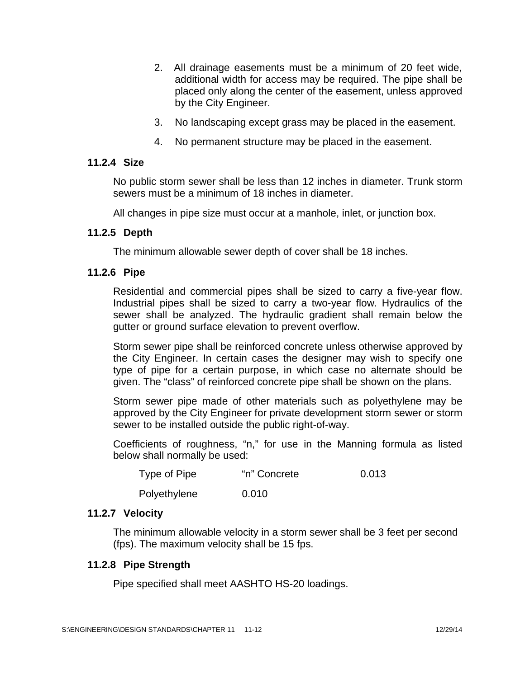- 2. All drainage easements must be a minimum of 20 feet wide, additional width for access may be required. The pipe shall be placed only along the center of the easement, unless approved by the City Engineer.
- 3. No landscaping except grass may be placed in the easement.
- 4. No permanent structure may be placed in the easement.

#### **11.2.4 Size**

No public storm sewer shall be less than 12 inches in diameter. Trunk storm sewers must be a minimum of 18 inches in diameter.

All changes in pipe size must occur at a manhole, inlet, or junction box.

#### **11.2.5 Depth**

The minimum allowable sewer depth of cover shall be 18 inches.

#### **11.2.6 Pipe**

Residential and commercial pipes shall be sized to carry a five-year flow. Industrial pipes shall be sized to carry a two-year flow. Hydraulics of the sewer shall be analyzed. The hydraulic gradient shall remain below the gutter or ground surface elevation to prevent overflow.

Storm sewer pipe shall be reinforced concrete unless otherwise approved by the City Engineer. In certain cases the designer may wish to specify one type of pipe for a certain purpose, in which case no alternate should be given. The "class" of reinforced concrete pipe shall be shown on the plans.

Storm sewer pipe made of other materials such as polyethylene may be approved by the City Engineer for private development storm sewer or storm sewer to be installed outside the public right-of-way.

Coefficients of roughness, "n," for use in the Manning formula as listed below shall normally be used:

| Type of Pipe | "n" Concrete | 0.013 |  |
|--------------|--------------|-------|--|
|              |              |       |  |

Polyethylene 0.010

#### **11.2.7 Velocity**

The minimum allowable velocity in a storm sewer shall be 3 feet per second (fps). The maximum velocity shall be 15 fps.

#### **11.2.8 Pipe Strength**

Pipe specified shall meet AASHTO HS-20 loadings.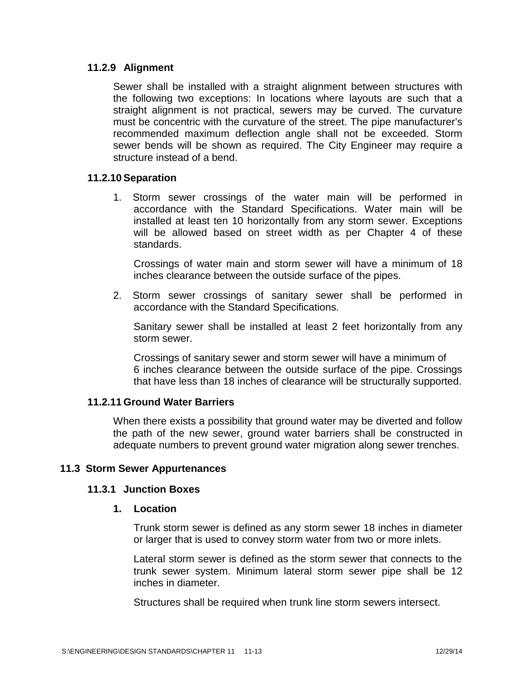# **11.2.9 Alignment**

Sewer shall be installed with a straight alignment between structures with the following two exceptions: In locations where layouts are such that a straight alignment is not practical, sewers may be curved. The curvature must be concentric with the curvature of the street. The pipe manufacturer's recommended maximum deflection angle shall not be exceeded. Storm sewer bends will be shown as required. The City Engineer may require a structure instead of a bend.

# **11.2.10 Separation**

1. Storm sewer crossings of the water main will be performed in accordance with the Standard Specifications. Water main will be installed at least ten 10 horizontally from any storm sewer. Exceptions will be allowed based on street width as per Chapter 4 of these standards.

Crossings of water main and storm sewer will have a minimum of 18 inches clearance between the outside surface of the pipes.

2. Storm sewer crossings of sanitary sewer shall be performed in accordance with the Standard Specifications.

Sanitary sewer shall be installed at least 2 feet horizontally from any storm sewer.

Crossings of sanitary sewer and storm sewer will have a minimum of 6 inches clearance between the outside surface of the pipe. Crossings that have less than 18 inches of clearance will be structurally supported.

# **11.2.11 Ground Water Barriers**

When there exists a possibility that ground water may be diverted and follow the path of the new sewer, ground water barriers shall be constructed in adequate numbers to prevent ground water migration along sewer trenches.

#### **11.3 Storm Sewer Appurtenances**

#### **11.3.1 Junction Boxes**

#### **1. Location**

Trunk storm sewer is defined as any storm sewer 18 inches in diameter or larger that is used to convey storm water from two or more inlets.

Lateral storm sewer is defined as the storm sewer that connects to the trunk sewer system. Minimum lateral storm sewer pipe shall be 12 inches in diameter.

Structures shall be required when trunk line storm sewers intersect.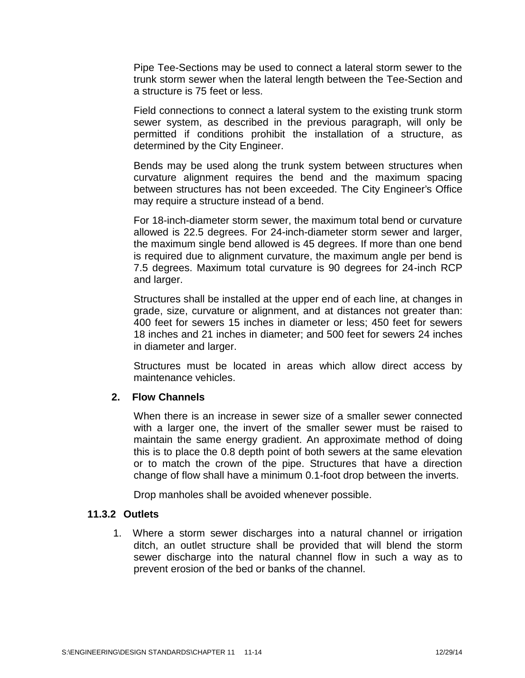Pipe Tee-Sections may be used to connect a lateral storm sewer to the trunk storm sewer when the lateral length between the Tee-Section and a structure is 75 feet or less.

Field connections to connect a lateral system to the existing trunk storm sewer system, as described in the previous paragraph, will only be permitted if conditions prohibit the installation of a structure, as determined by the City Engineer.

Bends may be used along the trunk system between structures when curvature alignment requires the bend and the maximum spacing between structures has not been exceeded. The City Engineer's Office may require a structure instead of a bend.

For 18-inch-diameter storm sewer, the maximum total bend or curvature allowed is 22.5 degrees. For 24-inch-diameter storm sewer and larger, the maximum single bend allowed is 45 degrees. If more than one bend is required due to alignment curvature, the maximum angle per bend is 7.5 degrees. Maximum total curvature is 90 degrees for 24-inch RCP and larger.

Structures shall be installed at the upper end of each line, at changes in grade, size, curvature or alignment, and at distances not greater than: 400 feet for sewers 15 inches in diameter or less: 450 feet for sewers 18 inches and 21 inches in diameter; and 500 feet for sewers 24 inches in diameter and larger.

Structures must be located in areas which allow direct access by maintenance vehicles.

#### **2. Flow Channels**

When there is an increase in sewer size of a smaller sewer connected with a larger one, the invert of the smaller sewer must be raised to maintain the same energy gradient. An approximate method of doing this is to place the 0.8 depth point of both sewers at the same elevation or to match the crown of the pipe. Structures that have a direction change of flow shall have a minimum 0.1-foot drop between the inverts.

Drop manholes shall be avoided whenever possible.

#### **11.3.2 Outlets**

1. Where a storm sewer discharges into a natural channel or irrigation ditch, an outlet structure shall be provided that will blend the storm sewer discharge into the natural channel flow in such a way as to prevent erosion of the bed or banks of the channel.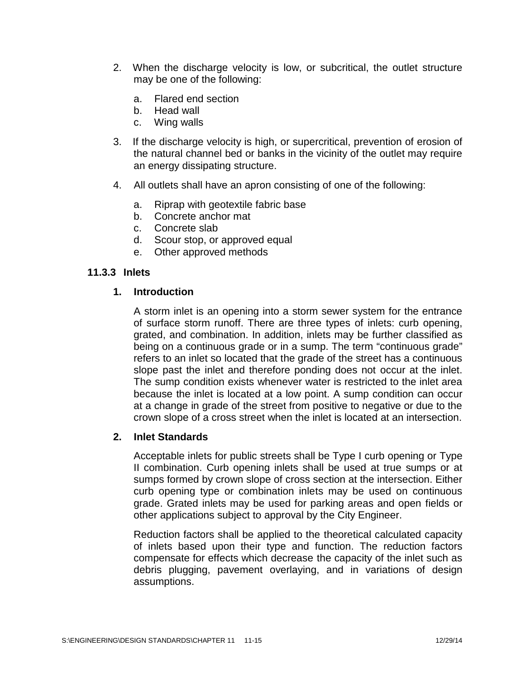- 2. When the discharge velocity is low, or subcritical, the outlet structure may be one of the following:
	- a. Flared end section
	- b. Head wall
	- c. Wing walls
- 3. If the discharge velocity is high, or supercritical, prevention of erosion of the natural channel bed or banks in the vicinity of the outlet may require an energy dissipating structure.
- 4. All outlets shall have an apron consisting of one of the following:
	- a. Riprap with geotextile fabric base
	- b. Concrete anchor mat
	- c. Concrete slab
	- d. Scour stop, or approved equal
	- e. Other approved methods

### **11.3.3 Inlets**

#### **1. Introduction**

A storm inlet is an opening into a storm sewer system for the entrance of surface storm runoff. There are three types of inlets: curb opening, grated, and combination. In addition, inlets may be further classified as being on a continuous grade or in a sump. The term "continuous grade" refers to an inlet so located that the grade of the street has a continuous slope past the inlet and therefore ponding does not occur at the inlet. The sump condition exists whenever water is restricted to the inlet area because the inlet is located at a low point. A sump condition can occur at a change in grade of the street from positive to negative or due to the crown slope of a cross street when the inlet is located at an intersection.

#### **2. Inlet Standards**

Acceptable inlets for public streets shall be Type I curb opening or Type II combination. Curb opening inlets shall be used at true sumps or at sumps formed by crown slope of cross section at the intersection. Either curb opening type or combination inlets may be used on continuous grade. Grated inlets may be used for parking areas and open fields or other applications subject to approval by the City Engineer.

Reduction factors shall be applied to the theoretical calculated capacity of inlets based upon their type and function. The reduction factors compensate for effects which decrease the capacity of the inlet such as debris plugging, pavement overlaying, and in variations of design assumptions.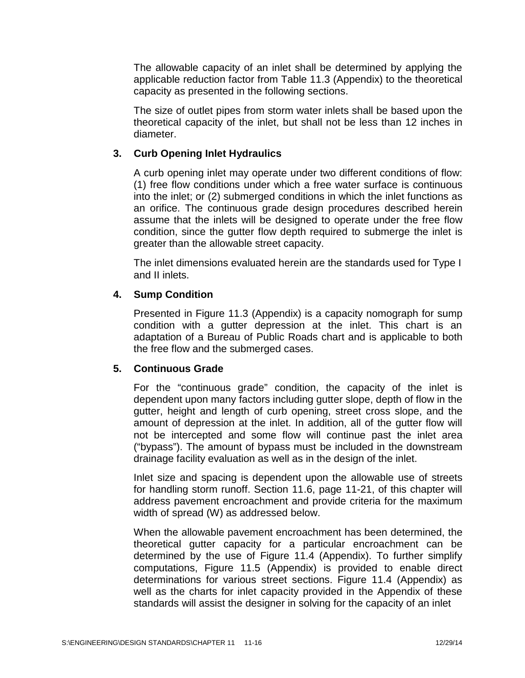The allowable capacity of an inlet shall be determined by applying the applicable reduction factor from Table 11.3 (Appendix) to the theoretical capacity as presented in the following sections.

The size of outlet pipes from storm water inlets shall be based upon the theoretical capacity of the inlet, but shall not be less than 12 inches in diameter.

# **3. Curb Opening Inlet Hydraulics**

A curb opening inlet may operate under two different conditions of flow: (1) free flow conditions under which a free water surface is continuous into the inlet; or (2) submerged conditions in which the inlet functions as an orifice. The continuous grade design procedures described herein assume that the inlets will be designed to operate under the free flow condition, since the gutter flow depth required to submerge the inlet is greater than the allowable street capacity.

The inlet dimensions evaluated herein are the standards used for Type I and II inlets.

# **4. Sump Condition**

Presented in Figure 11.3 (Appendix) is a capacity nomograph for sump condition with a gutter depression at the inlet. This chart is an adaptation of a Bureau of Public Roads chart and is applicable to both the free flow and the submerged cases.

# **5. Continuous Grade**

For the "continuous grade" condition, the capacity of the inlet is dependent upon many factors including gutter slope, depth of flow in the gutter, height and length of curb opening, street cross slope, and the amount of depression at the inlet. In addition, all of the gutter flow will not be intercepted and some flow will continue past the inlet area ("bypass"). The amount of bypass must be included in the downstream drainage facility evaluation as well as in the design of the inlet.

Inlet size and spacing is dependent upon the allowable use of streets for handling storm runoff. Section 11.6, page 11-21, of this chapter will address pavement encroachment and provide criteria for the maximum width of spread (W) as addressed below.

When the allowable pavement encroachment has been determined, the theoretical gutter capacity for a particular encroachment can be determined by the use of Figure 11.4 (Appendix). To further simplify computations, Figure 11.5 (Appendix) is provided to enable direct determinations for various street sections. Figure 11.4 (Appendix) as well as the charts for inlet capacity provided in the Appendix of these standards will assist the designer in solving for the capacity of an inlet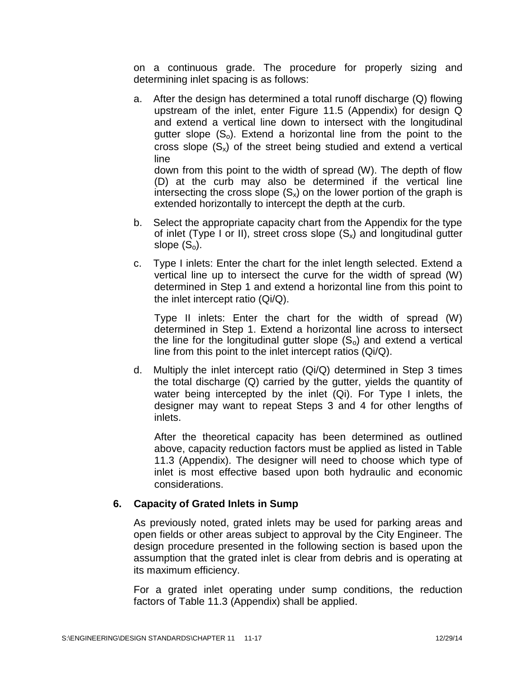on a continuous grade. The procedure for properly sizing and determining inlet spacing is as follows:

a. After the design has determined a total runoff discharge (Q) flowing upstream of the inlet, enter Figure 11.5 (Appendix) for design Q and extend a vertical line down to intersect with the longitudinal gutter slope  $(S_0)$ . Extend a horizontal line from the point to the cross slope  $(S_x)$  of the street being studied and extend a vertical line

down from this point to the width of spread (W). The depth of flow (D) at the curb may also be determined if the vertical line intersecting the cross slope  $(S_x)$  on the lower portion of the graph is extended horizontally to intercept the depth at the curb.

- b. Select the appropriate capacity chart from the Appendix for the type of inlet (Type I or II), street cross slope  $(S_x)$  and longitudinal gutter slope  $(S_0)$ .
- c. Type I inlets: Enter the chart for the inlet length selected. Extend a vertical line up to intersect the curve for the width of spread (W) determined in Step 1 and extend a horizontal line from this point to the inlet intercept ratio (Qi/Q).

Type II inlets: Enter the chart for the width of spread (W) determined in Step 1. Extend a horizontal line across to intersect the line for the longitudinal gutter slope  $(S_0)$  and extend a vertical line from this point to the inlet intercept ratios (Qi/Q).

d. Multiply the inlet intercept ratio (Qi/Q) determined in Step 3 times the total discharge (Q) carried by the gutter, yields the quantity of water being intercepted by the inlet (Qi). For Type I inlets, the designer may want to repeat Steps 3 and 4 for other lengths of inlets.

After the theoretical capacity has been determined as outlined above, capacity reduction factors must be applied as listed in Table 11.3 (Appendix). The designer will need to choose which type of inlet is most effective based upon both hydraulic and economic considerations.

#### **6. Capacity of Grated Inlets in Sump**

As previously noted, grated inlets may be used for parking areas and open fields or other areas subject to approval by the City Engineer. The design procedure presented in the following section is based upon the assumption that the grated inlet is clear from debris and is operating at its maximum efficiency.

For a grated inlet operating under sump conditions, the reduction factors of Table 11.3 (Appendix) shall be applied.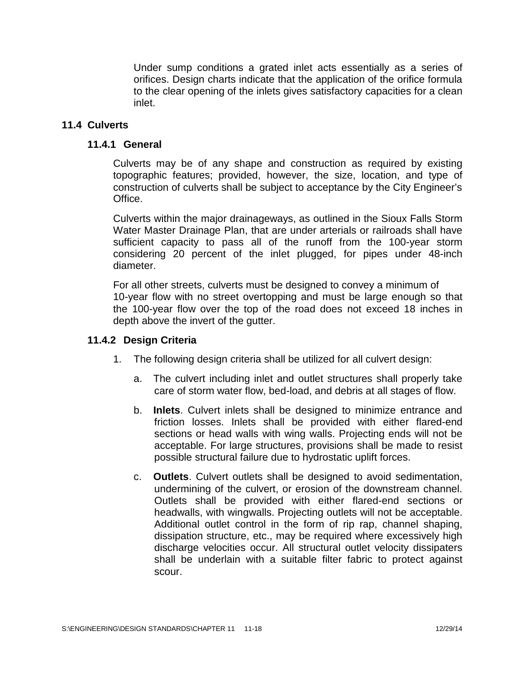Under sump conditions a grated inlet acts essentially as a series of orifices. Design charts indicate that the application of the orifice formula to the clear opening of the inlets gives satisfactory capacities for a clean inlet.

### **11.4 Culverts**

#### **11.4.1 General**

Culverts may be of any shape and construction as required by existing topographic features; provided, however, the size, location, and type of construction of culverts shall be subject to acceptance by the City Engineer's Office.

Culverts within the major drainageways, as outlined in the Sioux Falls Storm Water Master Drainage Plan, that are under arterials or railroads shall have sufficient capacity to pass all of the runoff from the 100-year storm considering 20 percent of the inlet plugged, for pipes under 48-inch diameter.

For all other streets, culverts must be designed to convey a minimum of 10-year flow with no street overtopping and must be large enough so that the 100-year flow over the top of the road does not exceed 18 inches in depth above the invert of the gutter.

#### **11.4.2 Design Criteria**

- 1. The following design criteria shall be utilized for all culvert design:
	- a. The culvert including inlet and outlet structures shall properly take care of storm water flow, bed-load, and debris at all stages of flow.
	- b. **Inlets**. Culvert inlets shall be designed to minimize entrance and friction losses. Inlets shall be provided with either flared-end sections or head walls with wing walls. Projecting ends will not be acceptable. For large structures, provisions shall be made to resist possible structural failure due to hydrostatic uplift forces.
	- c. **Outlets**. Culvert outlets shall be designed to avoid sedimentation, undermining of the culvert, or erosion of the downstream channel. Outlets shall be provided with either flared-end sections or headwalls, with wingwalls. Projecting outlets will not be acceptable. Additional outlet control in the form of rip rap, channel shaping, dissipation structure, etc., may be required where excessively high discharge velocities occur. All structural outlet velocity dissipaters shall be underlain with a suitable filter fabric to protect against scour.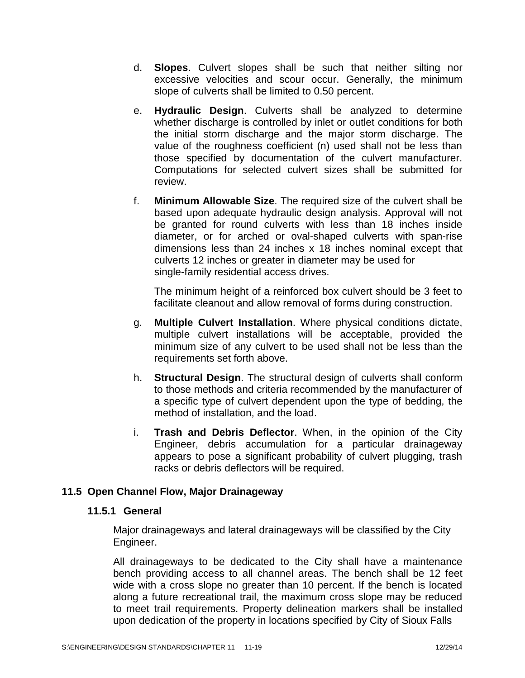- d. **Slopes**. Culvert slopes shall be such that neither silting nor excessive velocities and scour occur. Generally, the minimum slope of culverts shall be limited to 0.50 percent.
- e. **Hydraulic Design**. Culverts shall be analyzed to determine whether discharge is controlled by inlet or outlet conditions for both the initial storm discharge and the major storm discharge. The value of the roughness coefficient (n) used shall not be less than those specified by documentation of the culvert manufacturer. Computations for selected culvert sizes shall be submitted for review.
- f. **Minimum Allowable Size**. The required size of the culvert shall be based upon adequate hydraulic design analysis. Approval will not be granted for round culverts with less than 18 inches inside diameter, or for arched or oval-shaped culverts with span-rise dimensions less than 24 inches x 18 inches nominal except that culverts 12 inches or greater in diameter may be used for single-family residential access drives.

The minimum height of a reinforced box culvert should be 3 feet to facilitate cleanout and allow removal of forms during construction.

- g. **Multiple Culvert Installation**. Where physical conditions dictate, multiple culvert installations will be acceptable, provided the minimum size of any culvert to be used shall not be less than the requirements set forth above.
- h. **Structural Design**. The structural design of culverts shall conform to those methods and criteria recommended by the manufacturer of a specific type of culvert dependent upon the type of bedding, the method of installation, and the load.
- i. **Trash and Debris Deflector**. When, in the opinion of the City Engineer, debris accumulation for a particular drainageway appears to pose a significant probability of culvert plugging, trash racks or debris deflectors will be required.

# **11.5 Open Channel Flow, Major Drainageway**

# **11.5.1 General**

Major drainageways and lateral drainageways will be classified by the City Engineer.

All drainageways to be dedicated to the City shall have a maintenance bench providing access to all channel areas. The bench shall be 12 feet wide with a cross slope no greater than 10 percent. If the bench is located along a future recreational trail, the maximum cross slope may be reduced to meet trail requirements. Property delineation markers shall be installed upon dedication of the property in locations specified by City of Sioux Falls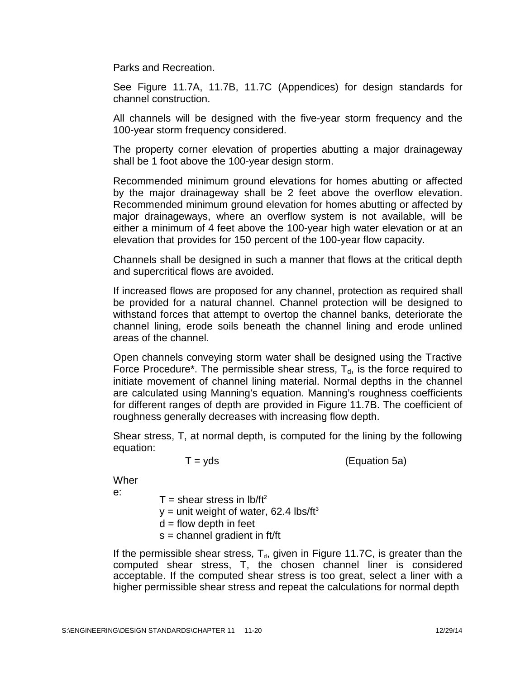Parks and Recreation.

See Figure 11.7A, 11.7B, 11.7C (Appendices) for design standards for channel construction.

All channels will be designed with the five-year storm frequency and the 100-year storm frequency considered.

The property corner elevation of properties abutting a major drainageway shall be 1 foot above the 100-year design storm.

Recommended minimum ground elevations for homes abutting or affected by the major drainageway shall be 2 feet above the overflow elevation. Recommended minimum ground elevation for homes abutting or affected by major drainageways, where an overflow system is not available, will be either a minimum of 4 feet above the 100-year high water elevation or at an elevation that provides for 150 percent of the 100-year flow capacity.

Channels shall be designed in such a manner that flows at the critical depth and supercritical flows are avoided.

If increased flows are proposed for any channel, protection as required shall be provided for a natural channel. Channel protection will be designed to withstand forces that attempt to overtop the channel banks, deteriorate the channel lining, erode soils beneath the channel lining and erode unlined areas of the channel.

Open channels conveying storm water shall be designed using the Tractive Force Procedure<sup>\*</sup>. The permissible shear stress,  $T<sub>d</sub>$ , is the force required to initiate movement of channel lining material. Normal depths in the channel are calculated using Manning's equation. Manning's roughness coefficients for different ranges of depth are provided in Figure 11.7B. The coefficient of roughness generally decreases with increasing flow depth.

Shear stress, T, at normal depth, is computed for the lining by the following equation:

 $T = yds$  (Equation 5a)

Wher

e:

 $T =$  shear stress in lb/ft<sup>2</sup>

 $y =$  unit weight of water, 62.4 lbs/ft<sup>3</sup>

 $d =$  flow depth in feet

 $s =$  channel gradient in ft/ft

If the permissible shear stress,  $T_{d}$ , given in Figure 11.7C, is greater than the computed shear stress, T, the chosen channel liner is considered acceptable. If the computed shear stress is too great, select a liner with a higher permissible shear stress and repeat the calculations for normal depth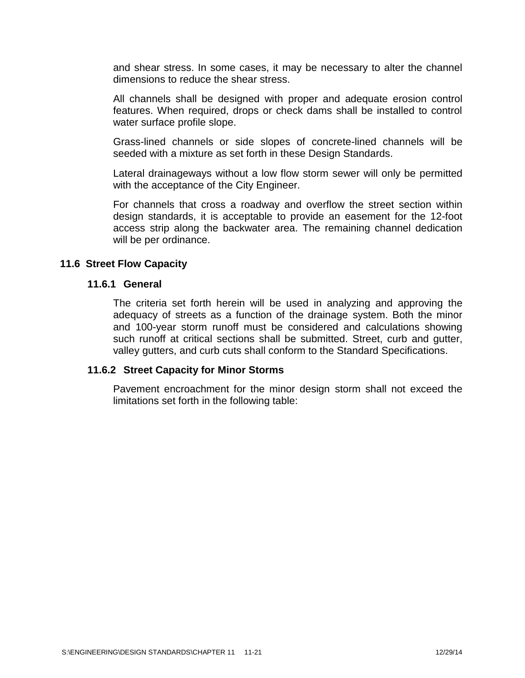and shear stress. In some cases, it may be necessary to alter the channel dimensions to reduce the shear stress.

All channels shall be designed with proper and adequate erosion control features. When required, drops or check dams shall be installed to control water surface profile slope.

Grass-lined channels or side slopes of concrete-lined channels will be seeded with a mixture as set forth in these Design Standards.

Lateral drainageways without a low flow storm sewer will only be permitted with the acceptance of the City Engineer.

For channels that cross a roadway and overflow the street section within design standards, it is acceptable to provide an easement for the 12-foot access strip along the backwater area. The remaining channel dedication will be per ordinance.

#### **11.6 Street Flow Capacity**

#### **11.6.1 General**

The criteria set forth herein will be used in analyzing and approving the adequacy of streets as a function of the drainage system. Both the minor and 100-year storm runoff must be considered and calculations showing such runoff at critical sections shall be submitted. Street, curb and gutter, valley gutters, and curb cuts shall conform to the Standard Specifications.

#### **11.6.2 Street Capacity for Minor Storms**

Pavement encroachment for the minor design storm shall not exceed the limitations set forth in the following table: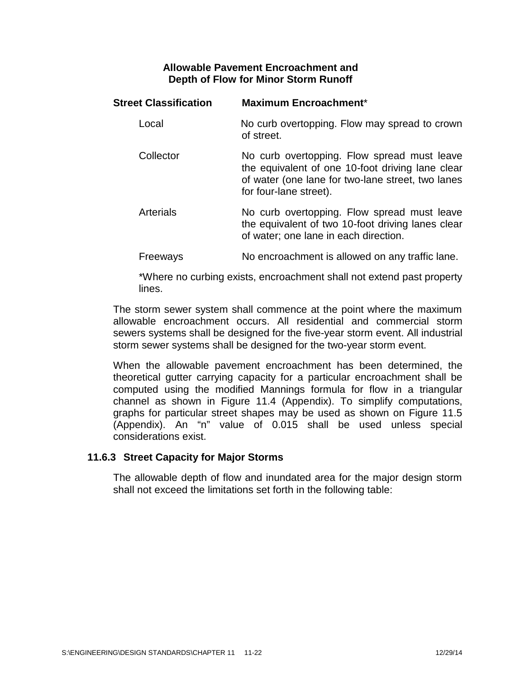### **Allowable Pavement Encroachment and Depth of Flow for Minor Storm Runoff**

| <b>Street Classification</b> | <b>Maximum Encroachment*</b>                                                                                                                                                   |
|------------------------------|--------------------------------------------------------------------------------------------------------------------------------------------------------------------------------|
| Local                        | No curb overtopping. Flow may spread to crown<br>of street.                                                                                                                    |
| Collector                    | No curb overtopping. Flow spread must leave<br>the equivalent of one 10-foot driving lane clear<br>of water (one lane for two-lane street, two lanes<br>for four-lane street). |
| <b>Arterials</b>             | No curb overtopping. Flow spread must leave<br>the equivalent of two 10-foot driving lanes clear<br>of water; one lane in each direction.                                      |
| Freeways                     | No encroachment is allowed on any traffic lane.                                                                                                                                |

\*Where no curbing exists, encroachment shall not extend past property lines.

The storm sewer system shall commence at the point where the maximum allowable encroachment occurs. All residential and commercial storm sewers systems shall be designed for the five-year storm event. All industrial storm sewer systems shall be designed for the two-year storm event.

When the allowable pavement encroachment has been determined, the theoretical gutter carrying capacity for a particular encroachment shall be computed using the modified Mannings formula for flow in a triangular channel as shown in Figure 11.4 (Appendix). To simplify computations, graphs for particular street shapes may be used as shown on Figure 11.5 (Appendix). An "n" value of 0.015 shall be used unless special considerations exist.

#### **11.6.3 Street Capacity for Major Storms**

The allowable depth of flow and inundated area for the major design storm shall not exceed the limitations set forth in the following table: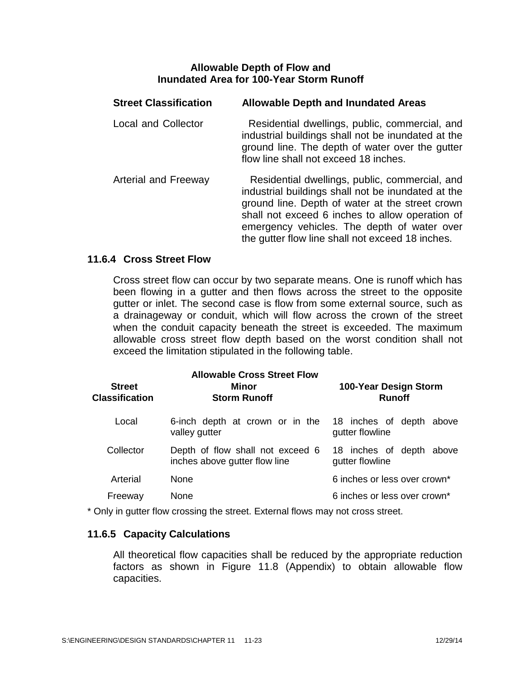#### **Allowable Depth of Flow and Inundated Area for 100-Year Storm Runoff**

| <b>Street Classification</b> | <b>Allowable Depth and Inundated Areas</b>                                                                                                                                                                                                                                                                    |  |
|------------------------------|---------------------------------------------------------------------------------------------------------------------------------------------------------------------------------------------------------------------------------------------------------------------------------------------------------------|--|
| <b>Local and Collector</b>   | Residential dwellings, public, commercial, and<br>industrial buildings shall not be inundated at the<br>ground line. The depth of water over the gutter<br>flow line shall not exceed 18 inches.                                                                                                              |  |
| <b>Arterial and Freeway</b>  | Residential dwellings, public, commercial, and<br>industrial buildings shall not be inundated at the<br>ground line. Depth of water at the street crown<br>shall not exceed 6 inches to allow operation of<br>emergency vehicles. The depth of water over<br>the gutter flow line shall not exceed 18 inches. |  |

### **11.6.4 Cross Street Flow**

Cross street flow can occur by two separate means. One is runoff which has been flowing in a gutter and then flows across the street to the opposite gutter or inlet. The second case is flow from some external source, such as a drainageway or conduit, which will flow across the crown of the street when the conduit capacity beneath the street is exceeded. The maximum allowable cross street flow depth based on the worst condition shall not exceed the limitation stipulated in the following table.

| <b>Street</b><br><b>Classification</b> | <b>Allowable Cross Street Flow</b><br>Minor<br><b>Storm Runoff</b> | 100-Year Design Storm<br><b>Runoff</b>         |
|----------------------------------------|--------------------------------------------------------------------|------------------------------------------------|
| Local                                  | 6-inch depth at crown or in the<br>valley gutter                   | 18 inches of depth above<br>gutter flowline    |
| Collector                              | Depth of flow shall not exceed 6<br>inches above gutter flow line  | 18 inches of depth<br>above<br>gutter flowline |
| Arterial                               | <b>None</b>                                                        | 6 inches or less over crown*                   |
| Freeway                                | <b>None</b>                                                        | 6 inches or less over crown*                   |

\* Only in gutter flow crossing the street. External flows may not cross street.

#### **11.6.5 Capacity Calculations**

All theoretical flow capacities shall be reduced by the appropriate reduction factors as shown in Figure 11.8 (Appendix) to obtain allowable flow capacities.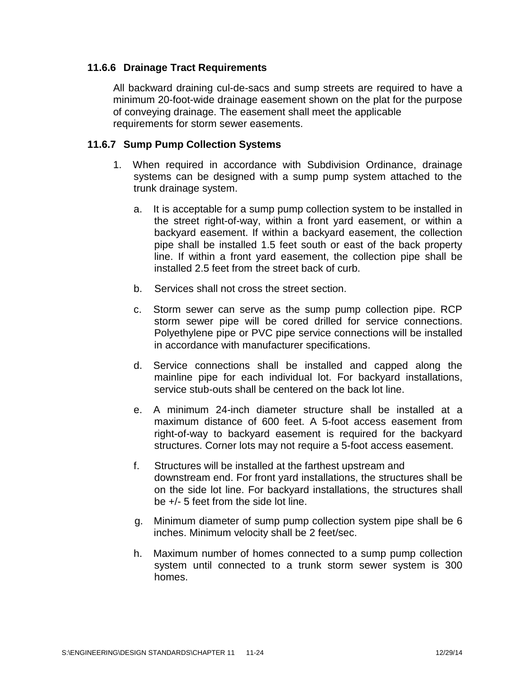# **11.6.6 Drainage Tract Requirements**

All backward draining cul-de-sacs and sump streets are required to have a minimum 20-foot-wide drainage easement shown on the plat for the purpose of conveying drainage. The easement shall meet the applicable requirements for storm sewer easements.

#### **11.6.7 Sump Pump Collection Systems**

- 1. When required in accordance with Subdivision Ordinance, drainage systems can be designed with a sump pump system attached to the trunk drainage system.
	- a. It is acceptable for a sump pump collection system to be installed in the street right-of-way, within a front yard easement, or within a backyard easement. If within a backyard easement, the collection pipe shall be installed 1.5 feet south or east of the back property line. If within a front yard easement, the collection pipe shall be installed 2.5 feet from the street back of curb.
	- b. Services shall not cross the street section.
	- c. Storm sewer can serve as the sump pump collection pipe. RCP storm sewer pipe will be cored drilled for service connections. Polyethylene pipe or PVC pipe service connections will be installed in accordance with manufacturer specifications.
	- d. Service connections shall be installed and capped along the mainline pipe for each individual lot. For backyard installations, service stub-outs shall be centered on the back lot line.
	- e. A minimum 24-inch diameter structure shall be installed at a maximum distance of 600 feet. A 5-foot access easement from right-of-way to backyard easement is required for the backyard structures. Corner lots may not require a 5-foot access easement.
	- f. Structures will be installed at the farthest upstream and downstream end. For front yard installations, the structures shall be on the side lot line. For backyard installations, the structures shall be +/- 5 feet from the side lot line.
	- g. Minimum diameter of sump pump collection system pipe shall be 6 inches. Minimum velocity shall be 2 feet/sec.
	- h. Maximum number of homes connected to a sump pump collection system until connected to a trunk storm sewer system is 300 homes.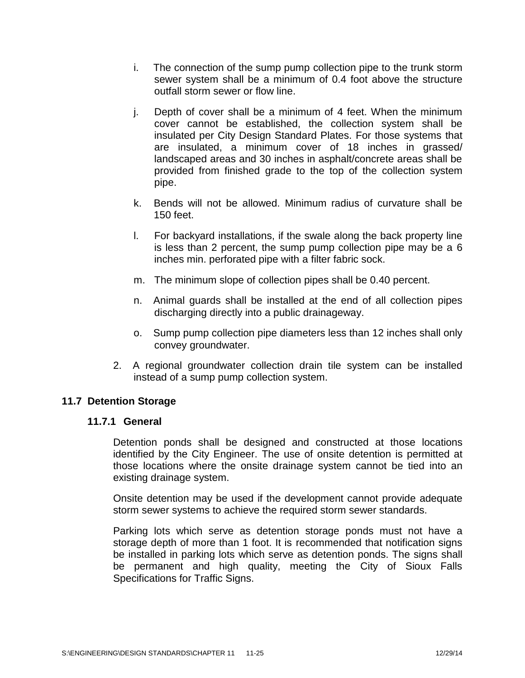- i. The connection of the sump pump collection pipe to the trunk storm sewer system shall be a minimum of 0.4 foot above the structure outfall storm sewer or flow line.
- j. Depth of cover shall be a minimum of 4 feet. When the minimum cover cannot be established, the collection system shall be insulated per City Design Standard Plates. For those systems that are insulated, a minimum cover of 18 inches in grassed/ landscaped areas and 30 inches in asphalt/concrete areas shall be provided from finished grade to the top of the collection system pipe.
- k. Bends will not be allowed. Minimum radius of curvature shall be 150 feet.
- l. For backyard installations, if the swale along the back property line is less than 2 percent, the sump pump collection pipe may be a 6 inches min. perforated pipe with a filter fabric sock.
- m. The minimum slope of collection pipes shall be 0.40 percent.
- n. Animal guards shall be installed at the end of all collection pipes discharging directly into a public drainageway.
- o. Sump pump collection pipe diameters less than 12 inches shall only convey groundwater.
- 2. A regional groundwater collection drain tile system can be installed instead of a sump pump collection system.

# **11.7 Detention Storage**

#### **11.7.1 General**

Detention ponds shall be designed and constructed at those locations identified by the City Engineer. The use of onsite detention is permitted at those locations where the onsite drainage system cannot be tied into an existing drainage system.

Onsite detention may be used if the development cannot provide adequate storm sewer systems to achieve the required storm sewer standards.

Parking lots which serve as detention storage ponds must not have a storage depth of more than 1 foot. It is recommended that notification signs be installed in parking lots which serve as detention ponds. The signs shall be permanent and high quality, meeting the City of Sioux Falls Specifications for Traffic Signs.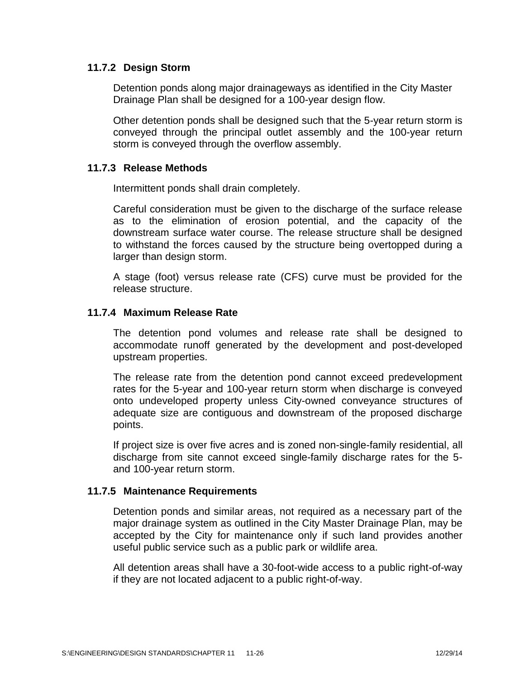### **11.7.2 Design Storm**

Detention ponds along major drainageways as identified in the City Master Drainage Plan shall be designed for a 100-year design flow.

Other detention ponds shall be designed such that the 5-year return storm is conveyed through the principal outlet assembly and the 100-year return storm is conveyed through the overflow assembly.

#### **11.7.3 Release Methods**

Intermittent ponds shall drain completely.

Careful consideration must be given to the discharge of the surface release as to the elimination of erosion potential, and the capacity of the downstream surface water course. The release structure shall be designed to withstand the forces caused by the structure being overtopped during a larger than design storm.

A stage (foot) versus release rate (CFS) curve must be provided for the release structure.

#### **11.7.4 Maximum Release Rate**

The detention pond volumes and release rate shall be designed to accommodate runoff generated by the development and post-developed upstream properties.

The release rate from the detention pond cannot exceed predevelopment rates for the 5-year and 100-year return storm when discharge is conveyed onto undeveloped property unless City-owned conveyance structures of adequate size are contiguous and downstream of the proposed discharge points.

If project size is over five acres and is zoned non-single-family residential, all discharge from site cannot exceed single-family discharge rates for the 5 and 100-year return storm.

#### **11.7.5 Maintenance Requirements**

Detention ponds and similar areas, not required as a necessary part of the major drainage system as outlined in the City Master Drainage Plan, may be accepted by the City for maintenance only if such land provides another useful public service such as a public park or wildlife area.

All detention areas shall have a 30-foot-wide access to a public right-of-way if they are not located adjacent to a public right-of-way.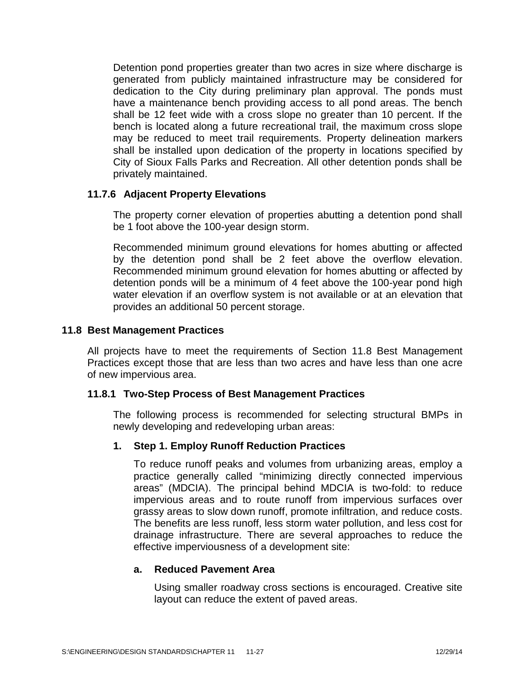Detention pond properties greater than two acres in size where discharge is generated from publicly maintained infrastructure may be considered for dedication to the City during preliminary plan approval. The ponds must have a maintenance bench providing access to all pond areas. The bench shall be 12 feet wide with a cross slope no greater than 10 percent. If the bench is located along a future recreational trail, the maximum cross slope may be reduced to meet trail requirements. Property delineation markers shall be installed upon dedication of the property in locations specified by City of Sioux Falls Parks and Recreation. All other detention ponds shall be privately maintained.

# **11.7.6 Adjacent Property Elevations**

The property corner elevation of properties abutting a detention pond shall be 1 foot above the 100-year design storm.

Recommended minimum ground elevations for homes abutting or affected by the detention pond shall be 2 feet above the overflow elevation. Recommended minimum ground elevation for homes abutting or affected by detention ponds will be a minimum of 4 feet above the 100-year pond high water elevation if an overflow system is not available or at an elevation that provides an additional 50 percent storage.

#### **11.8 Best Management Practices**

All projects have to meet the requirements of Section 11.8 Best Management Practices except those that are less than two acres and have less than one acre of new impervious area.

#### **11.8.1 Two-Step Process of Best Management Practices**

The following process is recommended for selecting structural BMPs in newly developing and redeveloping urban areas:

#### **1. Step 1. Employ Runoff Reduction Practices**

To reduce runoff peaks and volumes from urbanizing areas, employ a practice generally called "minimizing directly connected impervious areas" (MDCIA). The principal behind MDCIA is two-fold: to reduce impervious areas and to route runoff from impervious surfaces over grassy areas to slow down runoff, promote infiltration, and reduce costs. The benefits are less runoff, less storm water pollution, and less cost for drainage infrastructure. There are several approaches to reduce the effective imperviousness of a development site:

#### **a. Reduced Pavement Area**

Using smaller roadway cross sections is encouraged. Creative site layout can reduce the extent of paved areas.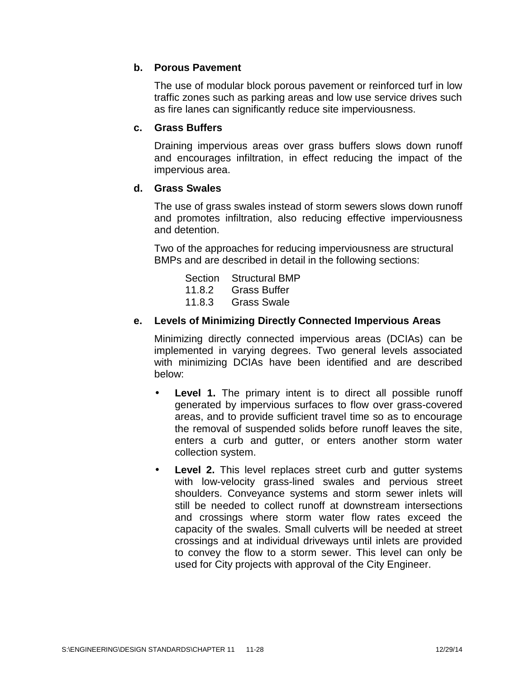# **b. Porous Pavement**

The use of modular block porous pavement or reinforced turf in low traffic zones such as parking areas and low use service drives such as fire lanes can significantly reduce site imperviousness.

#### **c. Grass Buffers**

Draining impervious areas over grass buffers slows down runoff and encourages infiltration, in effect reducing the impact of the impervious area.

### **d. Grass Swales**

The use of grass swales instead of storm sewers slows down runoff and promotes infiltration, also reducing effective imperviousness and detention.

Two of the approaches for reducing imperviousness are structural BMPs and are described in detail in the following sections:

| Section Structural BMP |  |
|------------------------|--|
| 11.8.2 Grass Buffer    |  |
| 11.8.3 Grass Swale     |  |

# **e. Levels of Minimizing Directly Connected Impervious Areas**

Minimizing directly connected impervious areas (DCIAs) can be implemented in varying degrees. Two general levels associated with minimizing DCIAs have been identified and are described below:

- **Level 1.** The primary intent is to direct all possible runoff generated by impervious surfaces to flow over grass-covered areas, and to provide sufficient travel time so as to encourage the removal of suspended solids before runoff leaves the site, enters a curb and gutter, or enters another storm water collection system.
- **Level 2.** This level replaces street curb and gutter systems with low-velocity grass-lined swales and pervious street shoulders. Conveyance systems and storm sewer inlets will still be needed to collect runoff at downstream intersections and crossings where storm water flow rates exceed the capacity of the swales. Small culverts will be needed at street crossings and at individual driveways until inlets are provided to convey the flow to a storm sewer. This level can only be used for City projects with approval of the City Engineer.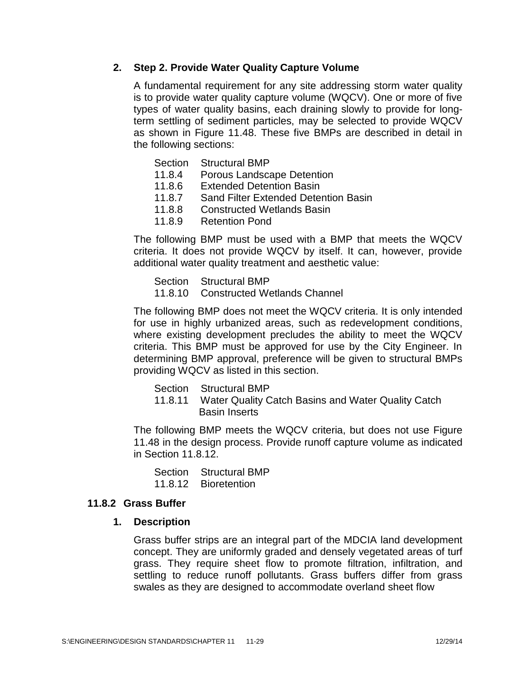### **2. Step 2. Provide Water Quality Capture Volume**

A fundamental requirement for any site addressing storm water quality is to provide water quality capture volume (WQCV). One or more of five types of water quality basins, each draining slowly to provide for longterm settling of sediment particles, may be selected to provide WQCV as shown in Figure 11.48. These five BMPs are described in detail in the following sections:

- Section Structural BMP
- 11.8.4 Porous Landscape Detention
- 11.8.6 Extended Detention Basin<br>11.8.7 Sand Filter Extended Dete
- Sand Filter Extended Detention Basin
- 11.8.8 Constructed Wetlands Basin
- 11.8.9 Retention Pond

The following BMP must be used with a BMP that meets the WQCV criteria. It does not provide WQCV by itself. It can, however, provide additional water quality treatment and aesthetic value:

- Section Structural BMP
- 11.8.10 Constructed Wetlands Channel

The following BMP does not meet the WQCV criteria. It is only intended for use in highly urbanized areas, such as redevelopment conditions, where existing development precludes the ability to meet the WQCV criteria. This BMP must be approved for use by the City Engineer. In determining BMP approval, preference will be given to structural BMPs providing WQCV as listed in this section.

Section Structural BMP

11.8.11 Water Quality Catch Basins and Water Quality Catch Basin Inserts

The following BMP meets the WQCV criteria, but does not use Figure 11.48 in the design process. Provide runoff capture volume as indicated in Section 11.8.12.

| Section Structural BMP |
|------------------------|
| 11.8.12 Bioretention   |

#### **11.8.2 Grass Buffer**

#### **1. Description**

Grass buffer strips are an integral part of the MDCIA land development concept. They are uniformly graded and densely vegetated areas of turf grass. They require sheet flow to promote filtration, infiltration, and settling to reduce runoff pollutants. Grass buffers differ from grass swales as they are designed to accommodate overland sheet flow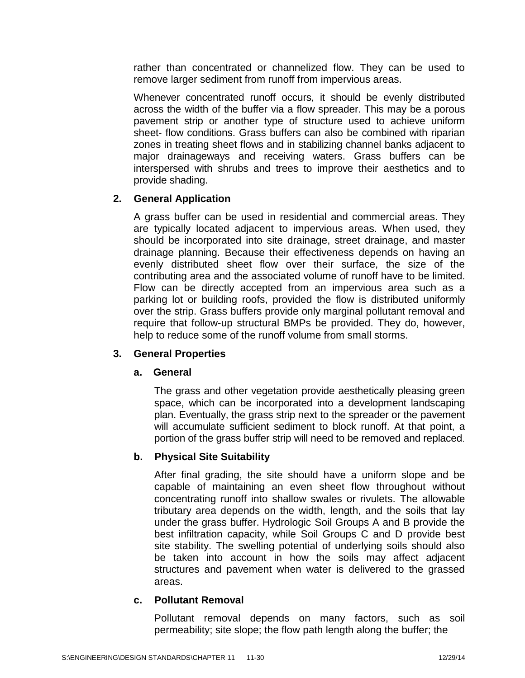rather than concentrated or channelized flow. They can be used to remove larger sediment from runoff from impervious areas.

Whenever concentrated runoff occurs, it should be evenly distributed across the width of the buffer via a flow spreader. This may be a porous pavement strip or another type of structure used to achieve uniform sheet- flow conditions. Grass buffers can also be combined with riparian zones in treating sheet flows and in stabilizing channel banks adjacent to major drainageways and receiving waters. Grass buffers can be interspersed with shrubs and trees to improve their aesthetics and to provide shading.

# **2. General Application**

A grass buffer can be used in residential and commercial areas. They are typically located adjacent to impervious areas. When used, they should be incorporated into site drainage, street drainage, and master drainage planning. Because their effectiveness depends on having an evenly distributed sheet flow over their surface, the size of the contributing area and the associated volume of runoff have to be limited. Flow can be directly accepted from an impervious area such as a parking lot or building roofs, provided the flow is distributed uniformly over the strip. Grass buffers provide only marginal pollutant removal and require that follow-up structural BMPs be provided. They do, however, help to reduce some of the runoff volume from small storms.

# **3. General Properties**

# **a. General**

The grass and other vegetation provide aesthetically pleasing green space, which can be incorporated into a development landscaping plan. Eventually, the grass strip next to the spreader or the pavement will accumulate sufficient sediment to block runoff. At that point, a portion of the grass buffer strip will need to be removed and replaced.

# **b. Physical Site Suitability**

After final grading, the site should have a uniform slope and be capable of maintaining an even sheet flow throughout without concentrating runoff into shallow swales or rivulets. The allowable tributary area depends on the width, length, and the soils that lay under the grass buffer. Hydrologic Soil Groups A and B provide the best infiltration capacity, while Soil Groups C and D provide best site stability. The swelling potential of underlying soils should also be taken into account in how the soils may affect adjacent structures and pavement when water is delivered to the grassed areas.

# **c. Pollutant Removal**

Pollutant removal depends on many factors, such as soil permeability; site slope; the flow path length along the buffer; the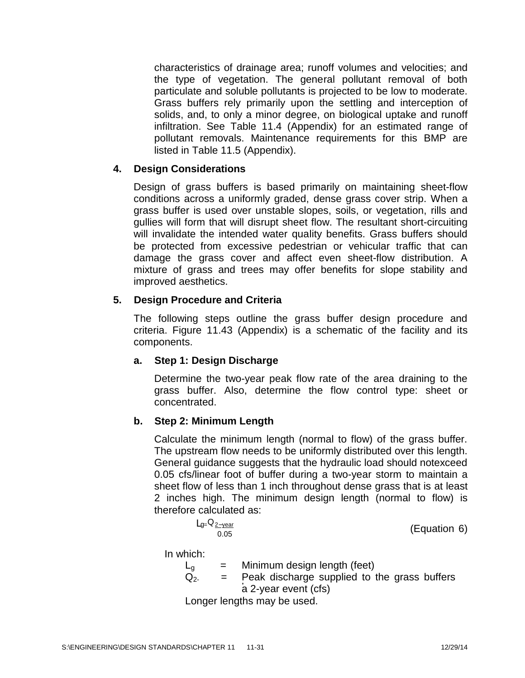characteristics of drainage area; runoff volumes and velocities; and the type of vegetation. The general pollutant removal of both particulate and soluble pollutants is projected to be low to moderate. Grass buffers rely primarily upon the settling and interception of solids, and, to only a minor degree, on biological uptake and runoff infiltration. See Table 11.4 (Appendix) for an estimated range of pollutant removals. Maintenance requirements for this BMP are listed in Table 11.5 (Appendix).

# **4. Design Considerations**

Design of grass buffers is based primarily on maintaining sheet-flow conditions across a uniformly graded, dense grass cover strip. When a grass buffer is used over unstable slopes, soils, or vegetation, rills and gullies will form that will disrupt sheet flow. The resultant short-circuiting will invalidate the intended water quality benefits. Grass buffers should be protected from excessive pedestrian or vehicular traffic that can damage the grass cover and affect even sheet-flow distribution. A mixture of grass and trees may offer benefits for slope stability and improved aesthetics.

# **5. Design Procedure and Criteria**

The following steps outline the grass buffer design procedure and criteria. Figure 11.43 (Appendix) is a schematic of the facility and its components.

# **a. Step 1: Design Discharge**

Determine the two-year peak flow rate of the area draining to the grass buffer. Also, determine the flow control type: sheet or concentrated.

# **b. Step 2: Minimum Length**

Calculate the minimum length (normal to flow) of the grass buffer. The upstream flow needs to be uniformly distributed over this length. General guidance suggests that the hydraulic load should notexceed 0.05 cfs/linear foot of buffer during a two-year storm to maintain a sheet flow of less than 1 inch throughout dense grass that is at least 2 inches high. The minimum design length (normal to flow) is therefore calculated as:

| $L_{g=}Q_{2-year}$ | (Equation 6) |
|--------------------|--------------|
| 0.05               |              |

In which:

 $L_{0}$  = Minimum design length (feet)  $Q<sub>2</sub>$  $=$  Peak discharge supplied to the grass buffers a 2-year event (cfs) Longer lengths may be used.

S:\ENGINEERING\DESIGN STANDARDS\CHAPTER 11 11-31 1200/14 12/29/14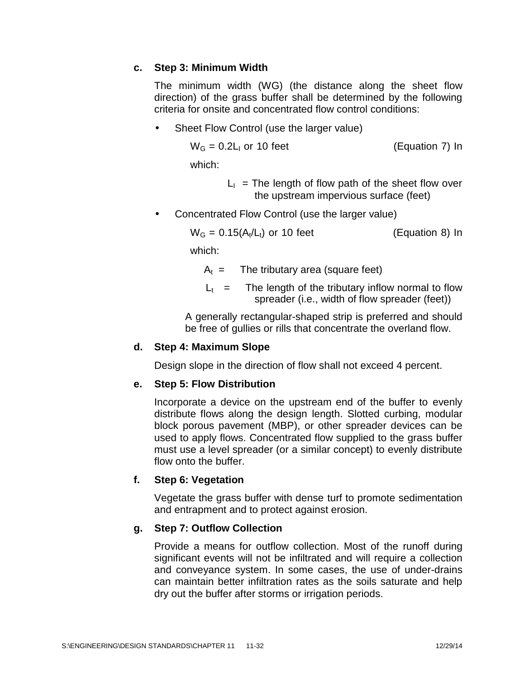# **c. Step 3: Minimum Width**

The minimum width (WG) (the distance along the sheet flow direction) of the grass buffer shall be determined by the following criteria for onsite and concentrated flow control conditions:

Sheet Flow Control (use the larger value)

$$
W_{G} = 0.2L_1 \text{ or } 10 \text{ feet} \tag{Equation 7) In}
$$

which:

 $L_1$  = The length of flow path of the sheet flow over the upstream impervious surface (feet)

Concentrated Flow Control (use the larger value)

 $W_G = 0.15(A_t/L_t)$  or 10 feet (Equation 8) In

which:

- $A_t$  = The tributary area (square feet)
- $L_t$  = The length of the tributary inflow normal to flow spreader (i.e., width of flow spreader (feet))

A generally rectangular-shaped strip is preferred and should be free of gullies or rills that concentrate the overland flow.

# **d. Step 4: Maximum Slope**

Design slope in the direction of flow shall not exceed 4 percent.

# **e. Step 5: Flow Distribution**

Incorporate a device on the upstream end of the buffer to evenly distribute flows along the design length. Slotted curbing, modular block porous pavement (MBP), or other spreader devices can be used to apply flows. Concentrated flow supplied to the grass buffer must use a level spreader (or a similar concept) to evenly distribute flow onto the buffer.

# **f. Step 6: Vegetation**

Vegetate the grass buffer with dense turf to promote sedimentation and entrapment and to protect against erosion.

# **g. Step 7: Outflow Collection**

Provide a means for outflow collection. Most of the runoff during significant events will not be infiltrated and will require a collection and conveyance system. In some cases, the use of under-drains can maintain better infiltration rates as the soils saturate and help dry out the buffer after storms or irrigation periods.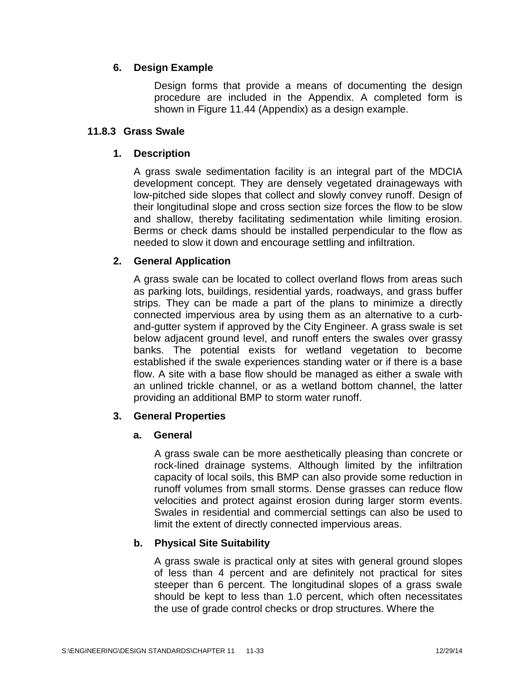# **6. Design Example**

Design forms that provide a means of documenting the design procedure are included in the Appendix. A completed form is shown in Figure 11.44 (Appendix) as a design example.

# **11.8.3 Grass Swale**

# **1. Description**

A grass swale sedimentation facility is an integral part of the MDCIA development concept. They are densely vegetated drainageways with low-pitched side slopes that collect and slowly convey runoff. Design of their longitudinal slope and cross section size forces the flow to be slow and shallow, thereby facilitating sedimentation while limiting erosion. Berms or check dams should be installed perpendicular to the flow as needed to slow it down and encourage settling and infiltration.

# **2. General Application**

A grass swale can be located to collect overland flows from areas such as parking lots, buildings, residential yards, roadways, and grass buffer strips. They can be made a part of the plans to minimize a directly connected impervious area by using them as an alternative to a curb and-gutter system if approved by the City Engineer. A grass swale is set below adjacent ground level, and runoff enters the swales over grassy banks. The potential exists for wetland vegetation to become established if the swale experiences standing water or if there is a base flow. A site with a base flow should be managed as either a swale with an unlined trickle channel, or as a wetland bottom channel, the latter providing an additional BMP to storm water runoff.

# **3. General Properties**

# **a. General**

A grass swale can be more aesthetically pleasing than concrete or rock-lined drainage systems. Although limited by the infiltration capacity of local soils, this BMP can also provide some reduction in runoff volumes from small storms. Dense grasses can reduce flow velocities and protect against erosion during larger storm events. Swales in residential and commercial settings can also be used to limit the extent of directly connected impervious areas.

# **b. Physical Site Suitability**

A grass swale is practical only at sites with general ground slopes of less than 4 percent and are definitely not practical for sites steeper than 6 percent. The longitudinal slopes of a grass swale should be kept to less than 1.0 percent, which often necessitates the use of grade control checks or drop structures. Where the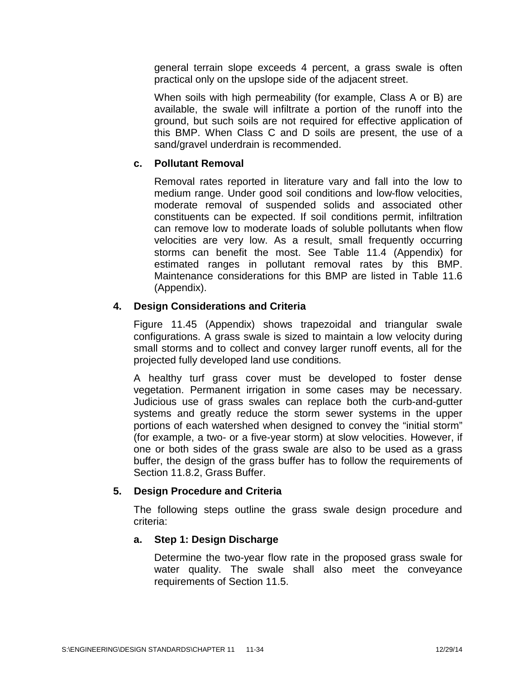general terrain slope exceeds 4 percent, a grass swale is often practical only on the upslope side of the adjacent street.

When soils with high permeability (for example, Class A or B) are available, the swale will infiltrate a portion of the runoff into the ground, but such soils are not required for effective application of this BMP. When Class C and D soils are present, the use of a sand/gravel underdrain is recommended.

### **c. Pollutant Removal**

Removal rates reported in literature vary and fall into the low to medium range. Under good soil conditions and low-flow velocities, moderate removal of suspended solids and associated other constituents can be expected. If soil conditions permit, infiltration can remove low to moderate loads of soluble pollutants when flow velocities are very low. As a result, small frequently occurring storms can benefit the most. See Table 11.4 (Appendix) for estimated ranges in pollutant removal rates by this BMP. Maintenance considerations for this BMP are listed in Table 11.6 (Appendix).

### **4. Design Considerations and Criteria**

Figure 11.45 (Appendix) shows trapezoidal and triangular swale configurations. A grass swale is sized to maintain a low velocity during small storms and to collect and convey larger runoff events, all for the projected fully developed land use conditions.

A healthy turf grass cover must be developed to foster dense vegetation. Permanent irrigation in some cases may be necessary. Judicious use of grass swales can replace both the curb-and-gutter systems and greatly reduce the storm sewer systems in the upper portions of each watershed when designed to convey the "initial storm" (for example, a two- or a five-year storm) at slow velocities. However, if one or both sides of the grass swale are also to be used as a grass buffer, the design of the grass buffer has to follow the requirements of Section 11.8.2, Grass Buffer.

## **5. Design Procedure and Criteria**

The following steps outline the grass swale design procedure and criteria:

#### **a. Step 1: Design Discharge**

Determine the two-year flow rate in the proposed grass swale for water quality. The swale shall also meet the conveyance requirements of Section 11.5.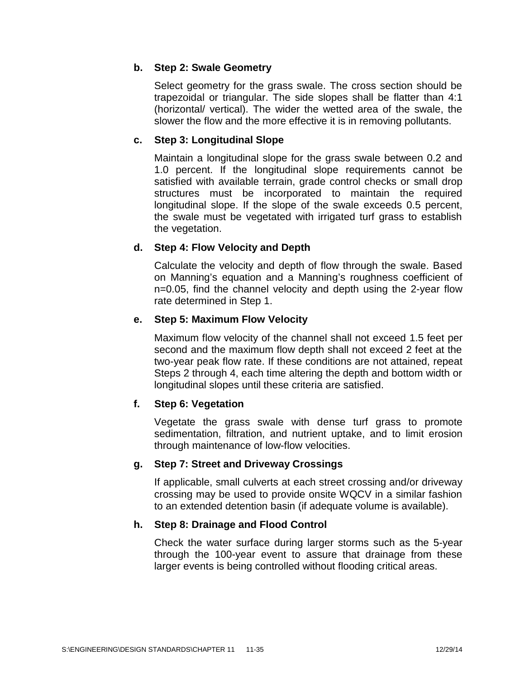# **b. Step 2: Swale Geometry**

Select geometry for the grass swale. The cross section should be trapezoidal or triangular. The side slopes shall be flatter than 4:1 (horizontal/ vertical). The wider the wetted area of the swale, the slower the flow and the more effective it is in removing pollutants.

# **c. Step 3: Longitudinal Slope**

Maintain a longitudinal slope for the grass swale between 0.2 and 1.0 percent. If the longitudinal slope requirements cannot be satisfied with available terrain, grade control checks or small drop structures must be incorporated to maintain the required longitudinal slope. If the slope of the swale exceeds 0.5 percent, the swale must be vegetated with irrigated turf grass to establish the vegetation.

## **d. Step 4: Flow Velocity and Depth**

Calculate the velocity and depth of flow through the swale. Based on Manning's equation and a Manning's roughness coefficient of n=0.05, find the channel velocity and depth using the 2-year flow rate determined in Step 1.

## **e. Step 5: Maximum Flow Velocity**

Maximum flow velocity of the channel shall not exceed 1.5 feet per second and the maximum flow depth shall not exceed 2 feet at the two-year peak flow rate. If these conditions are not attained, repeat Steps 2 through 4, each time altering the depth and bottom width or longitudinal slopes until these criteria are satisfied.

## **f. Step 6: Vegetation**

Vegetate the grass swale with dense turf grass to promote sedimentation, filtration, and nutrient uptake, and to limit erosion through maintenance of low-flow velocities.

## **g. Step 7: Street and Driveway Crossings**

If applicable, small culverts at each street crossing and/or driveway crossing may be used to provide onsite WQCV in a similar fashion to an extended detention basin (if adequate volume is available).

## **h. Step 8: Drainage and Flood Control**

Check the water surface during larger storms such as the 5-year through the 100-year event to assure that drainage from these larger events is being controlled without flooding critical areas.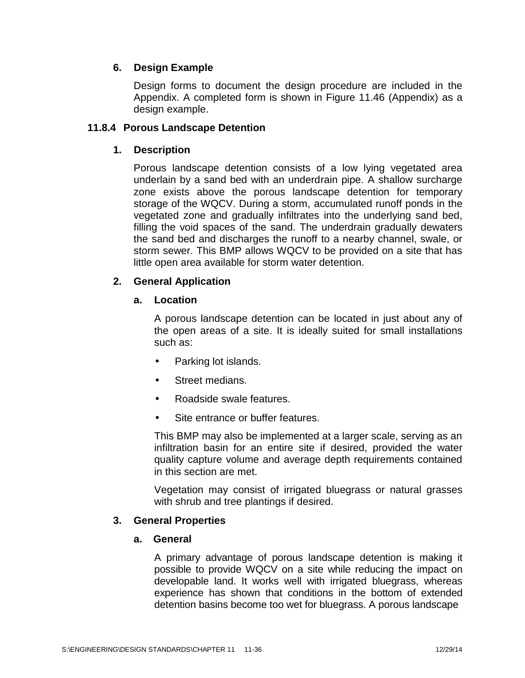# **6. Design Example**

Design forms to document the design procedure are included in the Appendix. A completed form is shown in Figure 11.46 (Appendix) as a design example.

### **11.8.4 Porous Landscape Detention**

## **1. Description**

Porous landscape detention consists of a low lying vegetated area underlain by a sand bed with an underdrain pipe. A shallow surcharge zone exists above the porous landscape detention for temporary storage of the WQCV. During a storm, accumulated runoff ponds in the vegetated zone and gradually infiltrates into the underlying sand bed, filling the void spaces of the sand. The underdrain gradually dewaters the sand bed and discharges the runoff to a nearby channel, swale, or storm sewer. This BMP allows WQCV to be provided on a site that has little open area available for storm water detention.

# **2. General Application**

# **a. Location**

A porous landscape detention can be located in just about any of the open areas of a site. It is ideally suited for small installations such as:

- Parking lot islands.
- Street medians.
- Roadside swale features.
- Site entrance or buffer features.

This BMP may also be implemented at a larger scale, serving as an infiltration basin for an entire site if desired, provided the water quality capture volume and average depth requirements contained in this section are met.

Vegetation may consist of irrigated bluegrass or natural grasses with shrub and tree plantings if desired.

## **3. General Properties**

## **a. General**

A primary advantage of porous landscape detention is making it possible to provide WQCV on a site while reducing the impact on developable land. It works well with irrigated bluegrass, whereas experience has shown that conditions in the bottom of extended detention basins become too wet for bluegrass. A porous landscape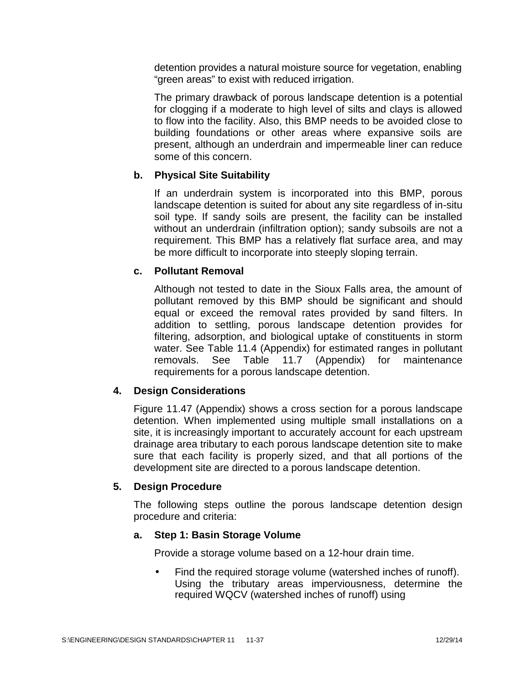detention provides a natural moisture source for vegetation, enabling "green areas" to exist with reduced irrigation.

The primary drawback of porous landscape detention is a potential for clogging if a moderate to high level of silts and clays is allowed to flow into the facility. Also, this BMP needs to be avoided close to building foundations or other areas where expansive soils are present, although an underdrain and impermeable liner can reduce some of this concern.

## **b. Physical Site Suitability**

If an underdrain system is incorporated into this BMP, porous landscape detention is suited for about any site regardless of in-situ soil type. If sandy soils are present, the facility can be installed without an underdrain (infiltration option); sandy subsoils are not a requirement. This BMP has a relatively flat surface area, and may be more difficult to incorporate into steeply sloping terrain.

#### **c. Pollutant Removal**

Although not tested to date in the Sioux Falls area, the amount of pollutant removed by this BMP should be significant and should equal or exceed the removal rates provided by sand filters. In addition to settling, porous landscape detention provides for filtering, adsorption, and biological uptake of constituents in storm water. See Table 11.4 (Appendix) for estimated ranges in pollutant removals. See Table 11.7 (Appendix) for maintenance requirements for a porous landscape detention.

#### **4. Design Considerations**

Figure 11.47 (Appendix) shows a cross section for a porous landscape detention. When implemented using multiple small installations on a site, it is increasingly important to accurately account for each upstream drainage area tributary to each porous landscape detention site to make sure that each facility is properly sized, and that all portions of the development site are directed to a porous landscape detention.

#### **5. Design Procedure**

The following steps outline the porous landscape detention design procedure and criteria:

#### **a. Step 1: Basin Storage Volume**

Provide a storage volume based on a 12-hour drain time.

 Find the required storage volume (watershed inches of runoff). Using the tributary areas imperviousness, determine the required WQCV (watershed inches of runoff) using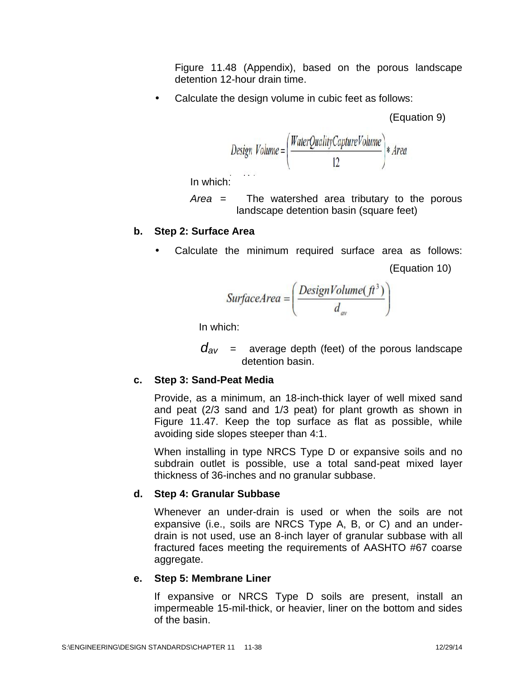Figure 11.48 (Appendix), based on the porous landscape detention 12-hour drain time.

• Calculate the design volume in cubic feet as follows:

(Equation 9)

$$
Design\ Volume = \left(\frac{WaterQualityCaptureVolume}{12}\right)*Area
$$

In which:

*Area* = The watershed area tributary to the porous landscape detention basin (square feet)

### **b. Step 2: Surface Area**

Calculate the minimum required surface area as follows:

```
(Equation 10)
```
SurfaceArea = 
$$
\left(\frac{DesignVolume(\hat{\pi}^3)}{d_{av}}\right)
$$

In which:

 $d_{av}$  = average depth (feet) of the porous landscape detention basin.

## **c. Step 3: Sand-Peat Media**

Provide, as a minimum, an 18-inch-thick layer of well mixed sand and peat (2/3 sand and 1/3 peat) for plant growth as shown in Figure 11.47. Keep the top surface as flat as possible, while avoiding side slopes steeper than 4:1.

When installing in type NRCS Type D or expansive soils and no subdrain outlet is possible, use a total sand-peat mixed layer thickness of 36-inches and no granular subbase.

## **d. Step 4: Granular Subbase**

Whenever an under-drain is used or when the soils are not expansive (i.e., soils are NRCS Type A, B, or C) and an under drain is not used, use an 8-inch layer of granular subbase with all fractured faces meeting the requirements of AASHTO #67 coarse aggregate.

#### **e. Step 5: Membrane Liner**

If expansive or NRCS Type D soils are present, install an impermeable 15-mil-thick, or heavier, liner on the bottom and sides of the basin.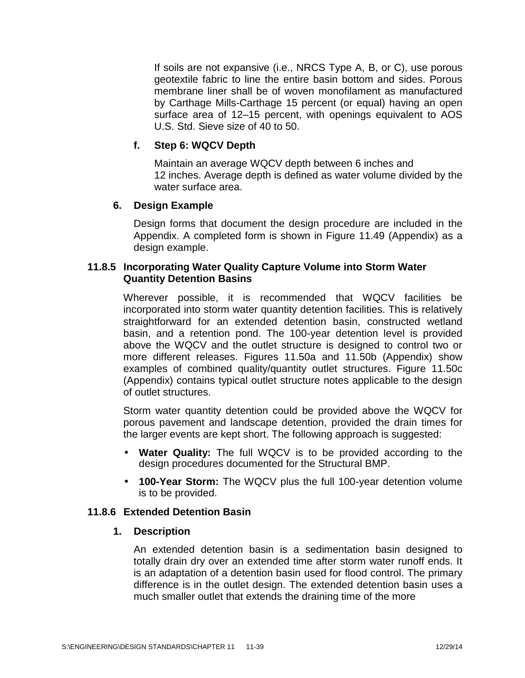If soils are not expansive (i.e., NRCS Type A, B, or C), use porous geotextile fabric to line the entire basin bottom and sides. Porous membrane liner shall be of woven monofilament as manufactured by Carthage Mills-Carthage 15 percent (or equal) having an open surface area of 12–15 percent, with openings equivalent to AOS U.S. Std. Sieve size of 40 to 50.

# **f. Step 6: WQCV Depth**

Maintain an average WQCV depth between 6 inches and 12 inches. Average depth is defined as water volume divided by the water surface area.

## **6. Design Example**

Design forms that document the design procedure are included in the Appendix. A completed form is shown in Figure 11.49 (Appendix) as a design example.

## **11.8.5 Incorporating Water Quality Capture Volume into Storm Water Quantity Detention Basins**

Wherever possible, it is recommended that WQCV facilities be incorporated into storm water quantity detention facilities. This is relatively straightforward for an extended detention basin, constructed wetland basin, and a retention pond. The 100-year detention level is provided above the WQCV and the outlet structure is designed to control two or more different releases. Figures 11.50a and 11.50b (Appendix) show examples of combined quality/quantity outlet structures. Figure 11.50c (Appendix) contains typical outlet structure notes applicable to the design of outlet structures.

Storm water quantity detention could be provided above the WQCV for porous pavement and landscape detention, provided the drain times for the larger events are kept short. The following approach is suggested:

- **Water Quality:** The full WQCV is to be provided according to the design procedures documented for the Structural BMP.
- **100-Year Storm:** The WQCV plus the full 100-year detention volume is to be provided.

## **11.8.6 Extended Detention Basin**

#### **1. Description**

An extended detention basin is a sedimentation basin designed to totally drain dry over an extended time after storm water runoff ends. It is an adaptation of a detention basin used for flood control. The primary difference is in the outlet design. The extended detention basin uses a much smaller outlet that extends the draining time of the more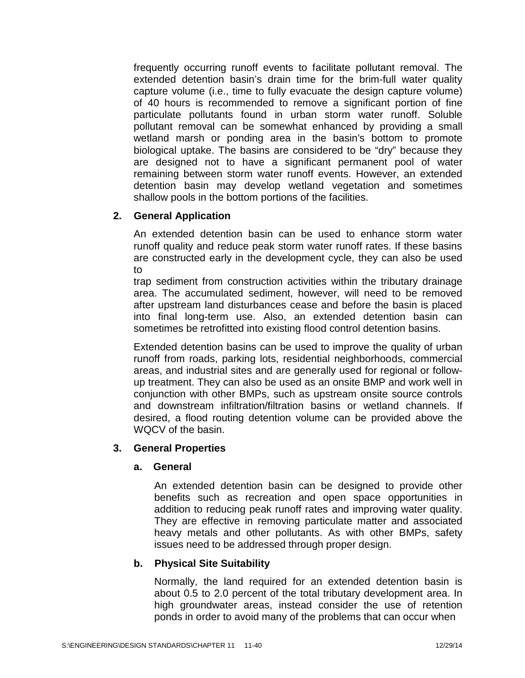frequently occurring runoff events to facilitate pollutant removal. The extended detention basin's drain time for the brim-full water quality capture volume (i.e., time to fully evacuate the design capture volume) of 40 hours is recommended to remove a significant portion of fine particulate pollutants found in urban storm water runoff. Soluble pollutant removal can be somewhat enhanced by providing a small wetland marsh or ponding area in the basin's bottom to promote biological uptake. The basins are considered to be "dry" because they are designed not to have a significant permanent pool of water remaining between storm water runoff events. However, an extended detention basin may develop wetland vegetation and sometimes shallow pools in the bottom portions of the facilities.

# **2. General Application**

An extended detention basin can be used to enhance storm water runoff quality and reduce peak storm water runoff rates. If these basins are constructed early in the development cycle, they can also be used to

trap sediment from construction activities within the tributary drainage area. The accumulated sediment, however, will need to be removed after upstream land disturbances cease and before the basin is placed into final long-term use. Also, an extended detention basin can sometimes be retrofitted into existing flood control detention basins.

Extended detention basins can be used to improve the quality of urban runoff from roads, parking lots, residential neighborhoods, commercial areas, and industrial sites and are generally used for regional or follow up treatment. They can also be used as an onsite BMP and work well in conjunction with other BMPs, such as upstream onsite source controls and downstream infiltration/filtration basins or wetland channels. If desired, a flood routing detention volume can be provided above the WQCV of the basin.

## **3. General Properties**

## **a. General**

An extended detention basin can be designed to provide other benefits such as recreation and open space opportunities in addition to reducing peak runoff rates and improving water quality. They are effective in removing particulate matter and associated heavy metals and other pollutants. As with other BMPs, safety issues need to be addressed through proper design.

## **b. Physical Site Suitability**

Normally, the land required for an extended detention basin is about 0.5 to 2.0 percent of the total tributary development area. In high groundwater areas, instead consider the use of retention ponds in order to avoid many of the problems that can occur when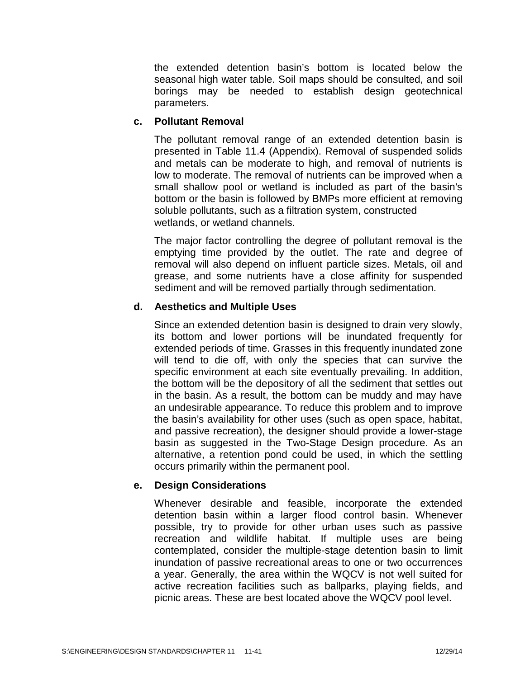the extended detention basin's bottom is located below the seasonal high water table. Soil maps should be consulted, and soil borings may be needed to establish design geotechnical parameters.

## **c. Pollutant Removal**

The pollutant removal range of an extended detention basin is presented in Table 11.4 (Appendix). Removal of suspended solids and metals can be moderate to high, and removal of nutrients is low to moderate. The removal of nutrients can be improved when a small shallow pool or wetland is included as part of the basin's bottom or the basin is followed by BMPs more efficient at removing soluble pollutants, such as a filtration system, constructed wetlands, or wetland channels.

The major factor controlling the degree of pollutant removal is the emptying time provided by the outlet. The rate and degree of removal will also depend on influent particle sizes. Metals, oil and grease, and some nutrients have a close affinity for suspended sediment and will be removed partially through sedimentation.

## **d. Aesthetics and Multiple Uses**

Since an extended detention basin is designed to drain very slowly, its bottom and lower portions will be inundated frequently for extended periods of time. Grasses in this frequently inundated zone will tend to die off, with only the species that can survive the specific environment at each site eventually prevailing. In addition, the bottom will be the depository of all the sediment that settles out in the basin. As a result, the bottom can be muddy and may have an undesirable appearance. To reduce this problem and to improve the basin's availability for other uses (such as open space, habitat, and passive recreation), the designer should provide a lower-stage basin as suggested in the Two-Stage Design procedure. As an alternative, a retention pond could be used, in which the settling occurs primarily within the permanent pool.

# **e. Design Considerations**

Whenever desirable and feasible, incorporate the extended detention basin within a larger flood control basin. Whenever possible, try to provide for other urban uses such as passive recreation and wildlife habitat. If multiple uses are being contemplated, consider the multiple-stage detention basin to limit inundation of passive recreational areas to one or two occurrences a year. Generally, the area within the WQCV is notwell suited for active recreation facilities such as ballparks, playing fields, and picnic areas. These are best located above the WQCV pool level.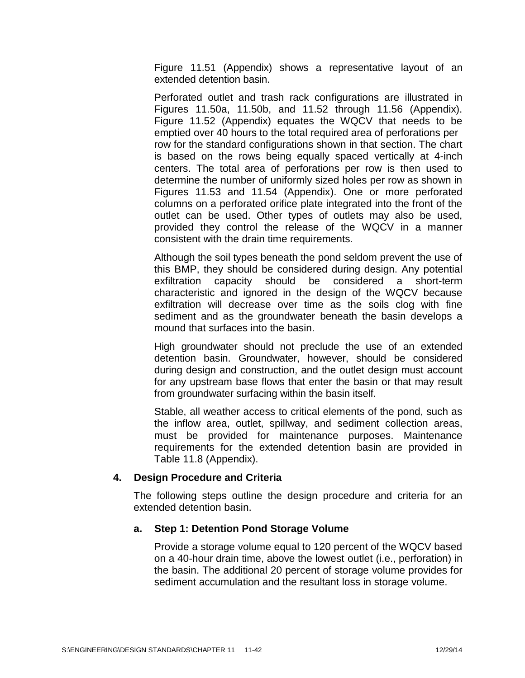Figure 11.51 (Appendix) shows a representative layout of an extended detention basin.

Perforated outlet and trash rack configurations are illustrated in Figures 11.50a, 11.50b, and 11.52 through 11.56 (Appendix). Figure 11.52 (Appendix) equates the WQCV that needs to be emptied over 40 hours to the total required area of perforations per row for the standard configurations shown in that section. The chart is based on the rows being equally spaced vertically at 4-inch centers. The total area of perforations per row is then used to determine the number of uniformly sized holes per row as shown in Figures 11.53 and 11.54 (Appendix). One or more perforated columns on a perforated orifice plate integrated into the front of the outlet can be used. Other types of outlets may also be used, provided they control the release of the WQCV in a manner consistent with the drain time requirements.

Although the soil types beneath the pond seldom prevent the use of this BMP, they should be considered during design. Any potential exfiltration capacity should be considered a short-term characteristic and ignored in the design of the WQCV because exfiltration will decrease over time as the soils clog with fine sediment and as the groundwater beneath the basin develops a mound that surfaces into the basin.

High groundwater should not preclude the use of an extended detention basin. Groundwater, however, should be considered during design and construction, and the outlet design must account for any upstream base flows that enter the basin or that may result from groundwater surfacing within the basin itself.

Stable, all weather access to critical elements of the pond, such as the inflow area, outlet, spillway, and sediment collection areas, must be provided for maintenance purposes. Maintenance requirements for the extended detention basin are provided in Table 11.8 (Appendix).

## **4. Design Procedure and Criteria**

The following steps outline the design procedure and criteria for an extended detention basin.

## **a. Step 1: Detention Pond Storage Volume**

Provide a storage volume equal to 120 percent of the WQCV based on a 40-hour drain time, above the lowest outlet (i.e., perforation) in the basin. The additional 20 percent of storage volume provides for sediment accumulation and the resultant loss in storage volume.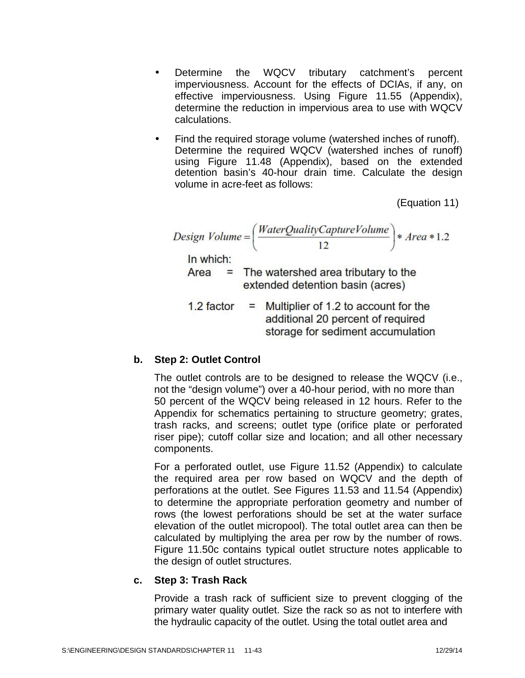- Determine the WQCV tributary catchment's percent imperviousness. Account for the effects of DCIAs, if any, on effective imperviousness. Using Figure 11.55 (Appendix), determine the reduction in impervious area to use with WQCV calculations.
- Find the required storage volume (watershed inches of runoff). Determine the required WQCV (watershed inches of runoff) using Figure 11.48 (Appendix), based on the extended detention basin's 40-hour drain time. Calculate the design volume in acre-feet as follows:

(Equation 11)

Design Volume = 
$$
\left(\frac{WaterQualityCaptureVolume}{12}\right) * Area * 1.2
$$

\nIn which:

\nArea = The watershed area tributary to the extended detention basin (acres)

\n1.2 factor = Multiplier of 1.2 to account for the additional 20 percent of required storage for sediment accumulation

## **b. Step 2: Outlet Control**

The outlet controls are to be designed to release the WQCV (i.e., not the "design volume") over a 40-hour period, with no more than 50 percent of the WQCV being released in 12 hours. Refer to the Appendix for schematics pertaining to structure geometry; grates, trash racks, and screens; outlet type (orifice plate or perforated riser pipe); cutoff collar size and location; and all other necessary components.

For a perforated outlet, use Figure 11.52 (Appendix) to calculate the required area per row based on WQCV and the depth of perforations at the outlet. See Figures 11.53 and 11.54 (Appendix) to determine the appropriate perforation geometry and number of rows (the lowest perforations should be set at the water surface elevation of the outlet micropool). The total outlet area can then be calculated by multiplying the area per row by the number of rows. Figure 11.50c contains typical outlet structure notes applicable to the design of outlet structures.

#### **c. Step 3: Trash Rack**

Provide a trash rack of sufficient size to prevent clogging of the primary water quality outlet. Size the rack so as not to interfere with the hydraulic capacity of the outlet. Using the total outlet area and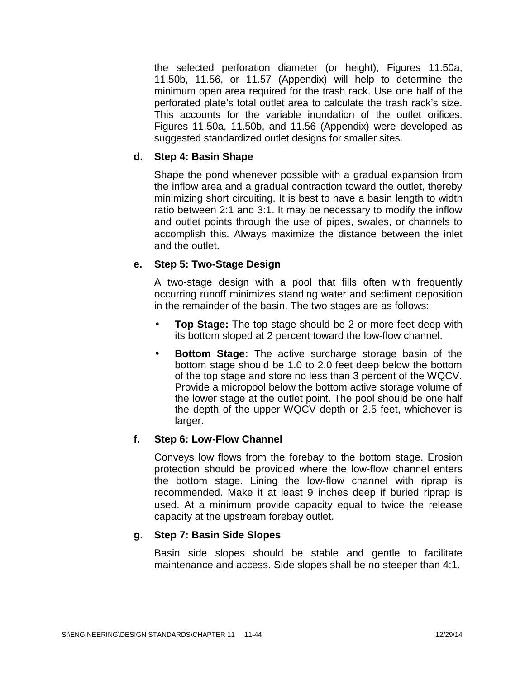the selected perforation diameter (or height), Figures 11.50a, 11.50b, 11.56, or 11.57 (Appendix) will help to determine the minimum open area required for the trash rack. Use one half of the perforated plate's total outlet area to calculate the trash rack's size. This accounts for the variable inundation of the outlet orifices. Figures 11.50a, 11.50b, and 11.56 (Appendix) were developed as suggested standardized outlet designs for smaller sites.

### **d. Step 4: Basin Shape**

Shape the pond whenever possible with a gradual expansion from the inflow area and a gradual contraction toward the outlet, thereby minimizing short circuiting. It is best to have a basin length to width ratio between 2:1 and 3:1. It may be necessary to modify the inflow and outlet points through the use of pipes, swales, or channels to accomplish this. Always maximize the distance between the inlet and the outlet.

## **e. Step 5: Two-Stage Design**

A two-stage design with a pool that fills often with frequently occurring runoff minimizes standing water and sediment deposition in the remainder of the basin. The two stages are as follows:

- **Top Stage:** The top stage should be 2 or more feet deep with its bottom sloped at 2 percent toward the low-flow channel.
- **Bottom Stage:** The active surcharge storage basin of the bottom stage should be 1.0 to 2.0 feet deep below the bottom of the top stage and store no less than 3 percent of the WQCV. Provide a micropool below the bottom active storage volume of the lower stage at the outlet point. The pool should be one half the depth of the upper WQCV depth or 2.5 feet, whichever is larger.

## **f. Step 6: Low-Flow Channel**

Conveys low flows from the forebay to the bottom stage. Erosion protection should be provided where the low-flow channel enters the bottom stage. Lining the low-flow channel with riprap is recommended. Make it at least 9 inches deep if buried riprap is used. At a minimum provide capacity equal to twice the release capacity at the upstream forebay outlet.

## **g. Step 7: Basin Side Slopes**

Basin side slopes should be stable and gentle to facilitate maintenance and access. Side slopes shall be no steeper than 4:1.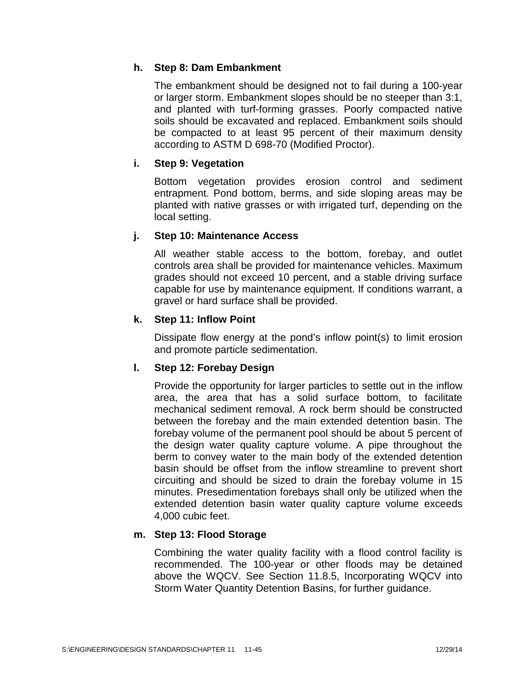# **h. Step 8: Dam Embankment**

The embankment should be designed not to fail during a 100-year or larger storm. Embankment slopes should be no steeper than 3:1, and planted with turf-forming grasses. Poorly compacted native soils should be excavated and replaced. Embankment soils should be compacted to at least 95 percent of their maximum density according to ASTM D 698-70 (Modified Proctor).

# **i. Step 9: Vegetation**

Bottom vegetation provides erosion control and sediment entrapment. Pond bottom, berms, and side sloping areas may be planted with native grasses or with irrigated turf, depending on the local setting.

## **j. Step 10: Maintenance Access**

All weather stable access to the bottom, forebay, and outlet controls area shall be provided for maintenance vehicles. Maximum grades should not exceed 10 percent, and a stable driving surface capable for use by maintenance equipment. If conditions warrant, a gravel or hard surface shall be provided.

## **k. Step 11: Inflow Point**

Dissipate flow energy at the pond's inflow point(s) to limit erosion and promote particle sedimentation.

## **l. Step 12: Forebay Design**

Provide the opportunity for larger particles to settle out in the inflow area, the area that has a solid surface bottom, to facilitate mechanical sediment removal. A rock berm should be constructed between the forebay and the main extended detention basin. The forebay volume of the permanent pool should be about 5 percent of the design water quality capture volume. A pipe throughout the berm to convey water to the main body of the extended detention basin should be offset from the inflow streamline to prevent short circuiting and should be sized to drain the forebay volume in 15 minutes. Presedimentation forebays shall only be utilized when the extended detention basin water quality capture volume exceeds 4,000 cubic feet.

## **m. Step 13: Flood Storage**

Combining the water quality facility with a flood control facility is recommended. The 100-year or other floods may be detained above the WQCV. See Section 11.8.5, Incorporating WQCV into Storm Water Quantity Detention Basins, for further guidance.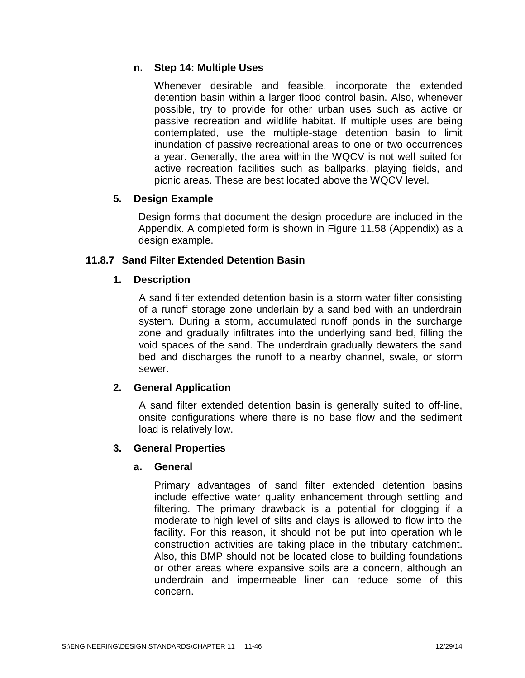# **n. Step 14: Multiple Uses**

Whenever desirable and feasible, incorporate the extended detention basin within a larger flood control basin. Also, whenever possible, try to provide for other urban uses such as active or passive recreation and wildlife habitat. If multiple uses are being contemplated, use the multiple-stage detention basin to limit inundation of passive recreational areas to one or two occurrences a year. Generally, the area within the WQCV is not well suited for active recreation facilities such as ballparks, playing fields, and picnic areas. These are best located above the WQCV level.

# **5. Design Example**

Design forms that document the design procedure are included in the Appendix. A completed form is shown in Figure 11.58 (Appendix) as a design example.

# **11.8.7 Sand Filter Extended Detention Basin**

# **1. Description**

A sand filter extended detention basin is a storm water filter consisting of a runoff storage zone underlain by a sand bed with an underdrain system. During a storm, accumulated runoff ponds in the surcharge zone and gradually infiltrates into the underlying sand bed, filling the void spaces of the sand. The underdrain gradually dewaters the sand bed and discharges the runoff to a nearby channel, swale, or storm sewer.

# **2. General Application**

A sand filter extended detention basin is generally suited to off-line, onsite configurations where there is no base flow and the sediment load is relatively low.

## **3. General Properties**

## **a. General**

Primary advantages of sand filter extended detention basins include effective water quality enhancement through settling and filtering. The primary drawback is a potential for clogging if a moderate to high level of silts and clays is allowed to flow into the facility. For this reason, it should not be put into operation while construction activities are taking place in the tributary catchment. Also, this BMP should not be located close to building foundations or other areas where expansive soils are a concern, although an underdrain and impermeable liner can reduce some of this concern.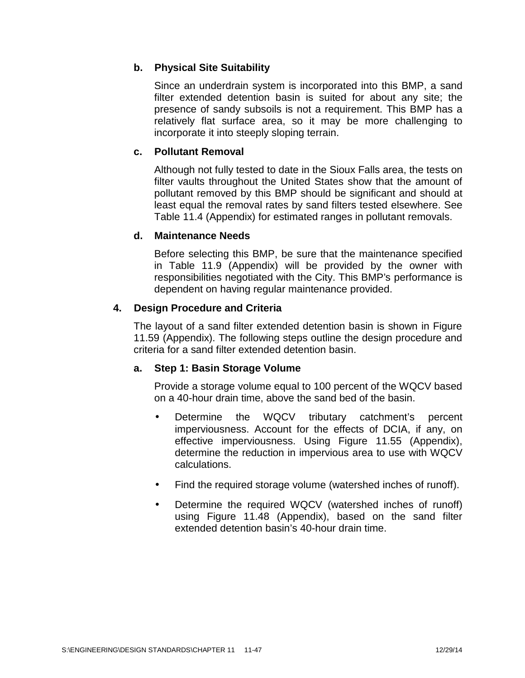# **b. Physical Site Suitability**

Since an underdrain system is incorporated into this BMP, a sand filter extended detention basin is suited for about any site; the presence of sandy subsoils is not a requirement. This BMP has a relatively flat surface area, so it may be more challenging to incorporate it into steeply sloping terrain.

# **c. Pollutant Removal**

Although not fully tested to date in the Sioux Falls area, the tests on filter vaults throughout the United States show that the amount of pollutant removed by this BMP should be significant and should at least equal the removal rates by sand filters tested elsewhere. See Table 11.4 (Appendix) for estimated ranges in pollutant removals.

## **d. Maintenance Needs**

Before selecting this BMP, be sure that the maintenance specified in Table 11.9 (Appendix) will be provided by the owner with responsibilities negotiated with the City. This BMP's performance is dependent on having regular maintenance provided.

## **4. Design Procedure and Criteria**

The layout of a sand filter extended detention basin is shown in Figure 11.59 (Appendix). The following steps outline the design procedure and criteria for a sand filter extended detention basin.

## **a. Step 1: Basin Storage Volume**

Provide a storage volume equal to 100 percent of the WQCV based on a 40-hour drain time, above the sand bed of the basin.

- Determine the WQCV tributary catchment's percent imperviousness. Account for the effects of DCIA, if any, on effective imperviousness. Using Figure 11.55 (Appendix), determine the reduction in impervious area to use with WQCV calculations.
- Find the required storage volume (watershed inches of runoff).
- Determine the required WQCV (watershed inches of runoff) using Figure 11.48 (Appendix), based on the sand filter extended detention basin's 40-hour drain time.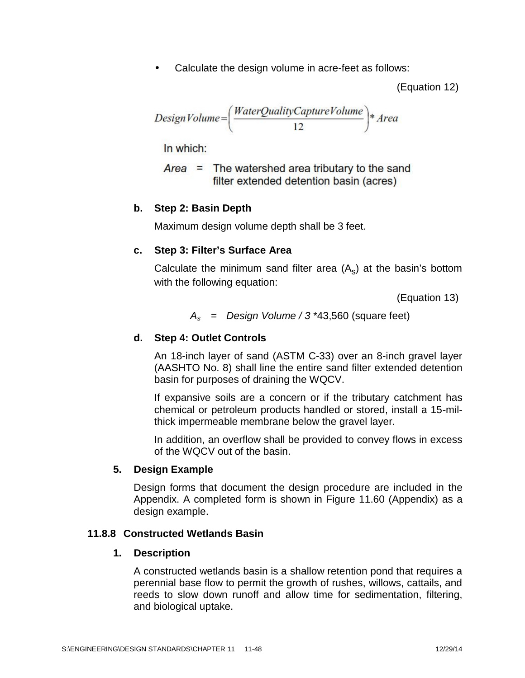Calculate the design volume in acre-feet as follows:

(Equation 12)

$$
Design Volume = \left(\frac{WaterQualityCaptureVolume}{12}\right)*Area
$$

In which:

 $Area =$  The watershed area tributary to the sand filter extended detention basin (acres)

### **b. Step 2: Basin Depth**

Maximum design volume depth shall be 3 feet.

#### **c. Step 3: Filter's Surface Area**

Calculate the minimum sand filter area  $(A<sub>s</sub>)$  at the basin's bottom with the following equation:

(Equation 13)

*A<sup>s</sup>* = *Design Volume / 3* \*43,560 (square feet)

### **d. Step 4: Outlet Controls**

An 18-inch layer of sand (ASTM C-33) over an 8-inch gravel layer (AASHTO No. 8) shall line the entire sand filter extended detention basin for purposes of draining the WQCV.

If expansive soils are a concern or if the tributary catchment has chemical or petroleum products handled or stored, install a 15-milthick impermeable membrane below the gravel layer.

In addition, an overflow shall be provided to convey flows in excess of the WQCV out of the basin.

#### **5. Design Example**

Design forms that document the design procedure are included in the Appendix. A completed form is shown in Figure 11.60 (Appendix) as a design example.

#### **11.8.8 Constructed Wetlands Basin**

#### **1. Description**

A constructed wetlands basin is a shallow retention pond that requires a perennial base flow to permit the growth of rushes, willows, cattails, and reeds to slow down runoff and allow time for sedimentation, filtering, and biological uptake.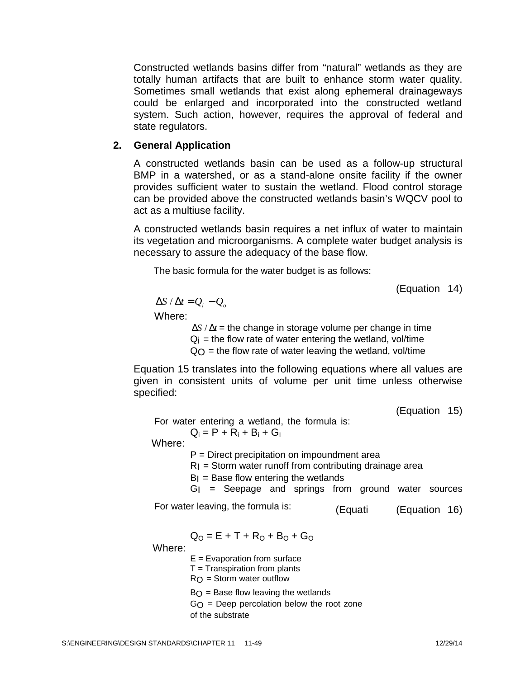Constructed wetlands basins differ from "natural" wetlands as they are totally human artifacts that are built to enhance storm water quality. Sometimes small wetlands that exist along ephemeral drainageways could be enlarged and incorporated into the constructed wetland system. Such action, however, requires the approval of federal and state regulators.

### **2. General Application**

A constructed wetlands basin can be used as a follow-up structural BMP in a watershed, or as a stand-alone onsite facility if the owner provides sufficient water to sustain the wetland. Flood control storage can be provided above the constructed wetlands basin's WQCV pool to act as a multiuse facility.

A constructed wetlands basin requires a net influx of water to maintain its vegetation and microorganisms. A complete water budget analysis is necessary to assure the adequacy of the base flow.

The basic formula for the water budget is as follows:

(Equation 14)

 $\Delta S / \Delta t = Q_i - Q_o$ 

Where:

 $\Delta S / \Delta t$  = the change in storage volume per change in time  $Q_i$  = the flow rate of water entering the wetland, vol/time  $Q<sub>O</sub>$  = the flow rate of water leaving the wetland, vol/time

Equation 15 translates into the following equations where all values are given in consistent units of volume per unit time unless otherwise specified:

(Equation 15)

For water entering a wetland, the formula is:

 $Q_i = P + R_i + B_i + G_l$ 

Where:

P = Direct precipitation on impoundment area

 $RI$  = Storm water runoff from contributing drainage area

- $BI = Base$  flow entering the wetlands
- $GI =$  Seepage and springs from ground water sources

For water leaving, the formula is: (Equati (Equation 16)

$$
Q_O = E + T + R_O + B_O + G_O
$$

Where:

 $E =$  Evaporation from surface

 $T =$  Transpiration from plants

 $R_O$  = Storm water outflow

 $B_O$  = Base flow leaving the wetlands

 $GO = Deep percolation below the root zone$ 

of the substrate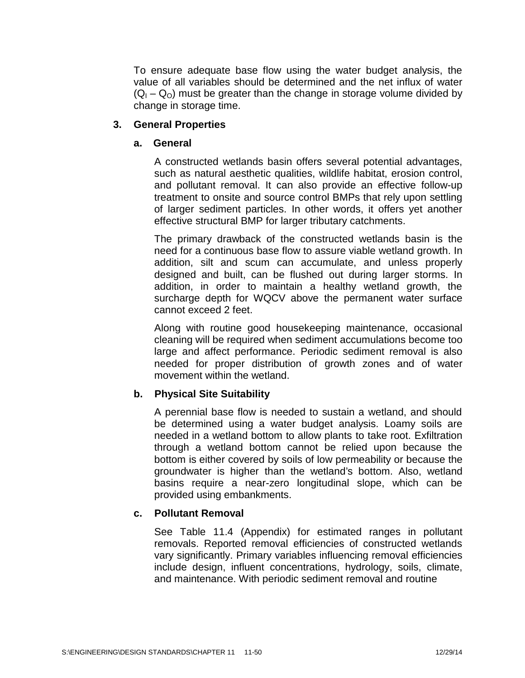To ensure adequate base flow using the water budget analysis, the value of all variables should be determined and the net influx of water  $(Q_1 - Q_0)$  must be greater than the change in storage volume divided by change in storage time.

### **3. General Properties**

#### **a. General**

A constructed wetlands basin offers several potential advantages, such as natural aesthetic qualities, wildlife habitat, erosion control, and pollutant removal. It can also provide an effective follow-up treatment to onsite and source control BMPs that rely upon settling of larger sediment particles. In other words, it offers yet another effective structural BMP for larger tributary catchments.

The primary drawback of the constructed wetlands basin is the need for a continuous base flow to assure viable wetland growth. In addition, silt and scum can accumulate, and unless properly designed and built, can be flushed out during larger storms. In addition, in order to maintain a healthy wetland growth, the surcharge depth for WQCV above the permanent water surface cannot exceed 2 feet.

Along with routine good housekeeping maintenance, occasional cleaning will be required when sediment accumulations become too large and affect performance. Periodic sediment removal is also needed for proper distribution of growth zones and of water movement within the wetland.

## **b. Physical Site Suitability**

A perennial base flow is needed to sustain a wetland, and should be determined using a water budget analysis. Loamy soils are needed in a wetland bottom to allow plants to take root. Exfiltration through a wetland bottom cannot be relied upon because the bottom is either covered by soils of low permeability or because the groundwater is higher than the wetland's bottom. Also, wetland basins require a near-zero longitudinal slope, which can be provided using embankments.

## **c. Pollutant Removal**

See Table 11.4 (Appendix) for estimated ranges in pollutant removals. Reported removal efficiencies of constructed wetlands vary significantly. Primary variables influencing removal efficiencies include design, influent concentrations, hydrology, soils, climate, and maintenance. With periodic sediment removal and routine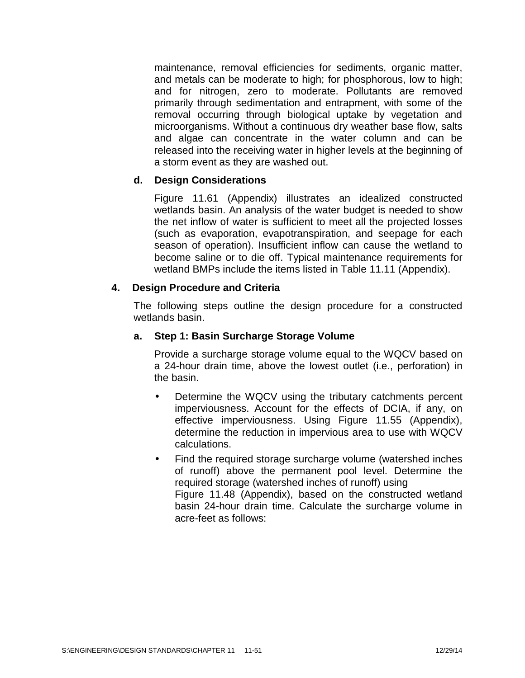maintenance, removal efficiencies for sediments, organic matter, and metals can be moderate to high; for phosphorous, low to high; and for nitrogen, zero to moderate. Pollutants are removed primarily through sedimentation and entrapment, with some of the removal occurring through biological uptake by vegetation and microorganisms. Without a continuous dry weather base flow, salts and algae can concentrate in the water column and can be released into the receiving water in higher levels at the beginning of a storm event as they are washed out.

## **d. Design Considerations**

Figure 11.61 (Appendix) illustrates an idealized constructed wetlands basin. An analysis of the water budget is needed to show the net inflow of water is sufficient to meet all the projected losses (such as evaporation, evapotranspiration, and seepage for each season of operation). Insufficient inflow can cause the wetland to become saline or to die off. Typical maintenance requirements for wetland BMPs include the items listed in Table 11.11 (Appendix).

### **4. Design Procedure and Criteria**

The following steps outline the design procedure for a constructed wetlands basin.

### **a. Step 1: Basin Surcharge Storage Volume**

Provide a surcharge storage volume equal to the WQCV based on a 24-hour drain time, above the lowest outlet (i.e., perforation) in the basin.

- Determine the WQCV using the tributary catchments percent imperviousness. Account for the effects of DCIA, if any, on effective imperviousness. Using Figure 11.55 (Appendix), determine the reduction in impervious area to use with WQCV calculations.
- Find the required storage surcharge volume (watershed inches of runoff) above the permanent pool level. Determine the required storage (watershed inches of runoff) using Figure 11.48 (Appendix), based on the constructed wetland basin 24-hour drain time. Calculate the surcharge volume in acre-feet as follows: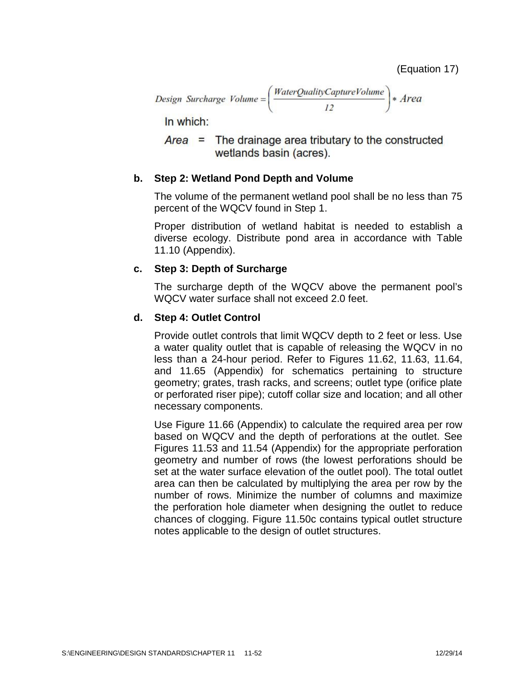Design Surcharge Volume = \n
$$
\left( \frac{WaterQualityCaptureVolume}{12} \right) * Area
$$
\n

In which:

 $Area =$  The drainage area tributary to the constructed wetlands basin (acres).

## **b. Step 2: Wetland Pond Depth and Volume**

The volume of the permanent wetland pool shall be no less than 75 percent of the WQCV found in Step 1.

Proper distribution of wetland habitat is needed to establish a diverse ecology. Distribute pond area in accordance with Table 11.10 (Appendix).

### **c. Step 3: Depth of Surcharge**

The surcharge depth of the WQCV above the permanent pool's WQCV water surface shall not exceed 2.0 feet.

### **d. Step 4: Outlet Control**

Provide outlet controls that limit WQCV depth to 2 feet or less. Use a water quality outlet that is capable of releasing the WQCV in no less than a 24-hour period. Refer to Figures 11.62, 11.63, 11.64, and 11.65 (Appendix) for schematics pertaining to structure geometry; grates, trash racks, and screens; outlet type (orifice plate or perforated riser pipe); cutoff collar size and location; and all other necessary components.

Use Figure 11.66 (Appendix) to calculate the required area per row based on WQCV and the depth of perforations at the outlet. See Figures 11.53 and 11.54 (Appendix) for the appropriate perforation geometry and number of rows (the lowest perforations should be set at the water surface elevation of the outlet pool). The total outlet area can then be calculated by multiplying the area per row by the number of rows. Minimize the number of columns and maximize the perforation hole diameter when designing the outlet to reduce chances of clogging. Figure 11.50c contains typical outlet structure notes applicable to the design of outlet structures.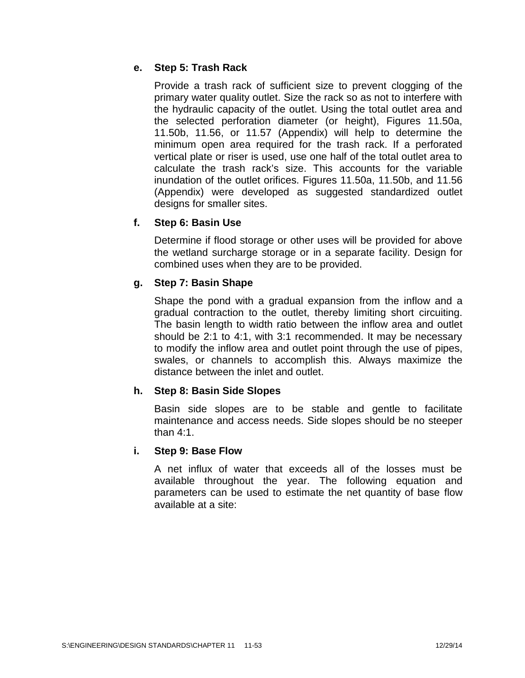# **e. Step 5: Trash Rack**

Provide a trash rack of sufficient size to prevent clogging of the primary water quality outlet. Size the rack so as not to interfere with the hydraulic capacity of the outlet. Using the total outlet area and the selected perforation diameter (or height), Figures 11.50a, 11.50b, 11.56, or 11.57 (Appendix) will help to determine the minimum open area required for the trash rack. If a perforated vertical plate or riser is used, use one half of the total outlet area to calculate the trash rack's size. This accounts for the variable inundation of the outlet orifices. Figures 11.50a, 11.50b, and 11.56 (Appendix) were developed as suggested standardized outlet designs for smaller sites.

# **f. Step 6: Basin Use**

Determine if flood storage or other uses will be provided for above the wetland surcharge storage or in a separate facility. Design for combined uses when they are to be provided.

# **g. Step 7: Basin Shape**

Shape the pond with a gradual expansion from the inflow and a gradual contraction to the outlet, thereby limiting short circuiting. The basin length to width ratio between the inflow area and outlet should be 2:1 to 4:1, with 3:1 recommended. It may be necessary to modify the inflow area and outlet point through the use of pipes, swales, or channels to accomplish this. Always maximize the distance between the inlet and outlet.

## **h. Step 8: Basin Side Slopes**

Basin side slopes are to be stable and gentle to facilitate maintenance and access needs. Side slopes should be no steeper than 4:1.

## **i. Step 9: Base Flow**

A net influx of water that exceeds all of the losses must be available throughout the year. The following equation and parameters can be used to estimate the net quantity of base flow available at a site: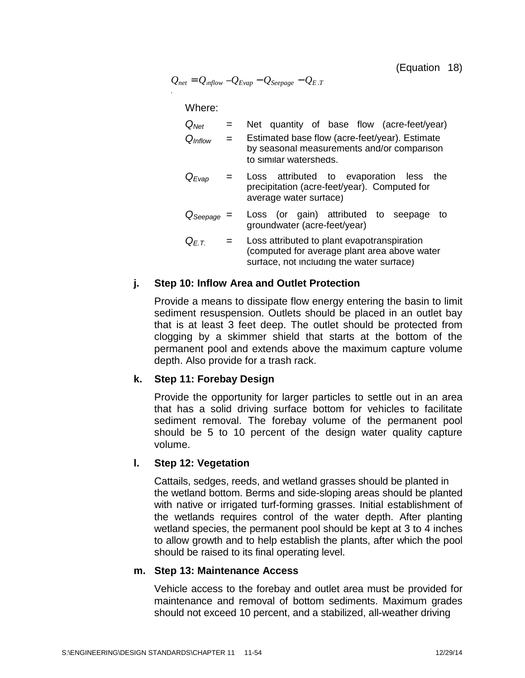(Equation 18)

$$
Q_{net} = Q_{mflow} - Q_{Evap} - Q_{Seepage} - Q_{E.T}
$$

Where:

*.*

| $Q_{Net}$           |     | Net quantity of base flow (acre-feet/year)                                                                                               |
|---------------------|-----|------------------------------------------------------------------------------------------------------------------------------------------|
| $Q_{\text{Inflow}}$ | $=$ | Estimated base flow (acre-feet/year). Estimate<br>by seasonal measurements and/or comparison<br>to similar watersheds.                   |
| $Q_{Evap}$          | $=$ | Loss attributed to evaporation less the<br>precipitation (acre-feet/year). Computed for<br>average water surface)                        |
| $Q_{Seepage}$       |     | Loss (or gain) attributed to seepage<br>to<br>groundwater (acre-feet/year)                                                               |
| $Q_{F.T.}$          | $=$ | Loss attributed to plant evapotranspiration<br>(computed for average plant area above water<br>surface, not including the water surface) |

#### **j. Step 10: Inflow Area and Outlet Protection**

Provide a means to dissipate flow energy entering the basin to limit sediment resuspension. Outlets should be placed in an outlet bay that is at least 3 feet deep. The outlet should be protected from clogging by a skimmer shield that starts at the bottom of the permanent pool and extends above the maximum capture volume depth. Also provide for a trash rack.

#### **k. Step 11: Forebay Design**

Provide the opportunity for larger particles to settle out in an area that has a solid driving surface bottom for vehicles to facilitate sediment removal. The forebay volume of the permanent pool should be 5 to 10 percent of the design water quality capture volume.

#### **l. Step 12: Vegetation**

Cattails, sedges, reeds, and wetland grasses should be planted in the wetland bottom. Berms and side-sloping areas should be planted with native or irrigated turf-forming grasses. Initial establishment of the wetlands requires control of the water depth. After planting wetland species, the permanent pool should be kept at 3 to 4 inches to allow growth and to help establish the plants, after which the pool should be raised to its final operating level.

#### **m. Step 13: Maintenance Access**

Vehicle access to the forebay and outlet area must be provided for maintenance and removal of bottom sediments. Maximum grades should not exceed 10 percent, and a stabilized, all-weather driving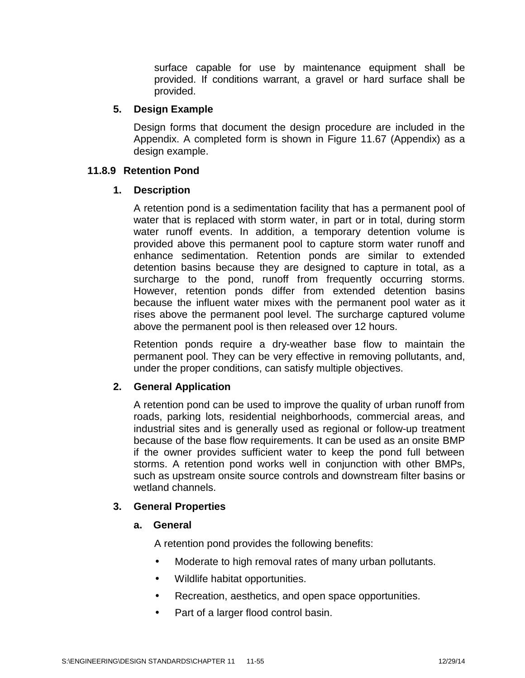surface capable for use by maintenance equipment shall be provided. If conditions warrant, a gravel or hard surface shall be provided.

### **5. Design Example**

Design forms that document the design procedure are included in the Appendix. A completed form is shown in Figure 11.67 (Appendix) as a design example.

### **11.8.9 Retention Pond**

### **1. Description**

A retention pond is a sedimentation facility that has a permanent pool of water that is replaced with storm water, in part or in total, during storm water runoff events. In addition, a temporary detention volume is provided above this permanent pool to capture storm water runoff and enhance sedimentation. Retention ponds are similar to extended detention basins because they are designed to capture in total, as a surcharge to the pond, runoff from frequently occurring storms. However, retention ponds differ from extended detention basins because the influent water mixes with the permanent pool water as it rises above the permanent pool level. The surcharge captured volume above the permanent pool is then released over 12 hours.

Retention ponds require a dry-weather base flow to maintain the permanent pool. They can be very effective in removing pollutants, and, under the proper conditions, can satisfy multiple objectives.

## **2. General Application**

A retention pond can be used to improve the quality of urban runoff from roads, parking lots, residential neighborhoods, commercial areas, and industrial sites and is generally used as regional or follow-up treatment because of the base flow requirements. It can be used as an onsite BMP if the owner provides sufficient water to keep the pond full between storms. A retention pond works well in conjunction with other BMPs, such as upstream onsite source controls and downstream filter basins or wetland channels.

## **3. General Properties**

## **a. General**

A retention pond provides the following benefits:

- Moderate to high removal rates of many urban pollutants.
- Wildlife habitat opportunities.
- Recreation, aesthetics, and open space opportunities.
- Part of a larger flood control basin.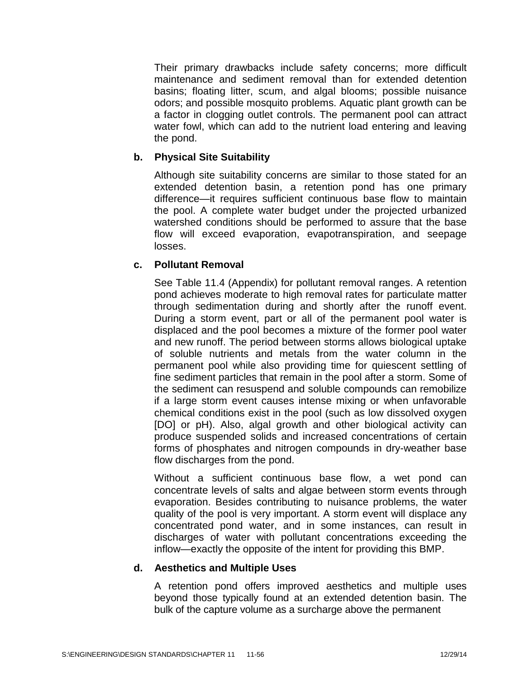Their primary drawbacks include safety concerns; more difficult maintenance and sediment removal than for extended detention basins; floating litter, scum, and algal blooms; possible nuisance odors; and possible mosquito problems. Aquatic plant growth can be a factor in clogging outlet controls. The permanent pool can attract water fowl, which can add to the nutrient load entering and leaving the pond.

### **b. Physical Site Suitability**

Although site suitability concerns are similar to those stated for an extended detention basin, a retention pond has one primary difference—it requires sufficient continuous base flow to maintain the pool. A complete water budget under the projected urbanized watershed conditions should be performed to assure that the base flow will exceed evaporation, evapotranspiration, and seepage losses.

## **c. Pollutant Removal**

See Table 11.4 (Appendix) for pollutant removal ranges. A retention pond achieves moderate to high removal rates for particulate matter through sedimentation during and shortly after the runoff event. During a storm event, part or all of the permanent pool water is displaced and the pool becomes a mixture of the former pool water and new runoff. The period between storms allows biological uptake of soluble nutrients and metals from the water column in the permanent pool while also providing time for quiescent settling of fine sediment particles that remain in the pool after a storm. Some of the sediment can resuspend and soluble compounds can remobilize if a large storm event causes intense mixing or when unfavorable chemical conditions exist in the pool (such as low dissolved oxygen [DO] or pH). Also, algal growth and other biological activity can produce suspended solids and increased concentrations of certain forms of phosphates and nitrogen compounds in dry-weather base flow discharges from the pond.

Without a sufficient continuous base flow, a wet pond can concentrate levels of salts and algae between storm events through evaporation. Besides contributing to nuisance problems, the water quality of the pool is very important. A storm event will displace any concentrated pond water, and in some instances, can result in discharges of water with pollutant concentrations exceeding the inflow—exactly the opposite of the intent for providing this BMP.

#### **d. Aesthetics and Multiple Uses**

A retention pond offers improved aesthetics and multiple uses beyond those typically found at an extended detention basin. The bulk of the capture volume as a surcharge above the permanent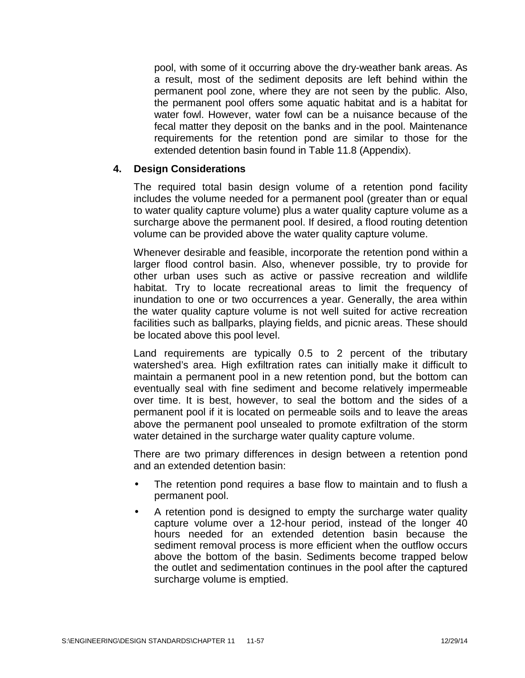pool, with some of it occurring above the dry-weather bank areas. As a result, most of the sediment deposits are left behind within the permanent pool zone, where they are not seen by the public. Also, the permanent pool offers some aquatic habitat and is a habitat for water fowl. However, water fowl can be a nuisance because of the fecal matter they deposit on the banks and in the pool. Maintenance requirements for the retention pond are similar to those for the extended detention basin found in Table 11.8 (Appendix).

### **4. Design Considerations**

The required total basin design volume of a retention pond facility includes the volume needed for a permanent pool (greater than or equal to water quality capture volume) plus a water quality capture volume as a surcharge above the permanent pool. If desired, a flood routing detention volume can be provided above the water quality capture volume.

Whenever desirable and feasible, incorporate the retention pond within a larger flood control basin. Also, whenever possible, try to provide for other urban uses such as active or passive recreation and wildlife habitat. Try to locate recreational areas to limit the frequency of inundation to one or two occurrences a year. Generally, the area within the water quality capture volume is not well suited for active recreation facilities such as ballparks, playing fields, and picnic areas. These should be located above this pool level.

Land requirements are typically 0.5 to 2 percent of the tributary watershed's area. High exfiltration rates can initially make it difficult to maintain a permanent pool in a new retention pond, but the bottom can eventually seal with fine sediment and become relatively impermeable over time. It is best, however, to seal the bottom and the sides of a permanent pool if it is located on permeable soils and to leave the areas above the permanent pool unsealed to promote exfiltration of the storm water detained in the surcharge water quality capture volume.

There are two primary differences in design between a retention pond and an extended detention basin:

- The retention pond requires a base flow to maintain and to flush a permanent pool.
- A retention pond is designed to empty the surcharge water quality capture volume over a 12-hour period, instead of the longer 40 hours needed for an extended detention basin because the sediment removal process is more efficient when the outflow occurs above the bottom of the basin. Sediments become trapped below the outlet and sedimentation continues in the pool after the captured surcharge volume is emptied.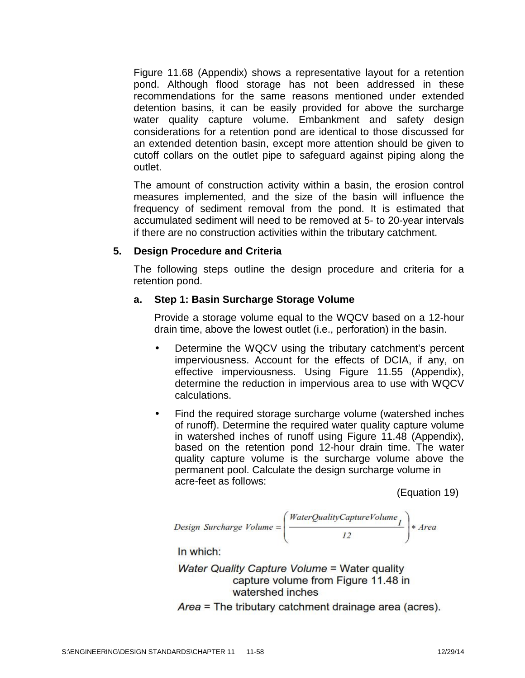Figure 11.68 (Appendix) shows a representative layout for a retention pond. Although flood storage has not been addressed in these recommendations for the same reasons mentioned under extended detention basins, it can be easily provided for above the surcharge water quality capture volume. Embankment and safety design considerations for a retention pond are identical to those discussed for an extended detention basin, except more attention should be given to cutoff collars on the outlet pipe to safeguard against piping along the outlet.

The amount of construction activity within a basin, the erosion control measures implemented, and the size of the basin will influence the frequency of sediment removal from the pond. It is estimated that accumulated sediment will need to be removed at 5- to 20-year intervals if there are no construction activities within the tributary catchment.

### **5. Design Procedure and Criteria**

The following steps outline the design procedure and criteria for a retention pond.

### **a. Step 1: Basin Surcharge Storage Volume**

Provide a storage volume equal to the WQCV based on a 12-hour drain time, above the lowest outlet (i.e., perforation) in the basin.

- Determine the WQCV using the tributary catchment's percent imperviousness. Account for the effects of DCIA, if any, on effective imperviousness. Using Figure 11.55 (Appendix), determine the reduction in impervious area to use with WQCV calculations.
- Find the required storage surcharge volume (watershed inches of runoff). Determine the required water quality capture volume in watershed inches of runoff using Figure 11.48 (Appendix), based on the retention pond 12-hour drain time. The water quality capture volume is the surcharge volume above the permanent pool. Calculate the design surcharge volume in acre-feet as follows:

(Equation 19)

Design Surcharge Volume = \n
$$
\left( \frac{WaterQualityCaptureVolume_I}{I2} \right) * Area
$$
\n

In which:

Water Quality Capture Volume = Water quality capture volume from Figure 11.48 in watershed inches

Area = The tributary catchment drainage area (acres).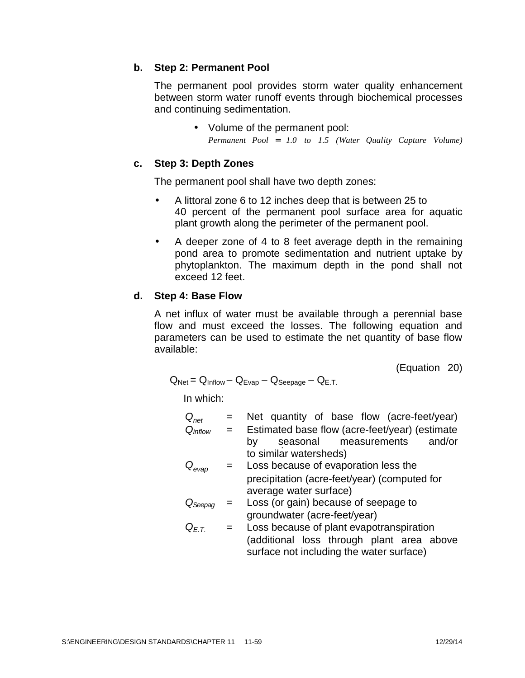### **b. Step 2: Permanent Pool**

The permanent pool provides storm water quality enhancement between storm water runoff events through biochemical processes and continuing sedimentation.

> • Volume of the permanent pool: *Permanent Pool 1.0 to 1.5 (Water Quality Capture Volume)*

### **c. Step 3: Depth Zones**

The permanent pool shall have two depth zones:

- A littoral zone 6 to 12 inches deep that is between 25 to 40 percent of the permanent pool surface area for aquatic plant growth along the perimeter of the permanent pool.
- A deeper zone of 4 to 8 feet average depth in the remaining pond area to promote sedimentation and nutrient uptake by phytoplankton. The maximum depth in the pond shall not exceed 12 feet.

## **d. Step 4: Base Flow**

A net influx of water must be available through a perennial base flow and must exceed the losses. The following equation and parameters can be used to estimate the net quantity of base flow available:

(Equation 20)

$$
Q_{\text{Net}} = Q_{\text{Inflow}} - Q_{\text{Evap}} - Q_{\text{Seepage}} - Q_{\text{E.T.}}
$$

In which:

| $Q_{net}$     | $=$ | Net quantity of base flow (acre-feet/year)                                            |
|---------------|-----|---------------------------------------------------------------------------------------|
| $Q_{inflow}$  | $=$ | Estimated base flow (acre-feet/year) (estimate                                        |
|               |     | seasonal measurements<br>and/or<br>by                                                 |
|               |     | to similar watersheds)                                                                |
| $Q_{evap}$    |     | Loss because of evaporation less the                                                  |
|               |     | precipitation (acre-feet/year) (computed for                                          |
|               |     | average water surface)                                                                |
| $\cup$ Seepag |     | Loss (or gain) because of seepage to                                                  |
|               |     | groundwater (acre-feet/year)                                                          |
| $Q_{F.T.}$    | $=$ | Loss because of plant evapotranspiration                                              |
|               |     | (additional loss through plant area above<br>surface not including the water surface) |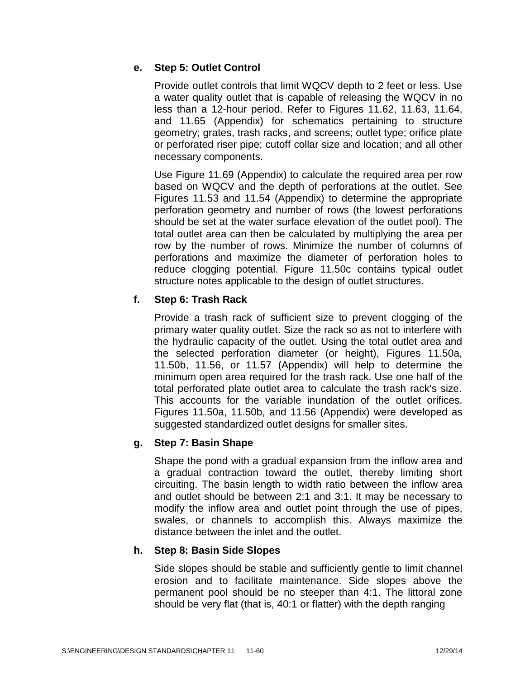# **e. Step 5: Outlet Control**

Provide outlet controls that limit WQCV depth to 2 feet or less. Use a water quality outlet that is capable of releasing the WQCV in no less than a 12-hour period. Refer to Figures 11.62, 11.63, 11.64, and 11.65 (Appendix) for schematics pertaining to structure geometry; grates, trash racks, and screens; outlet type; orifice plate or perforated riser pipe; cutoff collar size and location; and all other necessary components.

Use Figure 11.69 (Appendix) to calculate the required area per row based on WQCV and the depth of perforations at the outlet. See Figures 11.53 and 11.54 (Appendix) to determine the appropriate perforation geometry and number of rows (the lowest perforations should be set at the water surface elevation of the outlet pool). The total outlet area can then be calculated by multiplying the area per row by the number of rows. Minimize the number of columns of perforations and maximize the diameter of perforation holes to reduce clogging potential. Figure 11.50c contains typical outlet structure notes applicable to the design of outlet structures.

# **f. Step 6: Trash Rack**

Provide a trash rack of sufficient size to prevent clogging of the primary water quality outlet. Size the rack so as not to interfere with the hydraulic capacity of the outlet. Using the total outlet area and the selected perforation diameter (or height), Figures 11.50a, 11.50b, 11.56, or 11.57 (Appendix) will help to determine the minimum open area required for the trash rack. Use one half of the total perforated plate outlet area to calculate the trash rack's size. This accounts for the variable inundation of the outlet orifices. Figures 11.50a, 11.50b, and 11.56 (Appendix) were developed as suggested standardized outlet designs for smaller sites.

## **g. Step 7: Basin Shape**

Shape the pond with a gradual expansion from the inflow area and a gradual contraction toward the outlet, thereby limiting short circuiting. The basin length to width ratio between the inflow area and outlet should be between 2:1 and 3:1. It may be necessary to modify the inflow area and outlet point through the use of pipes, swales, or channels to accomplish this. Always maximize the distance between the inlet and the outlet.

## **h. Step 8: Basin Side Slopes**

Side slopes should be stable and sufficiently gentle to limit channel erosion and to facilitate maintenance. Side slopes above the permanent pool should be no steeper than 4:1. The littoral zone should be very flat (that is, 40:1 or flatter) with the depth ranging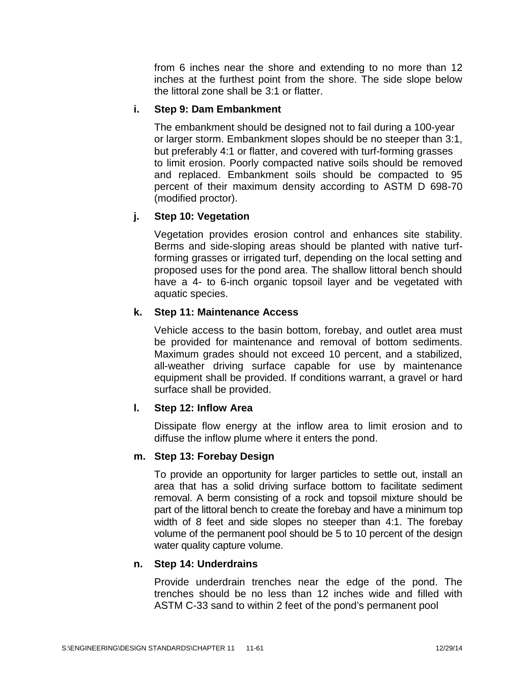from 6 inches near the shore and extending to no more than 12 inches at the furthest point from the shore. The side slope below the littoral zone shall be 3:1 or flatter.

## **i. Step 9: Dam Embankment**

The embankment should be designed not to fail during a 100-year or larger storm. Embankment slopes should be no steeper than 3:1, but preferably 4:1 or flatter, and covered with turf-forming grasses to limit erosion. Poorly compacted native soils should be removed and replaced. Embankment soils should be compacted to 95 percent of their maximum density according to ASTM D 698-70 (modified proctor).

## **j. Step 10: Vegetation**

Vegetation provides erosion control and enhances site stability. Berms and side-sloping areas should be planted with native turfforming grasses or irrigated turf, depending on the local setting and proposed uses for the pond area. The shallow littoral bench should have a 4- to 6-inch organic topsoil layer and be vegetated with aquatic species.

## **k. Step 11: Maintenance Access**

Vehicle access to the basin bottom, forebay, and outlet area must be provided for maintenance and removal of bottom sediments. Maximum grades should not exceed 10 percent, and a stabilized, all-weather driving surface capable for use by maintenance equipment shall be provided. If conditions warrant, a gravel or hard surface shall be provided.

## **l. Step 12: Inflow Area**

Dissipate flow energy at the inflow area to limit erosion and to diffuse the inflow plume where it enters the pond.

## **m. Step 13: Forebay Design**

To provide an opportunity for larger particles to settle out, install an area that has a solid driving surface bottom to facilitate sediment removal. A berm consisting of a rock and topsoil mixture should be part of the littoral bench to create the forebay and have a minimum top width of 8 feet and side slopes no steeper than 4:1. The forebay volume of the permanent pool should be 5 to 10 percent of the design water quality capture volume.

## **n. Step 14: Underdrains**

Provide underdrain trenches near the edge of the pond. The trenches should be no less than 12 inches wide and filled with ASTM C-33 sand to within 2 feet of the pond's permanent pool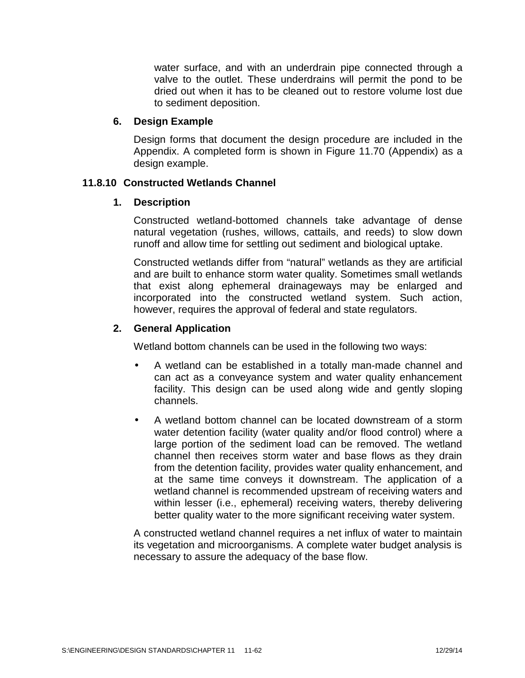water surface, and with an underdrain pipe connected through a valve to the outlet. These underdrains will permit the pond to be dried out when it has to be cleaned out to restore volume lost due to sediment deposition.

### **6. Design Example**

Design forms that document the design procedure are included in the Appendix. A completed form is shown in Figure 11.70 (Appendix) as a design example.

### **11.8.10 Constructed Wetlands Channel**

### **1. Description**

Constructed wetland-bottomed channels take advantage of dense natural vegetation (rushes, willows, cattails, and reeds) to slow down runoff and allow time for settling out sediment and biological uptake.

Constructed wetlands differ from "natural" wetlands as they are artificial and are built to enhance storm water quality. Sometimes small wetlands that exist along ephemeral drainageways may be enlarged and incorporated into the constructed wetland system. Such action, however, requires the approval of federal and state regulators.

## **2. General Application**

Wetland bottom channels can be used in the following two ways:

- A wetland can be established in a totally man-made channel and can act as a conveyance system and water quality enhancement facility. This design can be used along wide and gently sloping channels.
- A wetland bottom channel can be located downstream of a storm water detention facility (water quality and/or flood control) where a large portion of the sediment load can be removed. The wetland channel then receives storm water and base flows as they drain from the detention facility, provides water quality enhancement, and at the same time conveys it downstream. The application of a wetland channel is recommended upstream of receiving waters and within lesser (i.e., ephemeral) receiving waters, thereby delivering better quality water to the more significant receiving water system.

A constructed wetland channel requires a net influx of water to maintain its vegetation and microorganisms. A complete water budget analysis is necessary to assure the adequacy of the base flow.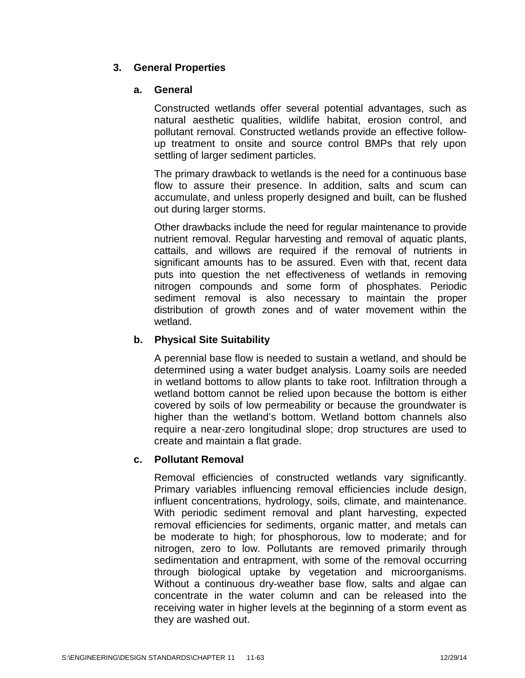# **3. General Properties**

### **a. General**

Constructed wetlands offer several potential advantages, such as natural aesthetic qualities, wildlife habitat, erosion control, and pollutant removal. Constructed wetlands provide an effective follow up treatment to onsite and source control BMPs that rely upon settling of larger sediment particles.

The primary drawback to wetlands is the need for a continuous base flow to assure their presence. In addition, salts and scum can accumulate, and unless properly designed and built, can be flushed out during larger storms.

Other drawbacks include the need for regular maintenance to provide nutrient removal. Regular harvesting and removal of aquatic plants, cattails, and willows are required if the removal of nutrients in significant amounts has to be assured. Even with that, recent data puts into question the net effectiveness of wetlands in removing nitrogen compounds and some form of phosphates. Periodic sediment removal is also necessary to maintain the proper distribution of growth zones and of water movement within the wetland.

## **b. Physical Site Suitability**

A perennial base flow is needed to sustain a wetland, and should be determined using a water budget analysis. Loamy soils are needed in wetland bottoms to allow plants to take root. Infiltration through a wetland bottom cannot be relied upon because the bottom is either covered by soils of low permeability or because the groundwater is higher than the wetland's bottom. Wetland bottom channels also require a near-zero longitudinal slope; drop structures are used to create and maintain a flat grade.

## **c. Pollutant Removal**

Removal efficiencies of constructed wetlands vary significantly. Primary variables influencing removal efficiencies include design, influent concentrations, hydrology, soils, climate, and maintenance. With periodic sediment removal and plant harvesting, expected removal efficiencies for sediments, organic matter, and metals can be moderate to high; for phosphorous, low to moderate; and for nitrogen, zero to low. Pollutants are removed primarily through sedimentation and entrapment, with some of the removal occurring through biological uptake by vegetation and microorganisms. Without a continuous dry-weather base flow, salts and algae can concentrate in the water column and can be released into the receiving water in higher levels at the beginning of a storm event as they are washed out.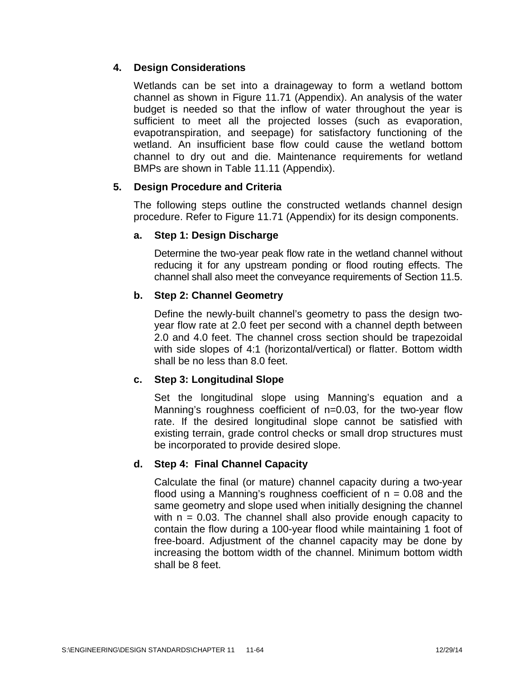# **4. Design Considerations**

Wetlands can be set into a drainageway to form a wetland bottom channel as shown in Figure 11.71 (Appendix). An analysis of the water budget is needed so that the inflow of water throughout the year is sufficient to meet all the projected losses (such as evaporation, evapotranspiration, and seepage) for satisfactory functioning of the wetland. An insufficient base flow could cause the wetland bottom channel to dry out and die. Maintenance requirements for wetland BMPs are shown in Table 11.11 (Appendix).

## **5. Design Procedure and Criteria**

The following steps outline the constructed wetlands channel design procedure. Refer to Figure 11.71 (Appendix) for its design components.

## **a. Step 1: Design Discharge**

Determine the two-year peak flow rate in the wetland channel without reducing it for any upstream ponding or flood routing effects. The channel shall also meet the conveyance requirements of Section 11.5.

# **b. Step 2: Channel Geometry**

Define the newly-built channel's geometry to pass the design two year flow rate at 2.0 feet per second with a channel depth between 2.0 and 4.0 feet. The channel cross section should be trapezoidal with side slopes of 4:1 (horizontal/vertical) or flatter. Bottom width shall be no less than 8.0 feet.

# **c. Step 3: Longitudinal Slope**

Set the longitudinal slope using Manning's equation and a Manning's roughness coefficient of n=0.03, for the two-year flow rate. If the desired longitudinal slope cannot be satisfied with existing terrain, grade control checks or small drop structures must be incorporated to provide desired slope.

## **d. Step 4: Final Channel Capacity**

Calculate the final (or mature) channel capacity during a two-year flood using a Manning's roughness coefficient of  $n = 0.08$  and the same geometry and slope used when initially designing the channel with  $n = 0.03$ . The channel shall also provide enough capacity to contain the flow during a 100-year flood while maintaining 1 foot of free-board. Adjustment of the channel capacity may be done by increasing the bottom width of the channel. Minimum bottom width shall be 8 feet.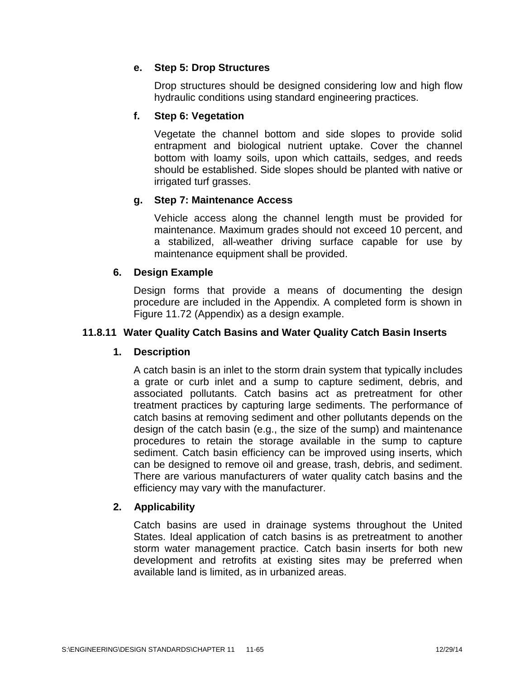# **e. Step 5: Drop Structures**

Drop structures should be designed considering low and high flow hydraulic conditions using standard engineering practices.

# **f. Step 6: Vegetation**

Vegetate the channel bottom and side slopes to provide solid entrapment and biological nutrient uptake. Cover the channel bottom with loamy soils, upon which cattails, sedges, and reeds should be established. Side slopes should be planted with native or irrigated turf grasses.

## **g. Step 7: Maintenance Access**

Vehicle access along the channel length must be provided for maintenance. Maximum grades should not exceed 10 percent, and a stabilized, all-weather driving surface capable for use by maintenance equipment shall be provided.

## **6. Design Example**

Design forms that provide a means of documenting the design procedure are included in the Appendix. A completed form is shown in Figure 11.72 (Appendix) as a design example.

## **11.8.11 Water Quality Catch Basins and Water Quality Catch Basin Inserts**

## **1. Description**

A catch basin is an inlet to the storm drain system that typically includes a grate or curb inlet and a sump to capture sediment, debris, and associated pollutants. Catch basins act as pretreatment for other treatment practices by capturing large sediments. The performance of catch basins at removing sediment and other pollutants depends on the design of the catch basin (e.g., the size of the sump) and maintenance procedures to retain the storage available in the sump to capture sediment. Catch basin efficiency can be improved using inserts, which can be designed to remove oil and grease, trash, debris, and sediment. There are various manufacturers of water quality catch basins and the efficiency may vary with the manufacturer.

## **2. Applicability**

Catch basins are used in drainage systems throughout the United States. Ideal application of catch basins is as pretreatment to another storm water management practice. Catch basin inserts for both new development and retrofits at existing sites may be preferred when available land is limited, as in urbanized areas.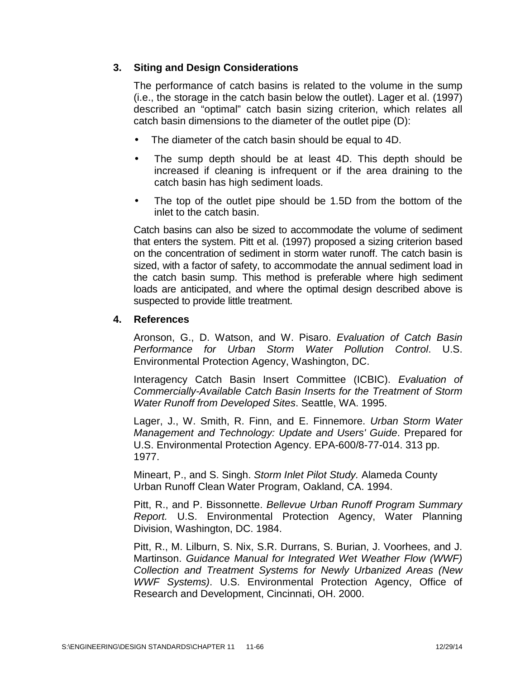# **3. Siting and Design Considerations**

The performance of catch basins is related to the volume in the sump (i.e., the storage in the catch basin below the outlet). Lager et al. (1997) described an "optimal" catch basin sizing criterion, which relates all catch basin dimensions to the diameter of the outlet pipe (D):

- The diameter of the catch basin should be equal to 4D.
- The sump depth should be at least 4D. This depth should be increased if cleaning is infrequent or if the area draining to the catch basin has high sediment loads.
- The top of the outlet pipe should be 1.5D from the bottom of the inlet to the catch basin.

Catch basins can also be sized to accommodate the volume of sediment that enters the system. Pitt et al. (1997) proposed a sizing criterion based on the concentration of sediment in storm water runoff. The catch basin is sized, with a factor of safety, to accommodate the annual sediment load in the catch basin sump. This method is preferable where high sediment loads are anticipated, and where the optimal design described above is suspected to provide little treatment.

### **4. References**

Aronson, G., D. Watson, and W. Pisaro. *Evaluation of Catch Basin Performance for Urban Storm Water Pollution Control*. U.S. Environmental Protection Agency, Washington, DC.

Interagency Catch Basin Insert Committee (ICBIC). *Evaluation of Commercially-Available Catch Basin Inserts for the Treatment of Storm Water Runoff from Developed Sites*. Seattle, WA. 1995.

Lager, J., W. Smith, R. Finn, and E. Finnemore. *Urban Storm Water Management and Technology: Update and Users' Guide*. Prepared for U.S. Environmental Protection Agency. EPA-600/8-77-014. 313 pp. 1977.

Mineart, P., and S. Singh. *Storm Inlet Pilot Study.* Alameda County Urban Runoff Clean Water Program, Oakland, CA. 1994.

Pitt, R., and P. Bissonnette. *Bellevue Urban Runoff Program Summary Report.* U.S. Environmental Protection Agency, Water Planning Division, Washington, DC. 1984.

Pitt, R., M. Lilburn, S. Nix, S.R. Durrans, S. Burian, J. Voorhees, and J. Martinson. *Guidance Manual for Integrated Wet Weather Flow (WWF) Collection and Treatment Systems for Newly Urbanized Areas (New WWF Systems)*. U.S. Environmental Protection Agency, Office of Research and Development, Cincinnati, OH. 2000.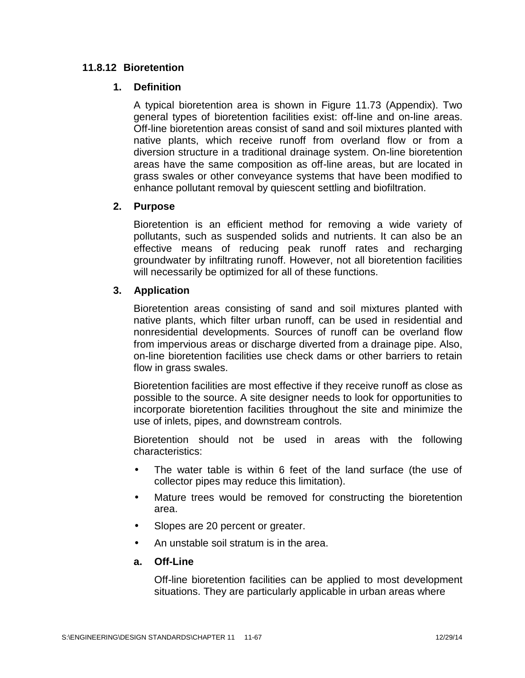## **11.8.12 Bioretention**

#### **1. Definition**

A typical bioretention area is shown in Figure 11.73 (Appendix). Two general types of bioretention facilities exist: off-line and on-line areas. Off-line bioretention areas consist of sand and soil mixtures planted with native plants, which receive runoff from overland flow or from a diversion structure in a traditional drainage system. On-line bioretention areas have the same composition as off-line areas, but are located in grass swales or other conveyance systems that have been modified to enhance pollutant removal by quiescent settling and biofiltration.

### **2. Purpose**

Bioretention is an efficient method for removing a wide variety of pollutants, such as suspended solids and nutrients. It can also be an effective means of reducing peak runoff rates and recharging groundwater by infiltrating runoff. However, not all bioretention facilities will necessarily be optimized for all of these functions.

### **3. Application**

Bioretention areas consisting of sand and soil mixtures planted with native plants, which filter urban runoff, can be used in residential and nonresidential developments. Sources of runoff can be overland flow from impervious areas or discharge diverted from a drainage pipe. Also, on-line bioretention facilities use check dams or other barriers to retain flow in grass swales.

Bioretention facilities are most effective if they receive runoff as close as possible to the source. A site designer needs to look for opportunities to incorporate bioretention facilities throughout the site and minimize the use of inlets, pipes, and downstream controls.

Bioretention should not be used in areas with the following characteristics:

- The water table is within 6 feet of the land surface (the use of collector pipes may reduce this limitation).
- Mature trees would be removed for constructing the bioretention area.
- Slopes are 20 percent or greater.
- An unstable soil stratum is in the area.

## **a. Off-Line**

Off-line bioretention facilities can be applied to most development situations. They are particularly applicable in urban areas where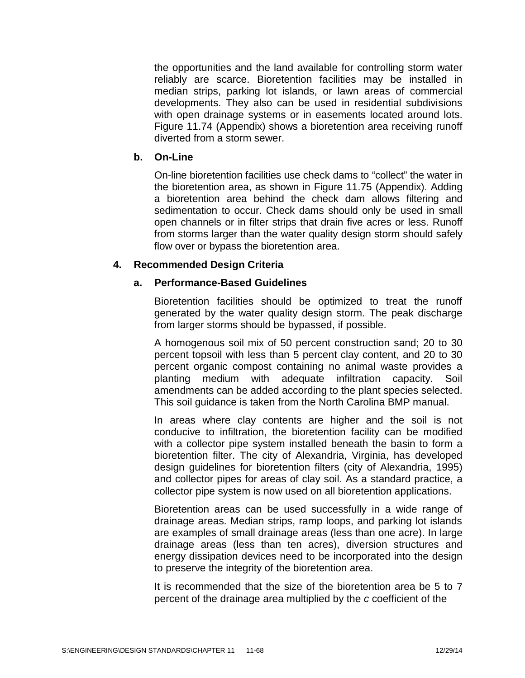the opportunities and the land available for controlling storm water reliably are scarce. Bioretention facilities may be installed in median strips, parking lot islands, or lawn areas of commercial developments. They also can be used in residential subdivisions with open drainage systems or in easements located around lots. Figure 11.74 (Appendix) shows a bioretention area receiving runoff diverted from a storm sewer.

#### **b. On-Line**

On-line bioretention facilities use check dams to "collect" the water in the bioretention area, as shown in Figure 11.75 (Appendix). Adding a bioretention area behind the check dam allows filtering and sedimentation to occur. Check dams should only be used in small open channels or in filter strips that drain five acres or less. Runoff from storms larger than the water quality design storm should safely flow over or bypass the bioretention area.

### **4. Recommended Design Criteria**

#### **a. Performance-Based Guidelines**

Bioretention facilities should be optimized to treat the runoff generated by the water quality design storm. The peak discharge from larger storms should be bypassed, if possible.

A homogenous soil mix of 50 percent construction sand; 20 to 30 percent topsoil with less than 5 percent clay content, and 20 to 30 percent organic compost containing no animal waste provides a planting medium with adequate infiltration capacity. Soil amendments can be added according to the plant species selected. This soil guidance is taken from the North Carolina BMP manual.

In areas where clay contents are higher and the soil is not conducive to infiltration, the bioretention facility can be modified with a collector pipe system installed beneath the basin to form a bioretention filter. The city of Alexandria, Virginia, has developed design guidelines for bioretention filters (city of Alexandria, 1995) and collector pipes for areas of clay soil. As a standard practice, a collector pipe system is now used on all bioretention applications.

Bioretention areas can be used successfully in a wide range of drainage areas. Median strips, ramp loops, and parking lot islands are examples of small drainage areas (less than one acre). In large drainage areas (less than ten acres), diversion structures and energy dissipation devices need to be incorporated into the design to preserve the integrity of the bioretention area.

It is recommended that the size of the bioretention area be 5 to 7 percent of the drainage area multiplied by the *c* coefficient of the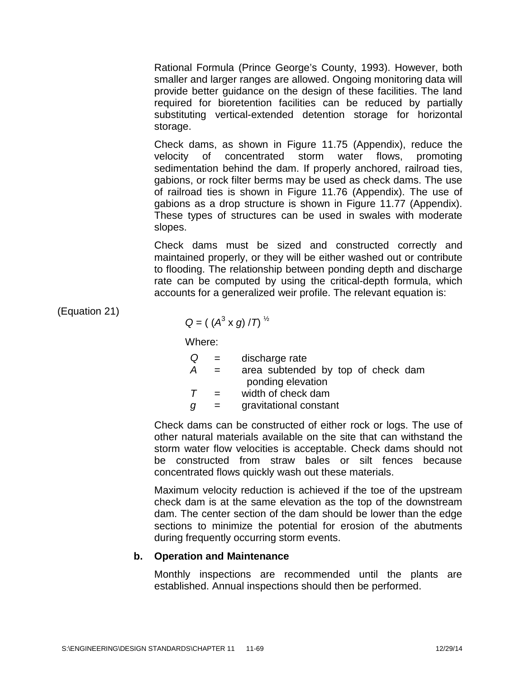Rational Formula (Prince George's County, 1993). However, both smaller and larger ranges are allowed. Ongoing monitoring data will provide better guidance on the design of these facilities. The land required for bioretention facilities can be reduced by partially substituting vertical-extended detention storage for horizontal storage.

Check dams, as shown in Figure 11.75 (Appendix), reduce the velocity of concentrated storm water flows, promoting sedimentation behind the dam. If properly anchored, railroad ties, gabions, or rock filter berms may be used as check dams. The use of railroad ties is shown in Figure 11.76 (Appendix). The use of gabions as a drop structure is shown in Figure 11.77 (Appendix). These types of structures can be used in swales with moderate slopes.

Check dams must be sized and constructed correctly and maintained properly, or they will be either washed out or contribute to flooding. The relationship between ponding depth and discharge rate can be computed by using the critical-depth formula, which accounts for a generalized weir profile. The relevant equation is:

(Equation 21)

$$
Q = ((A^3 \times g) / T)^{1/2}
$$

Where:

| Q | $\mathbf{r} = \mathbf{r}$ | discharge rate                     |
|---|---------------------------|------------------------------------|
| A | $=$                       | area subtended by top of check dam |
|   |                           | ponding elevation                  |

*T* = width of check dam

*g* = gravitational constant

Check dams can be constructed of either rock or logs. The use of other natural materials available on the site thatcan withstand the storm water flow velocities is acceptable. Check dams should not be constructed from straw bales or silt fences because concentrated flows quickly wash out these materials.

Maximum velocity reduction is achieved if the toe of the upstream check dam is at the same elevation as the top of the downstream dam. The center section of the dam should be lower than the edge sections to minimize the potential for erosion of the abutments during frequently occurring storm events.

## **b. Operation and Maintenance**

Monthly inspections are recommended until the plants are established. Annual inspections should then be performed.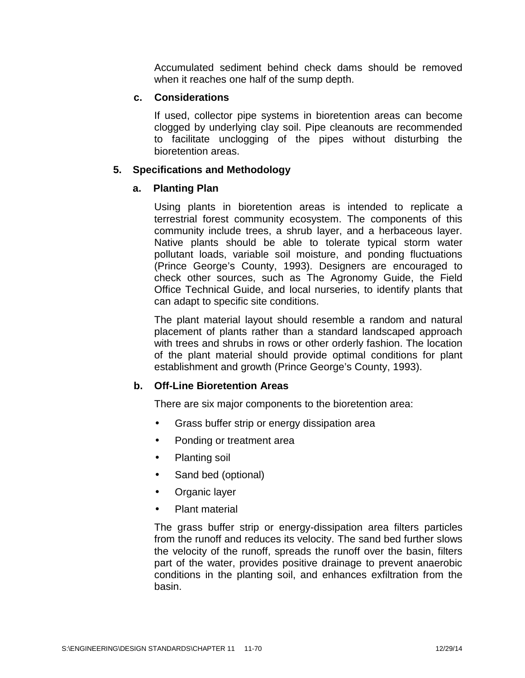Accumulated sediment behind check dams should be removed when it reaches one half of the sump depth.

### **c. Considerations**

If used, collector pipe systems in bioretention areas can become clogged by underlying clay soil. Pipe cleanouts are recommended to facilitate unclogging of the pipes without disturbing the bioretention areas.

# **5. Specifications and Methodology**

# **a. Planting Plan**

Using plants in bioretention areas is intended to replicate a terrestrial forest community ecosystem. The components of this community include trees, a shrub layer, and a herbaceous layer. Native plants should be able to tolerate typical storm water pollutant loads, variable soil moisture, and ponding fluctuations (Prince George's County, 1993). Designers are encouraged to check other sources, such as The Agronomy Guide, the Field Office Technical Guide, and local nurseries, to identify plants that can adapt to specific site conditions.

The plant material layout should resemble a random and natural placement of plants rather than a standard landscaped approach with trees and shrubs in rows or other orderly fashion. The location of the plant material should provide optimal conditions for plant establishment and growth (Prince George's County, 1993).

# **b. Off-Line Bioretention Areas**

There are six major components to the bioretention area:

- Grass buffer strip or energy dissipation area
- Ponding or treatment area
- Planting soil
- Sand bed (optional)
- Organic layer
- Plant material

The grass buffer strip or energy-dissipation area filters particles from the runoff and reduces its velocity. The sand bed further slows the velocity of the runoff, spreads the runoff over the basin, filters part of the water, provides positive drainage to prevent anaerobic conditions in the planting soil, and enhances exfiltration from the basin.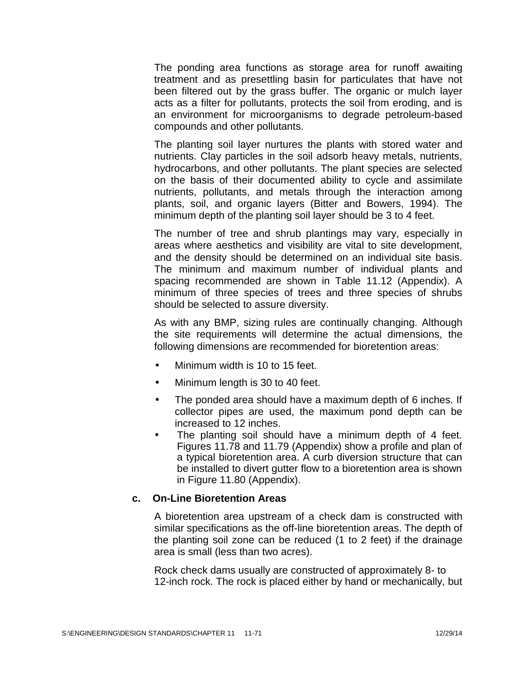The ponding area functions as storage area for runoff awaiting treatment and as presettling basin for particulates that have not been filtered out by the grass buffer. The organic or mulch layer acts as a filter for pollutants, protects the soil from eroding, and is an environment for microorganisms to degrade petroleum-based compounds and other pollutants.

The planting soil layer nurtures the plants with stored water and nutrients. Clay particles in the soil adsorb heavy metals, nutrients, hydrocarbons, and other pollutants. The plant species are selected on the basis of their documented ability to cycle and assimilate nutrients, pollutants, and metals through the interaction among plants, soil, and organic layers (Bitter and Bowers, 1994). The minimum depth of the planting soil layer should be 3 to 4 feet.

The number of tree and shrub plantings may vary, especially in areas where aesthetics and visibility are vital to site development, and the density should be determined on an individual site basis. The minimum and maximum number of individual plants and spacing recommended are shown in Table 11.12 (Appendix). A minimum of three species of trees and three species of shrubs should be selected to assure diversity.

As with any BMP, sizing rules are continually changing. Although the site requirements will determine the actual dimensions, the following dimensions are recommended for bioretention areas:

- Minimum width is 10 to 15 feet.
- Minimum length is 30 to 40 feet.
- The ponded area should have a maximum depth of 6 inches. If collector pipes are used, the maximum pond depth can be increased to 12 inches.
- The planting soil should have a minimum depth of 4 feet. Figures 11.78 and 11.79 (Appendix) show a profile and plan of a typical bioretention area. A curb diversion structure that can be installed to divert gutter flow to a bioretention area is shown in Figure 11.80 (Appendix).

#### **c. On-Line Bioretention Areas**

A bioretention area upstream of a check dam is constructed with similar specifications as the off-line bioretention areas. The depth of the planting soil zone can be reduced (1 to 2 feet) if the drainage area is small (less than two acres).

Rock check dams usually are constructed of approximately 8- to 12-inch rock. The rock is placed either by hand or mechanically, but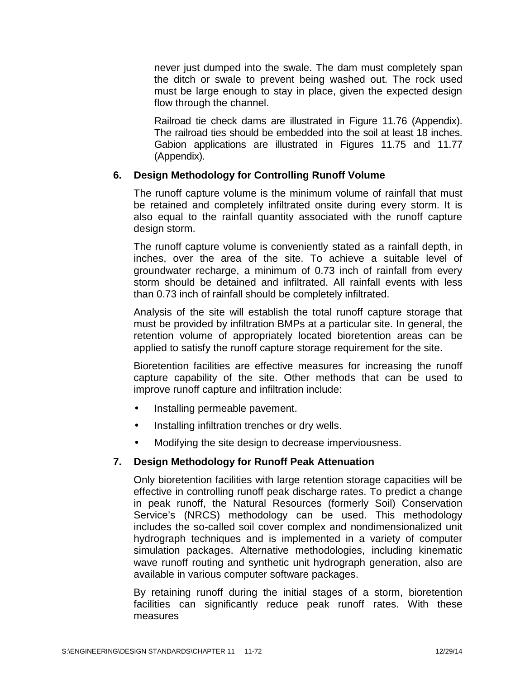never just dumped into the swale. The dam must completely span the ditch or swale to prevent being washed out. The rock used must be large enough to stay in place, given the expected design flow through the channel.

Railroad tie check dams are illustrated in Figure 11.76 (Appendix). The railroad ties should be embedded into the soil at least 18 inches. Gabion applications are illustrated in Figures 11.75 and 11.77 (Appendix).

# **6. Design Methodology for Controlling Runoff Volume**

The runoff capture volume is the minimum volume of rainfall that must be retained and completely infiltrated onsite during every storm. It is also equal to the rainfall quantity associated with the runoff capture design storm.

The runoff capture volume is conveniently stated as a rainfall depth, in inches, over the area of the site. To achieve a suitable level of groundwater recharge, a minimum of 0.73 inch of rainfall from every storm should be detained and infiltrated. All rainfall events with less than 0.73 inch of rainfall should be completely infiltrated.

Analysis of the site will establish the total runoff capture storage that must be provided by infiltration BMPs at a particular site. In general, the retention volume of appropriately located bioretention areas can be applied to satisfy the runoff capture storage requirement for the site.

Bioretention facilities are effective measures for increasing the runoff capture capability of the site. Other methods that can be used to improve runoff capture and infiltration include:

- Installing permeable pavement.
- Installing infiltration trenches or dry wells.
- Modifying the site design to decrease imperviousness.

# **7. Design Methodology for Runoff Peak Attenuation**

Only bioretention facilities with large retention storage capacities will be effective in controlling runoff peak discharge rates. To predict a change in peak runoff, the Natural Resources (formerly Soil) Conservation Service's (NRCS) methodology can be used. This methodology includes the so-called soil cover complex and nondimensionalized unit hydrograph techniques and is implemented in a variety of computer simulation packages. Alternative methodologies, including kinematic wave runoff routing and synthetic unit hydrograph generation, also are available in various computer software packages.

By retaining runoff during the initial stages of a storm, bioretention facilities can significantly reduce peak runoff rates. With these measures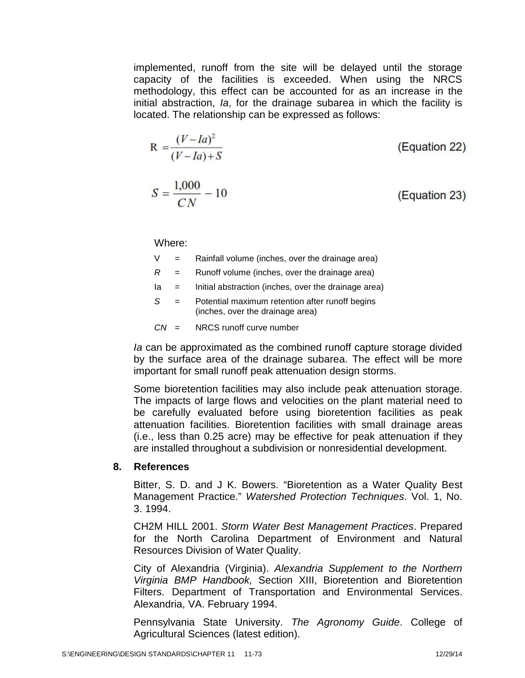implemented, runoff from the site will be delayed until the storage capacity of the facilities is exceeded. When using the NRCS methodology, this effect can be accounted for as an increase in the initial abstraction, *Ia*, for the drainage subarea in which the facility is located. The relationship can be expressed as follows:

$$
R = \frac{(V - Ia)^2}{(V - Ia) + S}
$$
 (Equation 22)  

$$
S = \frac{1,000}{CN} - 10
$$
 (Equation 23)

Where:

| V |  | Rainfall volume (inches, over the drainage area) |
|---|--|--------------------------------------------------|
|---|--|--------------------------------------------------|

- *R* = Runoff volume (inches, over the drainage area)
- Ia = Initial abstraction (inches, over the drainage area)
- *S* = Potential maximum retention after runoff begins (inches, over the drainage area)

 $CN = NRCS$  runoff curve number

*Ia* can be approximated as the combined runoff capture storage divided by the surface area of the drainage subarea. The effect will be more important for small runoff peak attenuation design storms.

Some bioretention facilities may also include peak attenuation storage. The impacts of large flows and velocities on the plant material need to be carefully evaluated before using bioretention facilities as peak attenuation facilities. Bioretention facilities with small drainage areas (i.e., less than 0.25 acre) may be effective for peak attenuation if they are installed throughout a subdivision or nonresidential development.

#### **8. References**

Bitter, S. D. and J K. Bowers. "Bioretention as a Water Quality Best Management Practice." *Watershed Protection Techniques*. Vol. 1, No. 3. 1994.

CH2M HILL 2001. *Storm Water Best Management Practices*. Prepared for the North Carolina Department of Environment and Natural Resources Division of Water Quality.

City of Alexandria (Virginia). *Alexandria Supplement to the Northern Virginia BMP Handbook,* Section XIII, Bioretention and Bioretention Filters. Department of Transportation and Environmental Services. Alexandria, VA. February 1994.

Pennsylvania State University. *The Agronomy Guide*. College of Agricultural Sciences (latest edition).